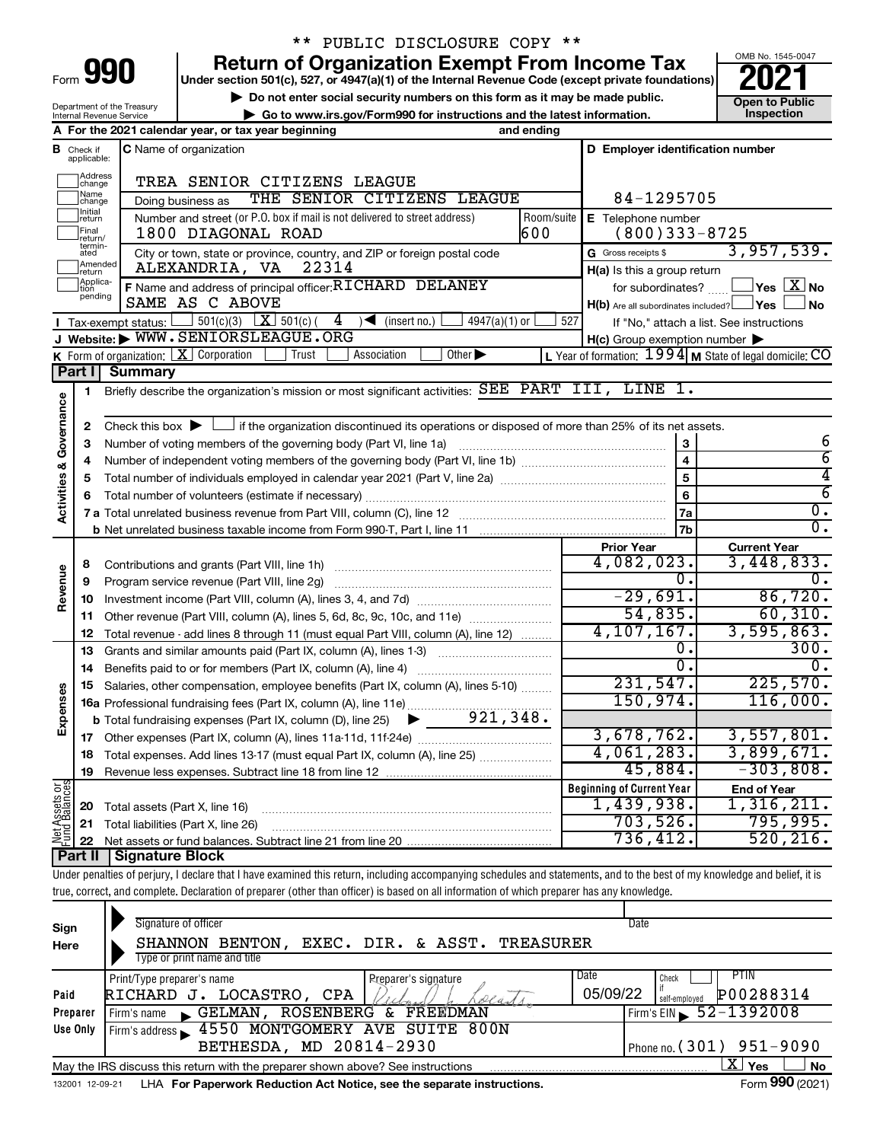| ⊢orm |  |  |
|------|--|--|

Department of the Treasury Internal Revenue Service

# \*\* PUBLIC DISCLOSURE COPY \*\*

**990 Return of Organization Exempt From Income Tax Punce 1845-004 2021** 

**▶ Do not enter social security numbers on this form as it may be made public. Open to Public**<br> **▶ Go to www.irs.gov/Form990 for instructions and the latest information.** Inspection **| Go to www.irs.gov/Form990 for instructions and the latest information. Inspection**



|                                |                              | A For the 2021 calendar year, or tax year beginning<br>and ending                                                                                  |                                                           |                                          |
|--------------------------------|------------------------------|----------------------------------------------------------------------------------------------------------------------------------------------------|-----------------------------------------------------------|------------------------------------------|
| в                              | Check if<br>applicable:      | <b>C</b> Name of organization                                                                                                                      | D Employer identification number                          |                                          |
|                                | Address<br>change            | TREA SENIOR CITIZENS LEAGUE                                                                                                                        |                                                           |                                          |
|                                | Name<br>change               | THE SENIOR CITIZENS LEAGUE<br>Doing business as                                                                                                    | 84-1295705                                                |                                          |
|                                | Initial<br>∣return           | Number and street (or P.O. box if mail is not delivered to street address)<br>Room/suite                                                           | E Telephone number                                        |                                          |
|                                | Final<br>return/             | 600<br>1800 DIAGONAL ROAD                                                                                                                          | $(800)333 - 8725$                                         |                                          |
|                                | termin-<br>ated              | City or town, state or province, country, and ZIP or foreign postal code                                                                           | G Gross receipts \$                                       | 3,957,539.                               |
|                                | Amended<br>return            | ALEXANDRIA, VA<br>22314                                                                                                                            | H(a) Is this a group return                               |                                          |
|                                | Applica-<br>Ition<br>pending | F Name and address of principal officer: RICHARD DELANEY                                                                                           | for subordinates?                                         | $\Box$ Yes $[\overline{\mathrm{X}}]$ No  |
|                                |                              | SAME AS C ABOVE                                                                                                                                    | $H(b)$ Are all subordinates included? $\Box$ Yes          | <b>No</b>                                |
|                                |                              | $501(c)(3)$ $\overline{X}$ 501(c)(<br>$\overline{4}$<br>$\leq$ (insert no.)<br>$4947(a)(1)$ or<br>$\blacksquare$ Tax-exempt status: $\blacksquare$ | 527                                                       | If "No," attach a list. See instructions |
|                                |                              | J Website: WWW.SENIORSLEAGUE.ORG                                                                                                                   | $H(c)$ Group exemption number $\blacktriangleright$       |                                          |
|                                |                              | K Form of organization: $X$ Corporation<br>Trust<br>Other $\blacktriangleright$<br>Association                                                     | L Year of formation: $1994$ M State of legal domicile: CO |                                          |
|                                | Part I                       | <b>Summary</b>                                                                                                                                     |                                                           |                                          |
|                                | 1                            | Briefly describe the organization's mission or most significant activities: SEE PART III, LINE 1.                                                  |                                                           |                                          |
|                                |                              |                                                                                                                                                    |                                                           |                                          |
| Activities & Governance        | 2                            | Check this box $\blacktriangleright$ $\Box$ if the organization discontinued its operations or disposed of more than 25% of its net assets.        | 3                                                         | 6                                        |
|                                | З<br>4                       | Number of voting members of the governing body (Part VI, line 1a)                                                                                  | $\overline{\mathbf{4}}$                                   | $\overline{6}$                           |
|                                | 5                            |                                                                                                                                                    | 5                                                         | 4                                        |
|                                | 6                            |                                                                                                                                                    | 6                                                         | $\overline{6}$                           |
|                                |                              |                                                                                                                                                    | 7a                                                        | $\overline{0}$ .                         |
|                                |                              | <b>b</b> Net unrelated business taxable income from Form 990-T, Part I, line 11 <b>manual contract of the Contract Proper</b>                      | 7 <sub>b</sub>                                            | $\overline{0}$ .                         |
|                                |                              |                                                                                                                                                    | <b>Prior Year</b>                                         | <b>Current Year</b>                      |
|                                | 8                            | Contributions and grants (Part VIII, line 1h)                                                                                                      | 4,082,023.                                                | 3,448,833.                               |
| Revenue                        | 9                            | Program service revenue (Part VIII, line 2g)                                                                                                       | ο.                                                        | $\overline{0}$ .                         |
|                                | 10                           |                                                                                                                                                    | $-29,691.$                                                | 86,720.                                  |
|                                | 11                           | Other revenue (Part VIII, column (A), lines 5, 6d, 8c, 9c, 10c, and 11e)                                                                           | 54,835.                                                   | 60, 310.                                 |
|                                | 12                           | Total revenue - add lines 8 through 11 (must equal Part VIII, column (A), line 12)                                                                 | 4, 107, 167.                                              | 3,595,863.                               |
|                                | 13                           | Grants and similar amounts paid (Part IX, column (A), lines 1-3)                                                                                   | Ο.                                                        | 300.                                     |
|                                | 14                           |                                                                                                                                                    | $\overline{0}$ .                                          | $\overline{0}$ .                         |
|                                | 15                           | Salaries, other compensation, employee benefits (Part IX, column (A), lines 5-10)                                                                  | 231,547.                                                  | 225,570.                                 |
|                                |                              |                                                                                                                                                    | 150,974.                                                  | 116,000.                                 |
| Expenses                       |                              | 921, 348.<br><b>b</b> Total fundraising expenses (Part IX, column (D), line 25) $\bullet$                                                          |                                                           |                                          |
|                                |                              |                                                                                                                                                    | 3,678,762.                                                | 3,557,801.                               |
|                                | 18                           | Total expenses. Add lines 13-17 (must equal Part IX, column (A), line 25)                                                                          | 4,061,283.                                                | 3,899,671.                               |
|                                | 19                           |                                                                                                                                                    | 45,884.                                                   | $-303,808.$                              |
| Net Assets or<br>Fund Balances |                              |                                                                                                                                                    | <b>Beginning of Current Year</b>                          | <b>End of Year</b>                       |
|                                | 20                           | Total assets (Part X, line 16)                                                                                                                     | 1,439,938.                                                | 1,316,211.                               |
|                                | 21                           | Total liabilities (Part X, line 26)                                                                                                                | 703,526.                                                  | 795,995.                                 |
|                                | 22                           |                                                                                                                                                    | 736,412.                                                  | 520, 216.                                |
|                                |                              | <b>Part II   Signature Block</b>                                                                                                                   |                                                           |                                          |

Under penalties of perjury, I declare that I have examined this return, including accompanying schedules and statements, and to the best of my knowledge and belief, it is true, correct, and complete. Declaration of preparer (other than officer) is based on all information of which preparer has any knowledge.

| Sign<br>Here    | Signature of officer<br>EXEC. DIR. & ASST. TREASURER<br>SHANNON BENTON,         | Date                                   |
|-----------------|---------------------------------------------------------------------------------|----------------------------------------|
|                 | Type or print name and title                                                    |                                        |
|                 | Print/Type preparer's name<br><b>Preparer's signature</b>                       | Date<br>PTIN<br>Check                  |
| Paid            | LOCASTRO,<br>CPA<br>RICHARD J.<br>olant                                         | P00288314<br>05/09/22<br>self-employed |
| Preparer        | FREEDMAN<br>ROSENBERG<br>GELMAN,<br>ି ଧ<br>Firm's name                          | Firm's EIN $\, 52 - 1392008$           |
| Use Only        | 4550 MONTGOMERY AVE SUITE 800N<br>Firm's address                                |                                        |
|                 | BETHESDA, MD 20814-2930                                                         | Phone no. $(301)$ 951-9090             |
|                 | May the IRS discuss this return with the preparer shown above? See instructions | ΧI<br>No<br>Yes                        |
| 132001 12-09-21 | LHA For Paperwork Reduction Act Notice, see the separate instructions.          | Form 990 (2021)                        |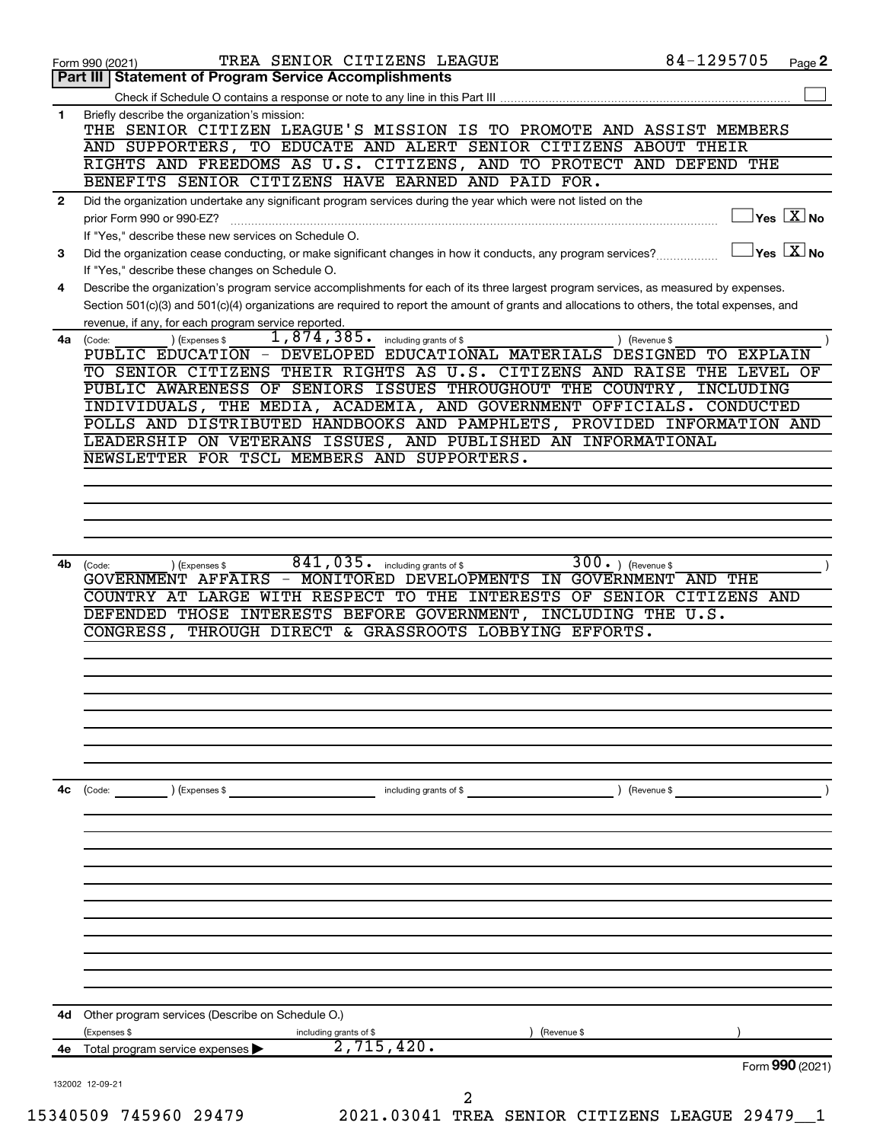|              | Form 990 (2021)                                                                                                                                                                                                                                                                                                                                                                                                                                                                                                                                                                                                                                                                                                            |                                                                                                                                                                                                                                                                                                                                                                                                                                                                                                                                                                                                                                                                                                                                                                                                                                                                                                                                                                                                                                                                                                                                                                                                                                                                                                                                                                                                                    | 84-1295705<br>Page 2                                   |
|--------------|----------------------------------------------------------------------------------------------------------------------------------------------------------------------------------------------------------------------------------------------------------------------------------------------------------------------------------------------------------------------------------------------------------------------------------------------------------------------------------------------------------------------------------------------------------------------------------------------------------------------------------------------------------------------------------------------------------------------------|--------------------------------------------------------------------------------------------------------------------------------------------------------------------------------------------------------------------------------------------------------------------------------------------------------------------------------------------------------------------------------------------------------------------------------------------------------------------------------------------------------------------------------------------------------------------------------------------------------------------------------------------------------------------------------------------------------------------------------------------------------------------------------------------------------------------------------------------------------------------------------------------------------------------------------------------------------------------------------------------------------------------------------------------------------------------------------------------------------------------------------------------------------------------------------------------------------------------------------------------------------------------------------------------------------------------------------------------------------------------------------------------------------------------|--------------------------------------------------------|
|              |                                                                                                                                                                                                                                                                                                                                                                                                                                                                                                                                                                                                                                                                                                                            |                                                                                                                                                                                                                                                                                                                                                                                                                                                                                                                                                                                                                                                                                                                                                                                                                                                                                                                                                                                                                                                                                                                                                                                                                                                                                                                                                                                                                    |                                                        |
|              |                                                                                                                                                                                                                                                                                                                                                                                                                                                                                                                                                                                                                                                                                                                            |                                                                                                                                                                                                                                                                                                                                                                                                                                                                                                                                                                                                                                                                                                                                                                                                                                                                                                                                                                                                                                                                                                                                                                                                                                                                                                                                                                                                                    |                                                        |
| 1.           | Briefly describe the organization's mission:                                                                                                                                                                                                                                                                                                                                                                                                                                                                                                                                                                                                                                                                               |                                                                                                                                                                                                                                                                                                                                                                                                                                                                                                                                                                                                                                                                                                                                                                                                                                                                                                                                                                                                                                                                                                                                                                                                                                                                                                                                                                                                                    |                                                        |
|              |                                                                                                                                                                                                                                                                                                                                                                                                                                                                                                                                                                                                                                                                                                                            |                                                                                                                                                                                                                                                                                                                                                                                                                                                                                                                                                                                                                                                                                                                                                                                                                                                                                                                                                                                                                                                                                                                                                                                                                                                                                                                                                                                                                    |                                                        |
|              |                                                                                                                                                                                                                                                                                                                                                                                                                                                                                                                                                                                                                                                                                                                            |                                                                                                                                                                                                                                                                                                                                                                                                                                                                                                                                                                                                                                                                                                                                                                                                                                                                                                                                                                                                                                                                                                                                                                                                                                                                                                                                                                                                                    |                                                        |
|              |                                                                                                                                                                                                                                                                                                                                                                                                                                                                                                                                                                                                                                                                                                                            |                                                                                                                                                                                                                                                                                                                                                                                                                                                                                                                                                                                                                                                                                                                                                                                                                                                                                                                                                                                                                                                                                                                                                                                                                                                                                                                                                                                                                    |                                                        |
| $\mathbf{2}$ | prior Form 990 or 990-EZ?                                                                                                                                                                                                                                                                                                                                                                                                                                                                                                                                                                                                                                                                                                  |                                                                                                                                                                                                                                                                                                                                                                                                                                                                                                                                                                                                                                                                                                                                                                                                                                                                                                                                                                                                                                                                                                                                                                                                                                                                                                                                                                                                                    | $\sqrt{}$ Yes $\sqrt{}$ $\overline{\rm X}$ No          |
| З            |                                                                                                                                                                                                                                                                                                                                                                                                                                                                                                                                                                                                                                                                                                                            |                                                                                                                                                                                                                                                                                                                                                                                                                                                                                                                                                                                                                                                                                                                                                                                                                                                                                                                                                                                                                                                                                                                                                                                                                                                                                                                                                                                                                    |                                                        |
|              |                                                                                                                                                                                                                                                                                                                                                                                                                                                                                                                                                                                                                                                                                                                            |                                                                                                                                                                                                                                                                                                                                                                                                                                                                                                                                                                                                                                                                                                                                                                                                                                                                                                                                                                                                                                                                                                                                                                                                                                                                                                                                                                                                                    |                                                        |
| 4            |                                                                                                                                                                                                                                                                                                                                                                                                                                                                                                                                                                                                                                                                                                                            |                                                                                                                                                                                                                                                                                                                                                                                                                                                                                                                                                                                                                                                                                                                                                                                                                                                                                                                                                                                                                                                                                                                                                                                                                                                                                                                                                                                                                    |                                                        |
|              |                                                                                                                                                                                                                                                                                                                                                                                                                                                                                                                                                                                                                                                                                                                            |                                                                                                                                                                                                                                                                                                                                                                                                                                                                                                                                                                                                                                                                                                                                                                                                                                                                                                                                                                                                                                                                                                                                                                                                                                                                                                                                                                                                                    |                                                        |
| 4a           | (Expenses \$<br>(Code:                                                                                                                                                                                                                                                                                                                                                                                                                                                                                                                                                                                                                                                                                                     | including grants of \$                                                                                                                                                                                                                                                                                                                                                                                                                                                                                                                                                                                                                                                                                                                                                                                                                                                                                                                                                                                                                                                                                                                                                                                                                                                                                                                                                                                             | ) (Revenue \$                                          |
|              |                                                                                                                                                                                                                                                                                                                                                                                                                                                                                                                                                                                                                                                                                                                            |                                                                                                                                                                                                                                                                                                                                                                                                                                                                                                                                                                                                                                                                                                                                                                                                                                                                                                                                                                                                                                                                                                                                                                                                                                                                                                                                                                                                                    |                                                        |
|              |                                                                                                                                                                                                                                                                                                                                                                                                                                                                                                                                                                                                                                                                                                                            | TREA SENIOR CITIZENS LEAGUE<br>THE SENIOR CITIZEN LEAGUE'S MISSION IS TO PROMOTE AND ASSIST MEMBERS<br>AND SUPPORTERS, TO EDUCATE AND ALERT SENIOR CITIZENS ABOUT THEIR<br>RIGHTS AND FREEDOMS AS U.S. CITIZENS, AND TO PROTECT AND DEFEND THE<br>Describe the organization's program service accomplishments for each of its three largest program services, as measured by expenses.<br>Section 501(c)(3) and 501(c)(4) organizations are required to report the amount of grants and allocations to others, the total expenses, and<br>1,874,385.<br>PUBLIC EDUCATION - DEVELOPED EDUCATIONAL MATERIALS DESIGNED TO EXPLAIN<br>TO SENIOR CITIZENS THEIR RIGHTS AS U.S. CITIZENS AND RAISE THE LEVEL OF<br>INDIVIDUALS, THE MEDIA, ACADEMIA, AND GOVERNMENT OFFICIALS. CONDUCTED<br>POLLS AND DISTRIBUTED HANDBOOKS AND PAMPHLETS, PROVIDED INFORMATION AND<br>LEADERSHIP ON VETERANS ISSUES, AND PUBLISHED AN INFORMATIONAL<br>841,035.<br>$\overline{300}$ . ) (Revenue \$<br>including grants of \$<br>(Expenses \$<br>GOVERNMENT AFFAIRS - MONITORED DEVELOPMENTS IN GOVERNMENT AND THE<br>COUNTRY AT LARGE WITH RESPECT TO THE INTERESTS OF SENIOR CITIZENS AND<br>DEFENDED THOSE INTERESTS BEFORE GOVERNMENT, INCLUDING THE U.S.<br>THROUGH DIRECT & GRASSROOTS LOBBYING EFFORTS.<br>) (Expenses \$<br>including grants of \$<br>) (Revenue \$<br>including grants of \$<br>(Revenue \$<br>2,715,420.<br>2 | INCLUDING                                              |
|              |                                                                                                                                                                                                                                                                                                                                                                                                                                                                                                                                                                                                                                                                                                                            |                                                                                                                                                                                                                                                                                                                                                                                                                                                                                                                                                                                                                                                                                                                                                                                                                                                                                                                                                                                                                                                                                                                                                                                                                                                                                                                                                                                                                    |                                                        |
|              |                                                                                                                                                                                                                                                                                                                                                                                                                                                                                                                                                                                                                                                                                                                            |                                                                                                                                                                                                                                                                                                                                                                                                                                                                                                                                                                                                                                                                                                                                                                                                                                                                                                                                                                                                                                                                                                                                                                                                                                                                                                                                                                                                                    |                                                        |
|              |                                                                                                                                                                                                                                                                                                                                                                                                                                                                                                                                                                                                                                                                                                                            |                                                                                                                                                                                                                                                                                                                                                                                                                                                                                                                                                                                                                                                                                                                                                                                                                                                                                                                                                                                                                                                                                                                                                                                                                                                                                                                                                                                                                    |                                                        |
|              |                                                                                                                                                                                                                                                                                                                                                                                                                                                                                                                                                                                                                                                                                                                            |                                                                                                                                                                                                                                                                                                                                                                                                                                                                                                                                                                                                                                                                                                                                                                                                                                                                                                                                                                                                                                                                                                                                                                                                                                                                                                                                                                                                                    |                                                        |
|              |                                                                                                                                                                                                                                                                                                                                                                                                                                                                                                                                                                                                                                                                                                                            |                                                                                                                                                                                                                                                                                                                                                                                                                                                                                                                                                                                                                                                                                                                                                                                                                                                                                                                                                                                                                                                                                                                                                                                                                                                                                                                                                                                                                    |                                                        |
|              |                                                                                                                                                                                                                                                                                                                                                                                                                                                                                                                                                                                                                                                                                                                            |                                                                                                                                                                                                                                                                                                                                                                                                                                                                                                                                                                                                                                                                                                                                                                                                                                                                                                                                                                                                                                                                                                                                                                                                                                                                                                                                                                                                                    |                                                        |
|              |                                                                                                                                                                                                                                                                                                                                                                                                                                                                                                                                                                                                                                                                                                                            |                                                                                                                                                                                                                                                                                                                                                                                                                                                                                                                                                                                                                                                                                                                                                                                                                                                                                                                                                                                                                                                                                                                                                                                                                                                                                                                                                                                                                    |                                                        |
|              |                                                                                                                                                                                                                                                                                                                                                                                                                                                                                                                                                                                                                                                                                                                            |                                                                                                                                                                                                                                                                                                                                                                                                                                                                                                                                                                                                                                                                                                                                                                                                                                                                                                                                                                                                                                                                                                                                                                                                                                                                                                                                                                                                                    |                                                        |
|              |                                                                                                                                                                                                                                                                                                                                                                                                                                                                                                                                                                                                                                                                                                                            |                                                                                                                                                                                                                                                                                                                                                                                                                                                                                                                                                                                                                                                                                                                                                                                                                                                                                                                                                                                                                                                                                                                                                                                                                                                                                                                                                                                                                    |                                                        |
| 4b           |                                                                                                                                                                                                                                                                                                                                                                                                                                                                                                                                                                                                                                                                                                                            |                                                                                                                                                                                                                                                                                                                                                                                                                                                                                                                                                                                                                                                                                                                                                                                                                                                                                                                                                                                                                                                                                                                                                                                                                                                                                                                                                                                                                    |                                                        |
|              |                                                                                                                                                                                                                                                                                                                                                                                                                                                                                                                                                                                                                                                                                                                            |                                                                                                                                                                                                                                                                                                                                                                                                                                                                                                                                                                                                                                                                                                                                                                                                                                                                                                                                                                                                                                                                                                                                                                                                                                                                                                                                                                                                                    |                                                        |
|              |                                                                                                                                                                                                                                                                                                                                                                                                                                                                                                                                                                                                                                                                                                                            |                                                                                                                                                                                                                                                                                                                                                                                                                                                                                                                                                                                                                                                                                                                                                                                                                                                                                                                                                                                                                                                                                                                                                                                                                                                                                                                                                                                                                    |                                                        |
|              |                                                                                                                                                                                                                                                                                                                                                                                                                                                                                                                                                                                                                                                                                                                            |                                                                                                                                                                                                                                                                                                                                                                                                                                                                                                                                                                                                                                                                                                                                                                                                                                                                                                                                                                                                                                                                                                                                                                                                                                                                                                                                                                                                                    |                                                        |
|              |                                                                                                                                                                                                                                                                                                                                                                                                                                                                                                                                                                                                                                                                                                                            |                                                                                                                                                                                                                                                                                                                                                                                                                                                                                                                                                                                                                                                                                                                                                                                                                                                                                                                                                                                                                                                                                                                                                                                                                                                                                                                                                                                                                    |                                                        |
|              |                                                                                                                                                                                                                                                                                                                                                                                                                                                                                                                                                                                                                                                                                                                            |                                                                                                                                                                                                                                                                                                                                                                                                                                                                                                                                                                                                                                                                                                                                                                                                                                                                                                                                                                                                                                                                                                                                                                                                                                                                                                                                                                                                                    |                                                        |
|              |                                                                                                                                                                                                                                                                                                                                                                                                                                                                                                                                                                                                                                                                                                                            |                                                                                                                                                                                                                                                                                                                                                                                                                                                                                                                                                                                                                                                                                                                                                                                                                                                                                                                                                                                                                                                                                                                                                                                                                                                                                                                                                                                                                    |                                                        |
|              |                                                                                                                                                                                                                                                                                                                                                                                                                                                                                                                                                                                                                                                                                                                            |                                                                                                                                                                                                                                                                                                                                                                                                                                                                                                                                                                                                                                                                                                                                                                                                                                                                                                                                                                                                                                                                                                                                                                                                                                                                                                                                                                                                                    | $\vert$ Yes $\vert$ $\overline{\mathrm{X}}$ $\vert$ No |
|              |                                                                                                                                                                                                                                                                                                                                                                                                                                                                                                                                                                                                                                                                                                                            | 2021.03041 TREA SENIOR CITIZENS LEAGUE 29479_1                                                                                                                                                                                                                                                                                                                                                                                                                                                                                                                                                                                                                                                                                                                                                                                                                                                                                                                                                                                                                                                                                                                                                                                                                                                                                                                                                                     |                                                        |
|              |                                                                                                                                                                                                                                                                                                                                                                                                                                                                                                                                                                                                                                                                                                                            |                                                                                                                                                                                                                                                                                                                                                                                                                                                                                                                                                                                                                                                                                                                                                                                                                                                                                                                                                                                                                                                                                                                                                                                                                                                                                                                                                                                                                    |                                                        |
|              |                                                                                                                                                                                                                                                                                                                                                                                                                                                                                                                                                                                                                                                                                                                            |                                                                                                                                                                                                                                                                                                                                                                                                                                                                                                                                                                                                                                                                                                                                                                                                                                                                                                                                                                                                                                                                                                                                                                                                                                                                                                                                                                                                                    |                                                        |
| 4с           | (Code:                                                                                                                                                                                                                                                                                                                                                                                                                                                                                                                                                                                                                                                                                                                     |                                                                                                                                                                                                                                                                                                                                                                                                                                                                                                                                                                                                                                                                                                                                                                                                                                                                                                                                                                                                                                                                                                                                                                                                                                                                                                                                                                                                                    |                                                        |
|              |                                                                                                                                                                                                                                                                                                                                                                                                                                                                                                                                                                                                                                                                                                                            |                                                                                                                                                                                                                                                                                                                                                                                                                                                                                                                                                                                                                                                                                                                                                                                                                                                                                                                                                                                                                                                                                                                                                                                                                                                                                                                                                                                                                    |                                                        |
|              |                                                                                                                                                                                                                                                                                                                                                                                                                                                                                                                                                                                                                                                                                                                            |                                                                                                                                                                                                                                                                                                                                                                                                                                                                                                                                                                                                                                                                                                                                                                                                                                                                                                                                                                                                                                                                                                                                                                                                                                                                                                                                                                                                                    |                                                        |
|              |                                                                                                                                                                                                                                                                                                                                                                                                                                                                                                                                                                                                                                                                                                                            |                                                                                                                                                                                                                                                                                                                                                                                                                                                                                                                                                                                                                                                                                                                                                                                                                                                                                                                                                                                                                                                                                                                                                                                                                                                                                                                                                                                                                    |                                                        |
|              |                                                                                                                                                                                                                                                                                                                                                                                                                                                                                                                                                                                                                                                                                                                            |                                                                                                                                                                                                                                                                                                                                                                                                                                                                                                                                                                                                                                                                                                                                                                                                                                                                                                                                                                                                                                                                                                                                                                                                                                                                                                                                                                                                                    |                                                        |
|              |                                                                                                                                                                                                                                                                                                                                                                                                                                                                                                                                                                                                                                                                                                                            |                                                                                                                                                                                                                                                                                                                                                                                                                                                                                                                                                                                                                                                                                                                                                                                                                                                                                                                                                                                                                                                                                                                                                                                                                                                                                                                                                                                                                    |                                                        |
|              |                                                                                                                                                                                                                                                                                                                                                                                                                                                                                                                                                                                                                                                                                                                            |                                                                                                                                                                                                                                                                                                                                                                                                                                                                                                                                                                                                                                                                                                                                                                                                                                                                                                                                                                                                                                                                                                                                                                                                                                                                                                                                                                                                                    |                                                        |
|              |                                                                                                                                                                                                                                                                                                                                                                                                                                                                                                                                                                                                                                                                                                                            |                                                                                                                                                                                                                                                                                                                                                                                                                                                                                                                                                                                                                                                                                                                                                                                                                                                                                                                                                                                                                                                                                                                                                                                                                                                                                                                                                                                                                    |                                                        |
|              |                                                                                                                                                                                                                                                                                                                                                                                                                                                                                                                                                                                                                                                                                                                            |                                                                                                                                                                                                                                                                                                                                                                                                                                                                                                                                                                                                                                                                                                                                                                                                                                                                                                                                                                                                                                                                                                                                                                                                                                                                                                                                                                                                                    |                                                        |
| 4d           |                                                                                                                                                                                                                                                                                                                                                                                                                                                                                                                                                                                                                                                                                                                            |                                                                                                                                                                                                                                                                                                                                                                                                                                                                                                                                                                                                                                                                                                                                                                                                                                                                                                                                                                                                                                                                                                                                                                                                                                                                                                                                                                                                                    |                                                        |
|              | (Expenses \$                                                                                                                                                                                                                                                                                                                                                                                                                                                                                                                                                                                                                                                                                                               |                                                                                                                                                                                                                                                                                                                                                                                                                                                                                                                                                                                                                                                                                                                                                                                                                                                                                                                                                                                                                                                                                                                                                                                                                                                                                                                                                                                                                    |                                                        |
| 4e           | Total program service expenses                                                                                                                                                                                                                                                                                                                                                                                                                                                                                                                                                                                                                                                                                             |                                                                                                                                                                                                                                                                                                                                                                                                                                                                                                                                                                                                                                                                                                                                                                                                                                                                                                                                                                                                                                                                                                                                                                                                                                                                                                                                                                                                                    |                                                        |
|              | Part III   Statement of Program Service Accomplishments<br>BENEFITS SENIOR CITIZENS HAVE EARNED AND PAID FOR.<br>Did the organization undertake any significant program services during the year which were not listed on the<br>If "Yes," describe these new services on Schedule O.<br>Did the organization cease conducting, or make significant changes in how it conducts, any program services?<br>If "Yes," describe these changes on Schedule O.<br>revenue, if any, for each program service reported.<br>PUBLIC AWARENESS OF SENIORS ISSUES THROUGHOUT THE COUNTRY,<br>NEWSLETTER FOR TSCL MEMBERS AND SUPPORTERS.<br>(Code:<br>CONGRESS,<br>Other program services (Describe on Schedule O.)<br>132002 12-09-21 | Form 990 (2021)                                                                                                                                                                                                                                                                                                                                                                                                                                                                                                                                                                                                                                                                                                                                                                                                                                                                                                                                                                                                                                                                                                                                                                                                                                                                                                                                                                                                    |                                                        |
|              |                                                                                                                                                                                                                                                                                                                                                                                                                                                                                                                                                                                                                                                                                                                            |                                                                                                                                                                                                                                                                                                                                                                                                                                                                                                                                                                                                                                                                                                                                                                                                                                                                                                                                                                                                                                                                                                                                                                                                                                                                                                                                                                                                                    |                                                        |
|              | 15340509 745960 29479                                                                                                                                                                                                                                                                                                                                                                                                                                                                                                                                                                                                                                                                                                      |                                                                                                                                                                                                                                                                                                                                                                                                                                                                                                                                                                                                                                                                                                                                                                                                                                                                                                                                                                                                                                                                                                                                                                                                                                                                                                                                                                                                                    |                                                        |
|              |                                                                                                                                                                                                                                                                                                                                                                                                                                                                                                                                                                                                                                                                                                                            |                                                                                                                                                                                                                                                                                                                                                                                                                                                                                                                                                                                                                                                                                                                                                                                                                                                                                                                                                                                                                                                                                                                                                                                                                                                                                                                                                                                                                    |                                                        |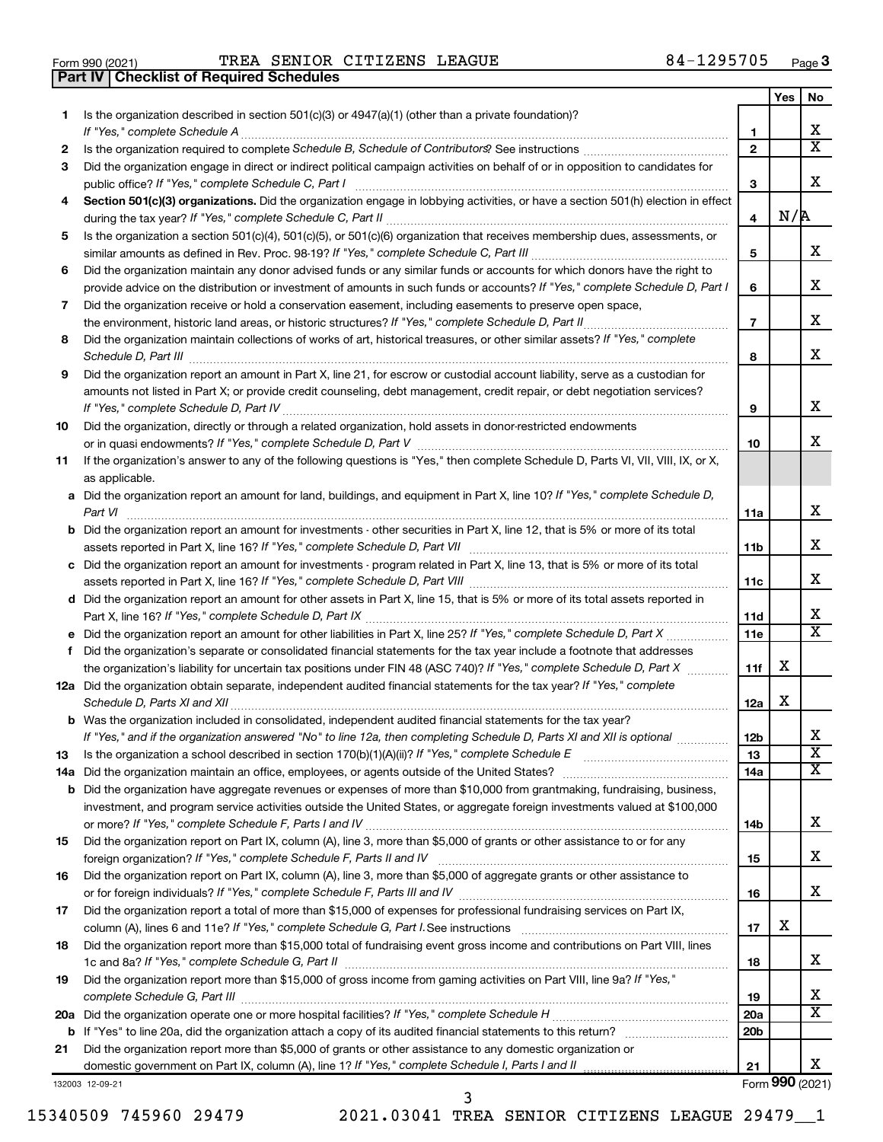|  | Form 990 (2021) |
|--|-----------------|

Form 990 (2021) Page TREA SENIOR CITIZENS LEAGUE 84-1295705 **Part IV Checklist of Required Schedules**

|          |                                                                                                                                       |                        | Yes | No                      |
|----------|---------------------------------------------------------------------------------------------------------------------------------------|------------------------|-----|-------------------------|
| 1.       | Is the organization described in section 501(c)(3) or 4947(a)(1) (other than a private foundation)?                                   |                        |     |                         |
|          | If "Yes," complete Schedule A                                                                                                         | 1                      |     | x.                      |
| 2        |                                                                                                                                       | $\mathbf{2}$           |     | X                       |
| З        | Did the organization engage in direct or indirect political campaign activities on behalf of or in opposition to candidates for       |                        |     |                         |
|          | public office? If "Yes," complete Schedule C, Part I                                                                                  | 3                      |     | x                       |
| 4        | Section 501(c)(3) organizations. Did the organization engage in lobbying activities, or have a section 501(h) election in effect      |                        | N/R |                         |
|          |                                                                                                                                       | 4                      |     |                         |
| 5        | Is the organization a section 501(c)(4), 501(c)(5), or 501(c)(6) organization that receives membership dues, assessments, or          | 5                      |     | x.                      |
| 6        | Did the organization maintain any donor advised funds or any similar funds or accounts for which donors have the right to             |                        |     |                         |
|          | provide advice on the distribution or investment of amounts in such funds or accounts? If "Yes," complete Schedule D, Part I          | 6                      |     | x                       |
| 7        | Did the organization receive or hold a conservation easement, including easements to preserve open space,                             |                        |     |                         |
|          | the environment, historic land areas, or historic structures? If "Yes," complete Schedule D, Part II                                  | $\overline{7}$         |     | x                       |
| 8        | Did the organization maintain collections of works of art, historical treasures, or other similar assets? If "Yes," complete          |                        |     |                         |
|          |                                                                                                                                       | 8                      |     | x                       |
| 9        | Did the organization report an amount in Part X, line 21, for escrow or custodial account liability, serve as a custodian for         |                        |     |                         |
|          | amounts not listed in Part X; or provide credit counseling, debt management, credit repair, or debt negotiation services?             |                        |     |                         |
|          |                                                                                                                                       | 9                      |     | х                       |
| 10       | Did the organization, directly or through a related organization, hold assets in donor-restricted endowments                          |                        |     |                         |
|          |                                                                                                                                       | 10                     |     | x.                      |
| 11       | If the organization's answer to any of the following questions is "Yes," then complete Schedule D, Parts VI, VII, VIII, IX, or X,     |                        |     |                         |
|          | as applicable.                                                                                                                        |                        |     |                         |
|          | a Did the organization report an amount for land, buildings, and equipment in Part X, line 10? If "Yes," complete Schedule D,         |                        |     | x                       |
|          | Part VI                                                                                                                               | 11a                    |     |                         |
|          | <b>b</b> Did the organization report an amount for investments - other securities in Part X, line 12, that is 5% or more of its total | 11b                    |     | x.                      |
|          | c Did the organization report an amount for investments - program related in Part X, line 13, that is 5% or more of its total         |                        |     |                         |
|          |                                                                                                                                       | 11c                    |     | x.                      |
|          | d Did the organization report an amount for other assets in Part X, line 15, that is 5% or more of its total assets reported in       |                        |     |                         |
|          |                                                                                                                                       | 11d                    |     | x.                      |
|          |                                                                                                                                       | 11e                    |     | X                       |
| f        | Did the organization's separate or consolidated financial statements for the tax year include a footnote that addresses               |                        |     |                         |
|          | the organization's liability for uncertain tax positions under FIN 48 (ASC 740)? If "Yes," complete Schedule D, Part X                | 11f                    | x   |                         |
|          | 12a Did the organization obtain separate, independent audited financial statements for the tax year? If "Yes," complete               |                        |     |                         |
|          | Schedule D, Parts XI and XII                                                                                                          | 12a                    | x   |                         |
|          | <b>b</b> Was the organization included in consolidated, independent audited financial statements for the tax year?                    |                        |     | х                       |
|          | If "Yes," and if the organization answered "No" to line 12a, then completing Schedule D, Parts XI and XII is optional                 | 12 <sub>b</sub>        |     | $\overline{\texttt{x}}$ |
| 13       |                                                                                                                                       | 13                     |     | x                       |
| 14a<br>b | Did the organization have aggregate revenues or expenses of more than \$10,000 from grantmaking, fundraising, business,               | 14a                    |     |                         |
|          | investment, and program service activities outside the United States, or aggregate foreign investments valued at \$100,000            |                        |     |                         |
|          |                                                                                                                                       | 14b                    |     | х                       |
| 15       | Did the organization report on Part IX, column (A), line 3, more than \$5,000 of grants or other assistance to or for any             |                        |     |                         |
|          |                                                                                                                                       | 15                     |     | х                       |
| 16       | Did the organization report on Part IX, column (A), line 3, more than \$5,000 of aggregate grants or other assistance to              |                        |     |                         |
|          |                                                                                                                                       | 16                     |     | x                       |
| 17       | Did the organization report a total of more than \$15,000 of expenses for professional fundraising services on Part IX,               |                        |     |                         |
|          |                                                                                                                                       | 17                     | х   |                         |
| 18       | Did the organization report more than \$15,000 total of fundraising event gross income and contributions on Part VIII, lines          |                        |     |                         |
|          |                                                                                                                                       | 18                     |     | X.                      |
| 19       | Did the organization report more than \$15,000 of gross income from gaming activities on Part VIII, line 9a? If "Yes,"                |                        |     |                         |
|          |                                                                                                                                       | 19                     |     | x<br>х                  |
|          |                                                                                                                                       | 20a<br>20 <sub>b</sub> |     |                         |
| 21       | Did the organization report more than \$5,000 of grants or other assistance to any domestic organization or                           |                        |     |                         |
|          |                                                                                                                                       | 21                     |     | x                       |
|          | 132003 12-09-21                                                                                                                       |                        |     | Form 990 (2021)         |

3

15340509 745960 29479 2021.03041 TREA SENIOR CITIZENS LEAGUE 29479\_\_1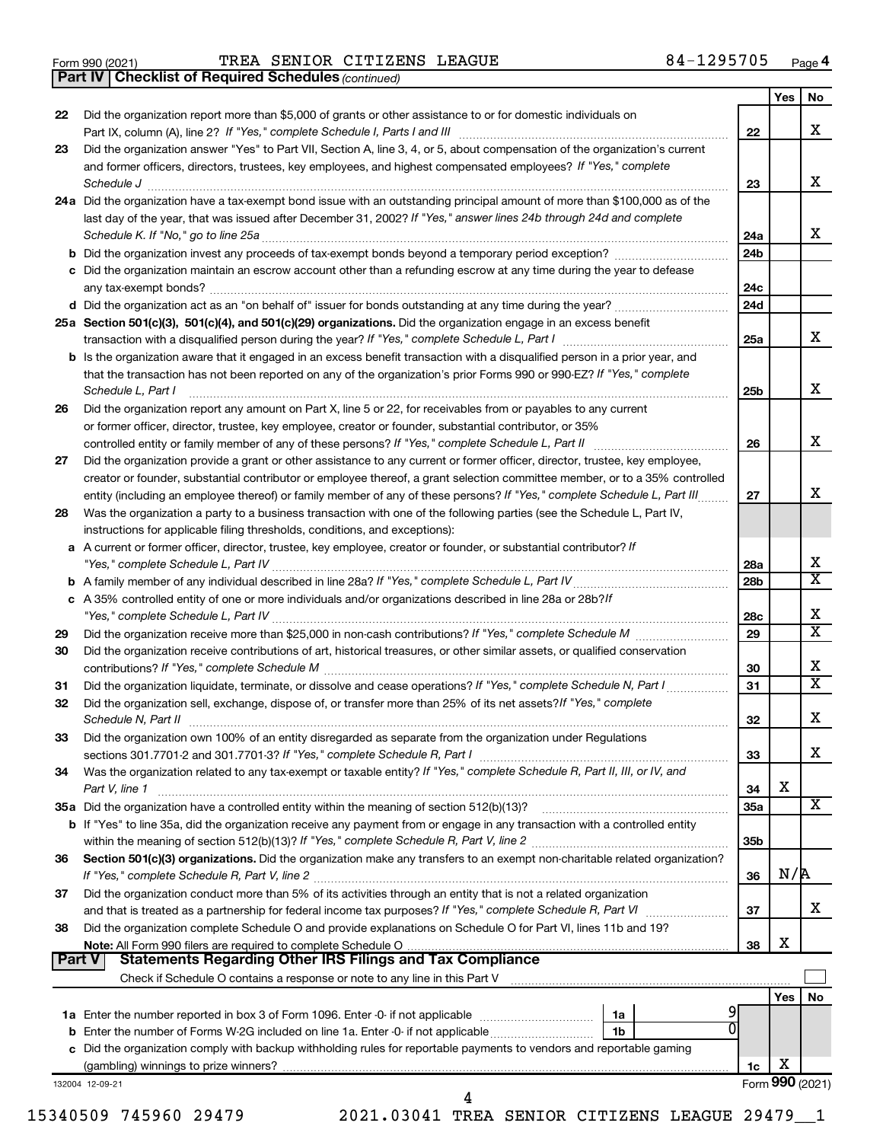|  | Form 990 (2021) |
|--|-----------------|
|  |                 |

Form 990 (2021) Page TREA SENIOR CITIZENS LEAGUE 84-1295705

*(continued)* **Part IV Checklist of Required Schedules**

|                                                                                                                                                                                                                                                                                                                                                                                                                                                                                                                                                                                                                                                                                                                                                                                                                                                                                                                                                                                                                                                                                                                                                                                                                                                                                                                                                                                                                                                                                                                                                                                                                                                                                                                                                                                                                                                                                                                                                                                                                                                                                                                                                                                                                                                                                                                                                          |                                                                                                                             |                 | Yes | No                           |
|----------------------------------------------------------------------------------------------------------------------------------------------------------------------------------------------------------------------------------------------------------------------------------------------------------------------------------------------------------------------------------------------------------------------------------------------------------------------------------------------------------------------------------------------------------------------------------------------------------------------------------------------------------------------------------------------------------------------------------------------------------------------------------------------------------------------------------------------------------------------------------------------------------------------------------------------------------------------------------------------------------------------------------------------------------------------------------------------------------------------------------------------------------------------------------------------------------------------------------------------------------------------------------------------------------------------------------------------------------------------------------------------------------------------------------------------------------------------------------------------------------------------------------------------------------------------------------------------------------------------------------------------------------------------------------------------------------------------------------------------------------------------------------------------------------------------------------------------------------------------------------------------------------------------------------------------------------------------------------------------------------------------------------------------------------------------------------------------------------------------------------------------------------------------------------------------------------------------------------------------------------------------------------------------------------------------------------------------------------|-----------------------------------------------------------------------------------------------------------------------------|-----------------|-----|------------------------------|
| 22                                                                                                                                                                                                                                                                                                                                                                                                                                                                                                                                                                                                                                                                                                                                                                                                                                                                                                                                                                                                                                                                                                                                                                                                                                                                                                                                                                                                                                                                                                                                                                                                                                                                                                                                                                                                                                                                                                                                                                                                                                                                                                                                                                                                                                                                                                                                                       | Did the organization report more than \$5,000 of grants or other assistance to or for domestic individuals on               |                 |     |                              |
|                                                                                                                                                                                                                                                                                                                                                                                                                                                                                                                                                                                                                                                                                                                                                                                                                                                                                                                                                                                                                                                                                                                                                                                                                                                                                                                                                                                                                                                                                                                                                                                                                                                                                                                                                                                                                                                                                                                                                                                                                                                                                                                                                                                                                                                                                                                                                          |                                                                                                                             | 22              |     | х                            |
| 23                                                                                                                                                                                                                                                                                                                                                                                                                                                                                                                                                                                                                                                                                                                                                                                                                                                                                                                                                                                                                                                                                                                                                                                                                                                                                                                                                                                                                                                                                                                                                                                                                                                                                                                                                                                                                                                                                                                                                                                                                                                                                                                                                                                                                                                                                                                                                       | Did the organization answer "Yes" to Part VII, Section A, line 3, 4, or 5, about compensation of the organization's current |                 |     |                              |
|                                                                                                                                                                                                                                                                                                                                                                                                                                                                                                                                                                                                                                                                                                                                                                                                                                                                                                                                                                                                                                                                                                                                                                                                                                                                                                                                                                                                                                                                                                                                                                                                                                                                                                                                                                                                                                                                                                                                                                                                                                                                                                                                                                                                                                                                                                                                                          | and former officers, directors, trustees, key employees, and highest compensated employees? If "Yes," complete              |                 |     |                              |
|                                                                                                                                                                                                                                                                                                                                                                                                                                                                                                                                                                                                                                                                                                                                                                                                                                                                                                                                                                                                                                                                                                                                                                                                                                                                                                                                                                                                                                                                                                                                                                                                                                                                                                                                                                                                                                                                                                                                                                                                                                                                                                                                                                                                                                                                                                                                                          |                                                                                                                             | 23              |     | X                            |
|                                                                                                                                                                                                                                                                                                                                                                                                                                                                                                                                                                                                                                                                                                                                                                                                                                                                                                                                                                                                                                                                                                                                                                                                                                                                                                                                                                                                                                                                                                                                                                                                                                                                                                                                                                                                                                                                                                                                                                                                                                                                                                                                                                                                                                                                                                                                                          | 24a Did the organization have a tax-exempt bond issue with an outstanding principal amount of more than \$100,000 as of the |                 |     |                              |
|                                                                                                                                                                                                                                                                                                                                                                                                                                                                                                                                                                                                                                                                                                                                                                                                                                                                                                                                                                                                                                                                                                                                                                                                                                                                                                                                                                                                                                                                                                                                                                                                                                                                                                                                                                                                                                                                                                                                                                                                                                                                                                                                                                                                                                                                                                                                                          | last day of the year, that was issued after December 31, 2002? If "Yes," answer lines 24b through 24d and complete          |                 |     |                              |
|                                                                                                                                                                                                                                                                                                                                                                                                                                                                                                                                                                                                                                                                                                                                                                                                                                                                                                                                                                                                                                                                                                                                                                                                                                                                                                                                                                                                                                                                                                                                                                                                                                                                                                                                                                                                                                                                                                                                                                                                                                                                                                                                                                                                                                                                                                                                                          |                                                                                                                             | 24a             |     | x                            |
|                                                                                                                                                                                                                                                                                                                                                                                                                                                                                                                                                                                                                                                                                                                                                                                                                                                                                                                                                                                                                                                                                                                                                                                                                                                                                                                                                                                                                                                                                                                                                                                                                                                                                                                                                                                                                                                                                                                                                                                                                                                                                                                                                                                                                                                                                                                                                          |                                                                                                                             | 24b             |     |                              |
|                                                                                                                                                                                                                                                                                                                                                                                                                                                                                                                                                                                                                                                                                                                                                                                                                                                                                                                                                                                                                                                                                                                                                                                                                                                                                                                                                                                                                                                                                                                                                                                                                                                                                                                                                                                                                                                                                                                                                                                                                                                                                                                                                                                                                                                                                                                                                          |                                                                                                                             |                 |     |                              |
|                                                                                                                                                                                                                                                                                                                                                                                                                                                                                                                                                                                                                                                                                                                                                                                                                                                                                                                                                                                                                                                                                                                                                                                                                                                                                                                                                                                                                                                                                                                                                                                                                                                                                                                                                                                                                                                                                                                                                                                                                                                                                                                                                                                                                                                                                                                                                          |                                                                                                                             | 24c<br>24d      |     |                              |
|                                                                                                                                                                                                                                                                                                                                                                                                                                                                                                                                                                                                                                                                                                                                                                                                                                                                                                                                                                                                                                                                                                                                                                                                                                                                                                                                                                                                                                                                                                                                                                                                                                                                                                                                                                                                                                                                                                                                                                                                                                                                                                                                                                                                                                                                                                                                                          |                                                                                                                             |                 |     |                              |
|                                                                                                                                                                                                                                                                                                                                                                                                                                                                                                                                                                                                                                                                                                                                                                                                                                                                                                                                                                                                                                                                                                                                                                                                                                                                                                                                                                                                                                                                                                                                                                                                                                                                                                                                                                                                                                                                                                                                                                                                                                                                                                                                                                                                                                                                                                                                                          |                                                                                                                             | 25a             |     | x                            |
|                                                                                                                                                                                                                                                                                                                                                                                                                                                                                                                                                                                                                                                                                                                                                                                                                                                                                                                                                                                                                                                                                                                                                                                                                                                                                                                                                                                                                                                                                                                                                                                                                                                                                                                                                                                                                                                                                                                                                                                                                                                                                                                                                                                                                                                                                                                                                          |                                                                                                                             |                 |     |                              |
|                                                                                                                                                                                                                                                                                                                                                                                                                                                                                                                                                                                                                                                                                                                                                                                                                                                                                                                                                                                                                                                                                                                                                                                                                                                                                                                                                                                                                                                                                                                                                                                                                                                                                                                                                                                                                                                                                                                                                                                                                                                                                                                                                                                                                                                                                                                                                          |                                                                                                                             |                 |     |                              |
|                                                                                                                                                                                                                                                                                                                                                                                                                                                                                                                                                                                                                                                                                                                                                                                                                                                                                                                                                                                                                                                                                                                                                                                                                                                                                                                                                                                                                                                                                                                                                                                                                                                                                                                                                                                                                                                                                                                                                                                                                                                                                                                                                                                                                                                                                                                                                          |                                                                                                                             | 25b             |     | x                            |
|                                                                                                                                                                                                                                                                                                                                                                                                                                                                                                                                                                                                                                                                                                                                                                                                                                                                                                                                                                                                                                                                                                                                                                                                                                                                                                                                                                                                                                                                                                                                                                                                                                                                                                                                                                                                                                                                                                                                                                                                                                                                                                                                                                                                                                                                                                                                                          |                                                                                                                             |                 |     |                              |
|                                                                                                                                                                                                                                                                                                                                                                                                                                                                                                                                                                                                                                                                                                                                                                                                                                                                                                                                                                                                                                                                                                                                                                                                                                                                                                                                                                                                                                                                                                                                                                                                                                                                                                                                                                                                                                                                                                                                                                                                                                                                                                                                                                                                                                                                                                                                                          |                                                                                                                             |                 |     |                              |
|                                                                                                                                                                                                                                                                                                                                                                                                                                                                                                                                                                                                                                                                                                                                                                                                                                                                                                                                                                                                                                                                                                                                                                                                                                                                                                                                                                                                                                                                                                                                                                                                                                                                                                                                                                                                                                                                                                                                                                                                                                                                                                                                                                                                                                                                                                                                                          | controlled entity or family member of any of these persons? If "Yes," complete Schedule L, Part II                          | 26              |     | х                            |
| 27                                                                                                                                                                                                                                                                                                                                                                                                                                                                                                                                                                                                                                                                                                                                                                                                                                                                                                                                                                                                                                                                                                                                                                                                                                                                                                                                                                                                                                                                                                                                                                                                                                                                                                                                                                                                                                                                                                                                                                                                                                                                                                                                                                                                                                                                                                                                                       | Did the organization provide a grant or other assistance to any current or former officer, director, trustee, key employee, |                 |     |                              |
|                                                                                                                                                                                                                                                                                                                                                                                                                                                                                                                                                                                                                                                                                                                                                                                                                                                                                                                                                                                                                                                                                                                                                                                                                                                                                                                                                                                                                                                                                                                                                                                                                                                                                                                                                                                                                                                                                                                                                                                                                                                                                                                                                                                                                                                                                                                                                          | creator or founder, substantial contributor or employee thereof, a grant selection committee member, or to a 35% controlled |                 |     |                              |
|                                                                                                                                                                                                                                                                                                                                                                                                                                                                                                                                                                                                                                                                                                                                                                                                                                                                                                                                                                                                                                                                                                                                                                                                                                                                                                                                                                                                                                                                                                                                                                                                                                                                                                                                                                                                                                                                                                                                                                                                                                                                                                                                                                                                                                                                                                                                                          | entity (including an employee thereof) or family member of any of these persons? If "Yes," complete Schedule L, Part III    | 27              |     | х                            |
| 28                                                                                                                                                                                                                                                                                                                                                                                                                                                                                                                                                                                                                                                                                                                                                                                                                                                                                                                                                                                                                                                                                                                                                                                                                                                                                                                                                                                                                                                                                                                                                                                                                                                                                                                                                                                                                                                                                                                                                                                                                                                                                                                                                                                                                                                                                                                                                       | Was the organization a party to a business transaction with one of the following parties (see the Schedule L, Part IV,      |                 |     |                              |
|                                                                                                                                                                                                                                                                                                                                                                                                                                                                                                                                                                                                                                                                                                                                                                                                                                                                                                                                                                                                                                                                                                                                                                                                                                                                                                                                                                                                                                                                                                                                                                                                                                                                                                                                                                                                                                                                                                                                                                                                                                                                                                                                                                                                                                                                                                                                                          | instructions for applicable filing thresholds, conditions, and exceptions):                                                 |                 |     |                              |
|                                                                                                                                                                                                                                                                                                                                                                                                                                                                                                                                                                                                                                                                                                                                                                                                                                                                                                                                                                                                                                                                                                                                                                                                                                                                                                                                                                                                                                                                                                                                                                                                                                                                                                                                                                                                                                                                                                                                                                                                                                                                                                                                                                                                                                                                                                                                                          |                                                                                                                             |                 |     |                              |
|                                                                                                                                                                                                                                                                                                                                                                                                                                                                                                                                                                                                                                                                                                                                                                                                                                                                                                                                                                                                                                                                                                                                                                                                                                                                                                                                                                                                                                                                                                                                                                                                                                                                                                                                                                                                                                                                                                                                                                                                                                                                                                                                                                                                                                                                                                                                                          |                                                                                                                             | 28a             |     | х                            |
|                                                                                                                                                                                                                                                                                                                                                                                                                                                                                                                                                                                                                                                                                                                                                                                                                                                                                                                                                                                                                                                                                                                                                                                                                                                                                                                                                                                                                                                                                                                                                                                                                                                                                                                                                                                                                                                                                                                                                                                                                                                                                                                                                                                                                                                                                                                                                          |                                                                                                                             | 28 <sub>b</sub> |     | $\overline{\textbf{x}}$      |
|                                                                                                                                                                                                                                                                                                                                                                                                                                                                                                                                                                                                                                                                                                                                                                                                                                                                                                                                                                                                                                                                                                                                                                                                                                                                                                                                                                                                                                                                                                                                                                                                                                                                                                                                                                                                                                                                                                                                                                                                                                                                                                                                                                                                                                                                                                                                                          |                                                                                                                             |                 |     |                              |
|                                                                                                                                                                                                                                                                                                                                                                                                                                                                                                                                                                                                                                                                                                                                                                                                                                                                                                                                                                                                                                                                                                                                                                                                                                                                                                                                                                                                                                                                                                                                                                                                                                                                                                                                                                                                                                                                                                                                                                                                                                                                                                                                                                                                                                                                                                                                                          |                                                                                                                             | 28c             |     | х<br>$\overline{\texttt{x}}$ |
|                                                                                                                                                                                                                                                                                                                                                                                                                                                                                                                                                                                                                                                                                                                                                                                                                                                                                                                                                                                                                                                                                                                                                                                                                                                                                                                                                                                                                                                                                                                                                                                                                                                                                                                                                                                                                                                                                                                                                                                                                                                                                                                                                                                                                                                                                                                                                          |                                                                                                                             | 29              |     |                              |
|                                                                                                                                                                                                                                                                                                                                                                                                                                                                                                                                                                                                                                                                                                                                                                                                                                                                                                                                                                                                                                                                                                                                                                                                                                                                                                                                                                                                                                                                                                                                                                                                                                                                                                                                                                                                                                                                                                                                                                                                                                                                                                                                                                                                                                                                                                                                                          |                                                                                                                             |                 |     |                              |
|                                                                                                                                                                                                                                                                                                                                                                                                                                                                                                                                                                                                                                                                                                                                                                                                                                                                                                                                                                                                                                                                                                                                                                                                                                                                                                                                                                                                                                                                                                                                                                                                                                                                                                                                                                                                                                                                                                                                                                                                                                                                                                                                                                                                                                                                                                                                                          |                                                                                                                             | 30              |     | х<br>$\overline{\texttt{x}}$ |
|                                                                                                                                                                                                                                                                                                                                                                                                                                                                                                                                                                                                                                                                                                                                                                                                                                                                                                                                                                                                                                                                                                                                                                                                                                                                                                                                                                                                                                                                                                                                                                                                                                                                                                                                                                                                                                                                                                                                                                                                                                                                                                                                                                                                                                                                                                                                                          |                                                                                                                             | 31              |     |                              |
|                                                                                                                                                                                                                                                                                                                                                                                                                                                                                                                                                                                                                                                                                                                                                                                                                                                                                                                                                                                                                                                                                                                                                                                                                                                                                                                                                                                                                                                                                                                                                                                                                                                                                                                                                                                                                                                                                                                                                                                                                                                                                                                                                                                                                                                                                                                                                          |                                                                                                                             |                 |     | X                            |
|                                                                                                                                                                                                                                                                                                                                                                                                                                                                                                                                                                                                                                                                                                                                                                                                                                                                                                                                                                                                                                                                                                                                                                                                                                                                                                                                                                                                                                                                                                                                                                                                                                                                                                                                                                                                                                                                                                                                                                                                                                                                                                                                                                                                                                                                                                                                                          |                                                                                                                             | 32              |     |                              |
|                                                                                                                                                                                                                                                                                                                                                                                                                                                                                                                                                                                                                                                                                                                                                                                                                                                                                                                                                                                                                                                                                                                                                                                                                                                                                                                                                                                                                                                                                                                                                                                                                                                                                                                                                                                                                                                                                                                                                                                                                                                                                                                                                                                                                                                                                                                                                          |                                                                                                                             | 33              |     | х                            |
|                                                                                                                                                                                                                                                                                                                                                                                                                                                                                                                                                                                                                                                                                                                                                                                                                                                                                                                                                                                                                                                                                                                                                                                                                                                                                                                                                                                                                                                                                                                                                                                                                                                                                                                                                                                                                                                                                                                                                                                                                                                                                                                                                                                                                                                                                                                                                          |                                                                                                                             |                 |     |                              |
|                                                                                                                                                                                                                                                                                                                                                                                                                                                                                                                                                                                                                                                                                                                                                                                                                                                                                                                                                                                                                                                                                                                                                                                                                                                                                                                                                                                                                                                                                                                                                                                                                                                                                                                                                                                                                                                                                                                                                                                                                                                                                                                                                                                                                                                                                                                                                          |                                                                                                                             | 34              | х   |                              |
|                                                                                                                                                                                                                                                                                                                                                                                                                                                                                                                                                                                                                                                                                                                                                                                                                                                                                                                                                                                                                                                                                                                                                                                                                                                                                                                                                                                                                                                                                                                                                                                                                                                                                                                                                                                                                                                                                                                                                                                                                                                                                                                                                                                                                                                                                                                                                          |                                                                                                                             | 35a             |     | х                            |
|                                                                                                                                                                                                                                                                                                                                                                                                                                                                                                                                                                                                                                                                                                                                                                                                                                                                                                                                                                                                                                                                                                                                                                                                                                                                                                                                                                                                                                                                                                                                                                                                                                                                                                                                                                                                                                                                                                                                                                                                                                                                                                                                                                                                                                                                                                                                                          |                                                                                                                             |                 |     |                              |
|                                                                                                                                                                                                                                                                                                                                                                                                                                                                                                                                                                                                                                                                                                                                                                                                                                                                                                                                                                                                                                                                                                                                                                                                                                                                                                                                                                                                                                                                                                                                                                                                                                                                                                                                                                                                                                                                                                                                                                                                                                                                                                                                                                                                                                                                                                                                                          |                                                                                                                             | 35b             |     |                              |
| 36                                                                                                                                                                                                                                                                                                                                                                                                                                                                                                                                                                                                                                                                                                                                                                                                                                                                                                                                                                                                                                                                                                                                                                                                                                                                                                                                                                                                                                                                                                                                                                                                                                                                                                                                                                                                                                                                                                                                                                                                                                                                                                                                                                                                                                                                                                                                                       | Section 501(c)(3) organizations. Did the organization make any transfers to an exempt non-charitable related organization?  |                 |     |                              |
|                                                                                                                                                                                                                                                                                                                                                                                                                                                                                                                                                                                                                                                                                                                                                                                                                                                                                                                                                                                                                                                                                                                                                                                                                                                                                                                                                                                                                                                                                                                                                                                                                                                                                                                                                                                                                                                                                                                                                                                                                                                                                                                                                                                                                                                                                                                                                          |                                                                                                                             | 36              | N/R |                              |
| 37                                                                                                                                                                                                                                                                                                                                                                                                                                                                                                                                                                                                                                                                                                                                                                                                                                                                                                                                                                                                                                                                                                                                                                                                                                                                                                                                                                                                                                                                                                                                                                                                                                                                                                                                                                                                                                                                                                                                                                                                                                                                                                                                                                                                                                                                                                                                                       | Did the organization conduct more than 5% of its activities through an entity that is not a related organization            |                 |     |                              |
|                                                                                                                                                                                                                                                                                                                                                                                                                                                                                                                                                                                                                                                                                                                                                                                                                                                                                                                                                                                                                                                                                                                                                                                                                                                                                                                                                                                                                                                                                                                                                                                                                                                                                                                                                                                                                                                                                                                                                                                                                                                                                                                                                                                                                                                                                                                                                          |                                                                                                                             | 37              |     | х                            |
| 38                                                                                                                                                                                                                                                                                                                                                                                                                                                                                                                                                                                                                                                                                                                                                                                                                                                                                                                                                                                                                                                                                                                                                                                                                                                                                                                                                                                                                                                                                                                                                                                                                                                                                                                                                                                                                                                                                                                                                                                                                                                                                                                                                                                                                                                                                                                                                       | Did the organization complete Schedule O and provide explanations on Schedule O for Part VI, lines 11b and 19?              |                 |     |                              |
|                                                                                                                                                                                                                                                                                                                                                                                                                                                                                                                                                                                                                                                                                                                                                                                                                                                                                                                                                                                                                                                                                                                                                                                                                                                                                                                                                                                                                                                                                                                                                                                                                                                                                                                                                                                                                                                                                                                                                                                                                                                                                                                                                                                                                                                                                                                                                          |                                                                                                                             | 38              | х   |                              |
|                                                                                                                                                                                                                                                                                                                                                                                                                                                                                                                                                                                                                                                                                                                                                                                                                                                                                                                                                                                                                                                                                                                                                                                                                                                                                                                                                                                                                                                                                                                                                                                                                                                                                                                                                                                                                                                                                                                                                                                                                                                                                                                                                                                                                                                                                                                                                          |                                                                                                                             |                 |     |                              |
|                                                                                                                                                                                                                                                                                                                                                                                                                                                                                                                                                                                                                                                                                                                                                                                                                                                                                                                                                                                                                                                                                                                                                                                                                                                                                                                                                                                                                                                                                                                                                                                                                                                                                                                                                                                                                                                                                                                                                                                                                                                                                                                                                                                                                                                                                                                                                          |                                                                                                                             |                 |     |                              |
|                                                                                                                                                                                                                                                                                                                                                                                                                                                                                                                                                                                                                                                                                                                                                                                                                                                                                                                                                                                                                                                                                                                                                                                                                                                                                                                                                                                                                                                                                                                                                                                                                                                                                                                                                                                                                                                                                                                                                                                                                                                                                                                                                                                                                                                                                                                                                          |                                                                                                                             |                 | Yes | No                           |
|                                                                                                                                                                                                                                                                                                                                                                                                                                                                                                                                                                                                                                                                                                                                                                                                                                                                                                                                                                                                                                                                                                                                                                                                                                                                                                                                                                                                                                                                                                                                                                                                                                                                                                                                                                                                                                                                                                                                                                                                                                                                                                                                                                                                                                                                                                                                                          |                                                                                                                             |                 |     |                              |
|                                                                                                                                                                                                                                                                                                                                                                                                                                                                                                                                                                                                                                                                                                                                                                                                                                                                                                                                                                                                                                                                                                                                                                                                                                                                                                                                                                                                                                                                                                                                                                                                                                                                                                                                                                                                                                                                                                                                                                                                                                                                                                                                                                                                                                                                                                                                                          |                                                                                                                             |                 |     |                              |
|                                                                                                                                                                                                                                                                                                                                                                                                                                                                                                                                                                                                                                                                                                                                                                                                                                                                                                                                                                                                                                                                                                                                                                                                                                                                                                                                                                                                                                                                                                                                                                                                                                                                                                                                                                                                                                                                                                                                                                                                                                                                                                                                                                                                                                                                                                                                                          |                                                                                                                             |                 | х   |                              |
|                                                                                                                                                                                                                                                                                                                                                                                                                                                                                                                                                                                                                                                                                                                                                                                                                                                                                                                                                                                                                                                                                                                                                                                                                                                                                                                                                                                                                                                                                                                                                                                                                                                                                                                                                                                                                                                                                                                                                                                                                                                                                                                                                                                                                                                                                                                                                          |                                                                                                                             | 1c              |     | Form 990 (2021)              |
|                                                                                                                                                                                                                                                                                                                                                                                                                                                                                                                                                                                                                                                                                                                                                                                                                                                                                                                                                                                                                                                                                                                                                                                                                                                                                                                                                                                                                                                                                                                                                                                                                                                                                                                                                                                                                                                                                                                                                                                                                                                                                                                                                                                                                                                                                                                                                          |                                                                                                                             |                 |     |                              |
| c Did the organization maintain an escrow account other than a refunding escrow at any time during the year to defease<br>25a Section 501(c)(3), 501(c)(4), and 501(c)(29) organizations. Did the organization engage in an excess benefit<br><b>b</b> Is the organization aware that it engaged in an excess benefit transaction with a disqualified person in a prior year, and<br>that the transaction has not been reported on any of the organization's prior Forms 990 or 990-EZ? If "Yes," complete<br>Schedule L, Part I<br>Did the organization report any amount on Part X, line 5 or 22, for receivables from or payables to any current<br>26<br>or former officer, director, trustee, key employee, creator or founder, substantial contributor, or 35%<br>a A current or former officer, director, trustee, key employee, creator or founder, or substantial contributor? If<br>c A 35% controlled entity of one or more individuals and/or organizations described in line 28a or 28b?If<br>29<br>Did the organization receive contributions of art, historical treasures, or other similar assets, or qualified conservation<br>30<br>Did the organization liquidate, terminate, or dissolve and cease operations? If "Yes," complete Schedule N, Part I<br>31<br>Did the organization sell, exchange, dispose of, or transfer more than 25% of its net assets? If "Yes," complete<br>32<br>Schedule N, Part II <b>Markov Markov Alexander Schedule N, Part II</b> Markov Markov Markov Markov Markov Markov Markov Markov Markov Markov Markov Markov Markov Markov Markov Markov Markov Markov Markov Markov Markov Markov Ma<br>33<br>Did the organization own 100% of an entity disregarded as separate from the organization under Regulations<br>Was the organization related to any tax-exempt or taxable entity? If "Yes," complete Schedule R, Part II, III, or IV, and<br>34<br>Part V, line 1<br>b If "Yes" to line 35a, did the organization receive any payment from or engage in any transaction with a controlled entity<br>  Part V<br>1a<br>1 <sub>b</sub><br>c Did the organization comply with backup withholding rules for reportable payments to vendors and reportable gaming<br>(gambling) winnings to prize winners? www.communications.communications.communications.communications.com<br>132004 12-09-21<br>4 |                                                                                                                             |                 |     |                              |

<sup>15340509 745960 29479 2021.03041</sup> TREA SENIOR CITIZENS LEAGUE 29479\_\_1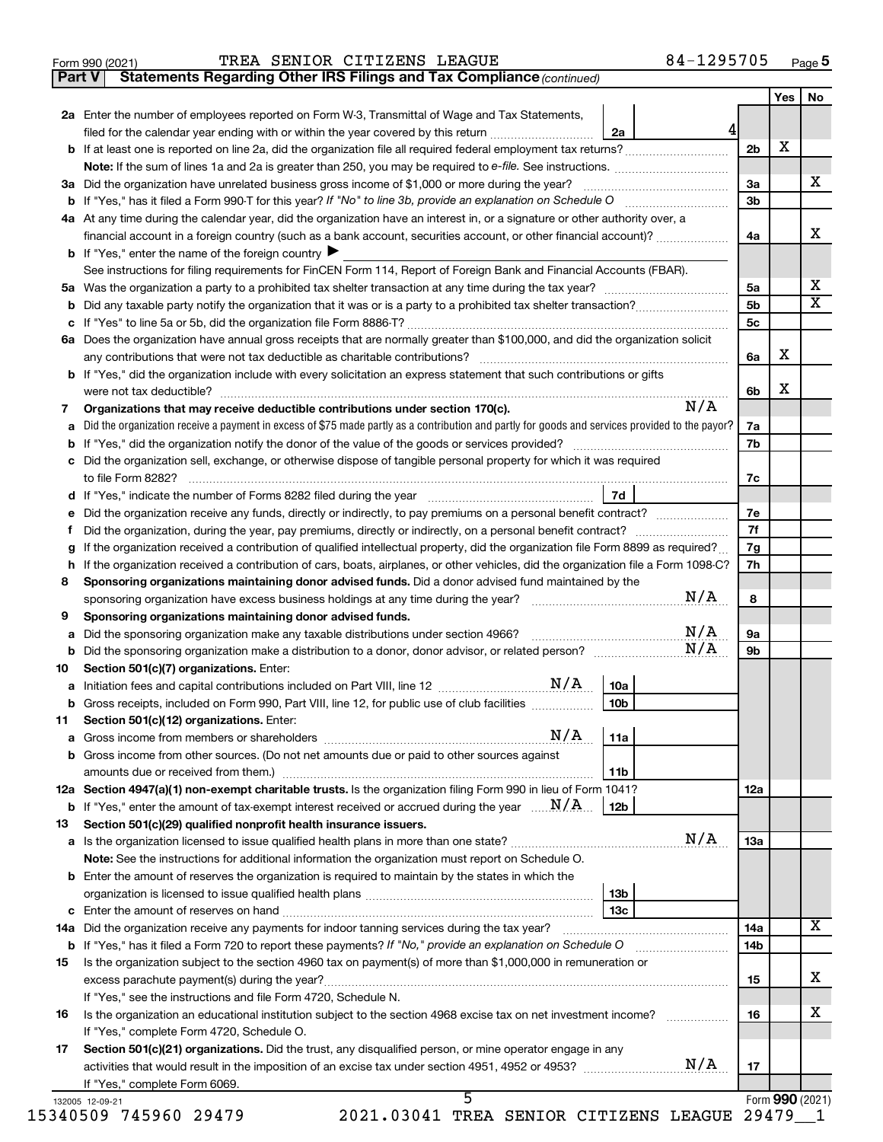|  | Form 990 (2021) |
|--|-----------------|
|  |                 |

**Part V Statements Regarding Other IRS Filings and Tax Compliance**

*(continued)*

|    | 2a Enter the number of employees reported on Form W-3, Transmittal of Wage and Tax Statements,                                                  |                |   |  |
|----|-------------------------------------------------------------------------------------------------------------------------------------------------|----------------|---|--|
|    | 2a<br>filed for the calendar year ending with or within the year covered by this return                                                         |                |   |  |
|    |                                                                                                                                                 | 2b             | х |  |
|    |                                                                                                                                                 |                |   |  |
|    | 3a Did the organization have unrelated business gross income of \$1,000 or more during the year?                                                | За             |   |  |
|    |                                                                                                                                                 | 3 <sub>b</sub> |   |  |
|    | 4a At any time during the calendar year, did the organization have an interest in, or a signature or other authority over, a                    |                |   |  |
|    | financial account in a foreign country (such as a bank account, securities account, or other financial account)?                                | 4a             |   |  |
|    | <b>b</b> If "Yes," enter the name of the foreign country $\triangleright$                                                                       |                |   |  |
|    | See instructions for filing requirements for FinCEN Form 114, Report of Foreign Bank and Financial Accounts (FBAR).                             |                |   |  |
|    |                                                                                                                                                 | 5a             |   |  |
|    |                                                                                                                                                 | 5 <sub>b</sub> |   |  |
|    |                                                                                                                                                 | 5c             |   |  |
|    | 6a Does the organization have annual gross receipts that are normally greater than \$100,000, and did the organization solicit                  |                |   |  |
|    | any contributions that were not tax deductible as charitable contributions?                                                                     | 6a             | х |  |
|    | b If "Yes," did the organization include with every solicitation an express statement that such contributions or gifts                          |                |   |  |
|    |                                                                                                                                                 | 6b             | х |  |
| 7  | N/A<br>Organizations that may receive deductible contributions under section 170(c).                                                            |                |   |  |
| а  | Did the organization receive a payment in excess of \$75 made partly as a contribution and partly for goods and services provided to the payor? | 7a             |   |  |
|    |                                                                                                                                                 | 7b             |   |  |
|    | c Did the organization sell, exchange, or otherwise dispose of tangible personal property for which it was required                             |                |   |  |
|    | to file Form 8282?                                                                                                                              | 7с             |   |  |
|    | 7d                                                                                                                                              |                |   |  |
|    | e Did the organization receive any funds, directly or indirectly, to pay premiums on a personal benefit contract?                               | 7е             |   |  |
| Ť. | Did the organization, during the year, pay premiums, directly or indirectly, on a personal benefit contract?                                    | 7f             |   |  |
| g  | If the organization received a contribution of qualified intellectual property, did the organization file Form 8899 as required?                | 7g             |   |  |
|    | h If the organization received a contribution of cars, boats, airplanes, or other vehicles, did the organization file a Form 1098-C?            | 7h             |   |  |
| 8  | Sponsoring organizations maintaining donor advised funds. Did a donor advised fund maintained by the                                            |                |   |  |
|    | N/A<br>sponsoring organization have excess business holdings at any time during the year?                                                       | 8              |   |  |
| 9  | Sponsoring organizations maintaining donor advised funds.                                                                                       |                |   |  |
| а  | N/A<br>Did the sponsoring organization make any taxable distributions under section 4966?                                                       | 9а             |   |  |
| b  | N/A<br>Did the sponsoring organization make a distribution to a donor, donor advisor, or related person?                                        | 9b             |   |  |
| 10 | Section 501(c)(7) organizations. Enter:                                                                                                         |                |   |  |
| а  | 10a                                                                                                                                             |                |   |  |
|    | Gross receipts, included on Form 990, Part VIII, line 12, for public use of club facilities<br>10b                                              |                |   |  |
|    | 11 Section 501(c)(12) organizations. Enter:                                                                                                     |                |   |  |
|    | N/A<br>11a                                                                                                                                      |                |   |  |
|    | b Gross income from other sources. (Do not net amounts due or paid to other sources against                                                     |                |   |  |
|    | 11b                                                                                                                                             |                |   |  |
|    | 12a Section 4947(a)(1) non-exempt charitable trusts. Is the organization filing Form 990 in lieu of Form 1041?                                  | 12a            |   |  |
|    | <b>b</b> If "Yes," enter the amount of tax-exempt interest received or accrued during the year $\ldots$ $N/A$ .<br>12b                          |                |   |  |
| 13 | Section 501(c)(29) qualified nonprofit health insurance issuers.                                                                                |                |   |  |
|    | N/A                                                                                                                                             | 13a            |   |  |
|    | Note: See the instructions for additional information the organization must report on Schedule O.                                               |                |   |  |
|    | <b>b</b> Enter the amount of reserves the organization is required to maintain by the states in which the                                       |                |   |  |
|    | 13 <sub>b</sub>                                                                                                                                 |                |   |  |
|    | 13с                                                                                                                                             |                |   |  |
|    |                                                                                                                                                 | 14a            |   |  |
|    |                                                                                                                                                 | 14b            |   |  |
| 15 | Is the organization subject to the section 4960 tax on payment(s) of more than \$1,000,000 in remuneration or                                   |                |   |  |
|    |                                                                                                                                                 | 15             |   |  |
|    | If "Yes," see the instructions and file Form 4720, Schedule N.                                                                                  |                |   |  |
| 16 | Is the organization an educational institution subject to the section 4968 excise tax on net investment income?                                 | 16             |   |  |
|    | If "Yes," complete Form 4720, Schedule O.                                                                                                       |                |   |  |
|    | Section 501(c)(21) organizations. Did the trust, any disqualified person, or mine operator engage in any                                        |                |   |  |
| 17 |                                                                                                                                                 |                |   |  |
|    |                                                                                                                                                 | 17             |   |  |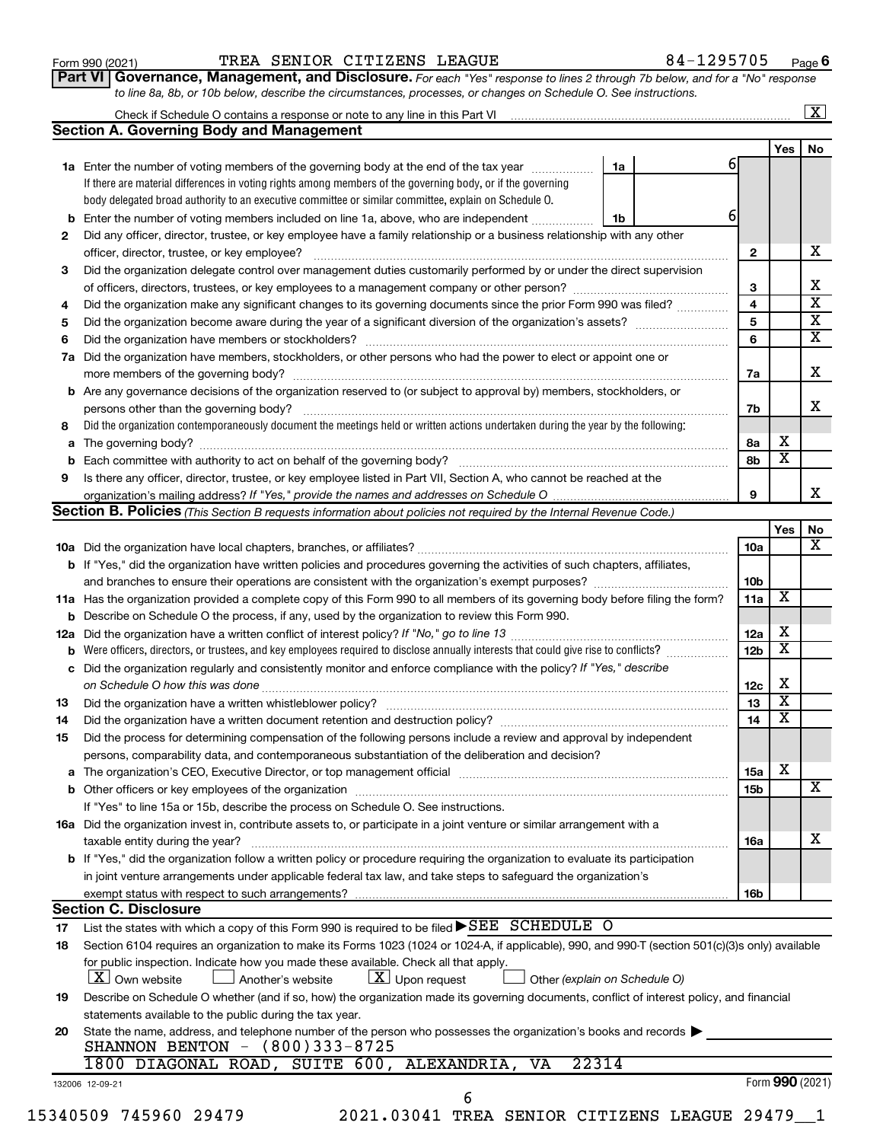| Form 990 (2021) |  |
|-----------------|--|
|-----------------|--|

# Form 990 (2021) Page TREA SENIOR CITIZENS LEAGUE 84-1295705

**Part VI** Governance, Management, and Disclosure. For each "Yes" response to lines 2 through 7b below, and for a "No" response *to line 8a, 8b, or 10b below, describe the circumstances, processes, or changes on Schedule O. See instructions.*

|                                                                                                                                                                                                                                                                                                                                                                                                                                                                                                                                                                                                                                                                                                                                                                                                                                                                                                                                                                                                                                                                                                                                                                                                                                                                                                                                                                                                                                                                                                                                                                                                                                                                                                                                                                                                                                                                                                                                                                                                                                                                                                                                                                                                                                                                                                                                                                                                                                                                                                                                                                                                                                                                                                                                                                                                                                                                                                                                                                                                                                                                                                                                                                                                                                                                                                                                                                                                                                                                                                                                                                                                                                                                                                                                                                                                                                                                                                                                                                                                                                                                                                                                                                                                                            |                            |                        |                         | $\overline{\mathbf{X}}$                                           |
|----------------------------------------------------------------------------------------------------------------------------------------------------------------------------------------------------------------------------------------------------------------------------------------------------------------------------------------------------------------------------------------------------------------------------------------------------------------------------------------------------------------------------------------------------------------------------------------------------------------------------------------------------------------------------------------------------------------------------------------------------------------------------------------------------------------------------------------------------------------------------------------------------------------------------------------------------------------------------------------------------------------------------------------------------------------------------------------------------------------------------------------------------------------------------------------------------------------------------------------------------------------------------------------------------------------------------------------------------------------------------------------------------------------------------------------------------------------------------------------------------------------------------------------------------------------------------------------------------------------------------------------------------------------------------------------------------------------------------------------------------------------------------------------------------------------------------------------------------------------------------------------------------------------------------------------------------------------------------------------------------------------------------------------------------------------------------------------------------------------------------------------------------------------------------------------------------------------------------------------------------------------------------------------------------------------------------------------------------------------------------------------------------------------------------------------------------------------------------------------------------------------------------------------------------------------------------------------------------------------------------------------------------------------------------------------------------------------------------------------------------------------------------------------------------------------------------------------------------------------------------------------------------------------------------------------------------------------------------------------------------------------------------------------------------------------------------------------------------------------------------------------------------------------------------------------------------------------------------------------------------------------------------------------------------------------------------------------------------------------------------------------------------------------------------------------------------------------------------------------------------------------------------------------------------------------------------------------------------------------------------------------------------------------------------------------------------------------------------------------------------------------------------------------------------------------------------------------------------------------------------------------------------------------------------------------------------------------------------------------------------------------------------------------------------------------------------------------------------------------------------------------------------------------------------------------------------------------------------|----------------------------|------------------------|-------------------------|-------------------------------------------------------------------|
|                                                                                                                                                                                                                                                                                                                                                                                                                                                                                                                                                                                                                                                                                                                                                                                                                                                                                                                                                                                                                                                                                                                                                                                                                                                                                                                                                                                                                                                                                                                                                                                                                                                                                                                                                                                                                                                                                                                                                                                                                                                                                                                                                                                                                                                                                                                                                                                                                                                                                                                                                                                                                                                                                                                                                                                                                                                                                                                                                                                                                                                                                                                                                                                                                                                                                                                                                                                                                                                                                                                                                                                                                                                                                                                                                                                                                                                                                                                                                                                                                                                                                                                                                                                                                            |                            |                        |                         |                                                                   |
|                                                                                                                                                                                                                                                                                                                                                                                                                                                                                                                                                                                                                                                                                                                                                                                                                                                                                                                                                                                                                                                                                                                                                                                                                                                                                                                                                                                                                                                                                                                                                                                                                                                                                                                                                                                                                                                                                                                                                                                                                                                                                                                                                                                                                                                                                                                                                                                                                                                                                                                                                                                                                                                                                                                                                                                                                                                                                                                                                                                                                                                                                                                                                                                                                                                                                                                                                                                                                                                                                                                                                                                                                                                                                                                                                                                                                                                                                                                                                                                                                                                                                                                                                                                                                            |                            |                        | Yes $ $                 | No                                                                |
|                                                                                                                                                                                                                                                                                                                                                                                                                                                                                                                                                                                                                                                                                                                                                                                                                                                                                                                                                                                                                                                                                                                                                                                                                                                                                                                                                                                                                                                                                                                                                                                                                                                                                                                                                                                                                                                                                                                                                                                                                                                                                                                                                                                                                                                                                                                                                                                                                                                                                                                                                                                                                                                                                                                                                                                                                                                                                                                                                                                                                                                                                                                                                                                                                                                                                                                                                                                                                                                                                                                                                                                                                                                                                                                                                                                                                                                                                                                                                                                                                                                                                                                                                                                                                            |                            | 61                     |                         |                                                                   |
|                                                                                                                                                                                                                                                                                                                                                                                                                                                                                                                                                                                                                                                                                                                                                                                                                                                                                                                                                                                                                                                                                                                                                                                                                                                                                                                                                                                                                                                                                                                                                                                                                                                                                                                                                                                                                                                                                                                                                                                                                                                                                                                                                                                                                                                                                                                                                                                                                                                                                                                                                                                                                                                                                                                                                                                                                                                                                                                                                                                                                                                                                                                                                                                                                                                                                                                                                                                                                                                                                                                                                                                                                                                                                                                                                                                                                                                                                                                                                                                                                                                                                                                                                                                                                            |                            |                        |                         |                                                                   |
|                                                                                                                                                                                                                                                                                                                                                                                                                                                                                                                                                                                                                                                                                                                                                                                                                                                                                                                                                                                                                                                                                                                                                                                                                                                                                                                                                                                                                                                                                                                                                                                                                                                                                                                                                                                                                                                                                                                                                                                                                                                                                                                                                                                                                                                                                                                                                                                                                                                                                                                                                                                                                                                                                                                                                                                                                                                                                                                                                                                                                                                                                                                                                                                                                                                                                                                                                                                                                                                                                                                                                                                                                                                                                                                                                                                                                                                                                                                                                                                                                                                                                                                                                                                                                            |                            |                        |                         |                                                                   |
|                                                                                                                                                                                                                                                                                                                                                                                                                                                                                                                                                                                                                                                                                                                                                                                                                                                                                                                                                                                                                                                                                                                                                                                                                                                                                                                                                                                                                                                                                                                                                                                                                                                                                                                                                                                                                                                                                                                                                                                                                                                                                                                                                                                                                                                                                                                                                                                                                                                                                                                                                                                                                                                                                                                                                                                                                                                                                                                                                                                                                                                                                                                                                                                                                                                                                                                                                                                                                                                                                                                                                                                                                                                                                                                                                                                                                                                                                                                                                                                                                                                                                                                                                                                                                            | 1b                         | 6                      |                         |                                                                   |
|                                                                                                                                                                                                                                                                                                                                                                                                                                                                                                                                                                                                                                                                                                                                                                                                                                                                                                                                                                                                                                                                                                                                                                                                                                                                                                                                                                                                                                                                                                                                                                                                                                                                                                                                                                                                                                                                                                                                                                                                                                                                                                                                                                                                                                                                                                                                                                                                                                                                                                                                                                                                                                                                                                                                                                                                                                                                                                                                                                                                                                                                                                                                                                                                                                                                                                                                                                                                                                                                                                                                                                                                                                                                                                                                                                                                                                                                                                                                                                                                                                                                                                                                                                                                                            |                            |                        |                         |                                                                   |
|                                                                                                                                                                                                                                                                                                                                                                                                                                                                                                                                                                                                                                                                                                                                                                                                                                                                                                                                                                                                                                                                                                                                                                                                                                                                                                                                                                                                                                                                                                                                                                                                                                                                                                                                                                                                                                                                                                                                                                                                                                                                                                                                                                                                                                                                                                                                                                                                                                                                                                                                                                                                                                                                                                                                                                                                                                                                                                                                                                                                                                                                                                                                                                                                                                                                                                                                                                                                                                                                                                                                                                                                                                                                                                                                                                                                                                                                                                                                                                                                                                                                                                                                                                                                                            |                            | $\mathbf{2}$           |                         | X                                                                 |
|                                                                                                                                                                                                                                                                                                                                                                                                                                                                                                                                                                                                                                                                                                                                                                                                                                                                                                                                                                                                                                                                                                                                                                                                                                                                                                                                                                                                                                                                                                                                                                                                                                                                                                                                                                                                                                                                                                                                                                                                                                                                                                                                                                                                                                                                                                                                                                                                                                                                                                                                                                                                                                                                                                                                                                                                                                                                                                                                                                                                                                                                                                                                                                                                                                                                                                                                                                                                                                                                                                                                                                                                                                                                                                                                                                                                                                                                                                                                                                                                                                                                                                                                                                                                                            |                            |                        |                         |                                                                   |
| Check if Schedule O contains a response or note to any line in this Part VI [1] [1] [1] [1] [1] [1] [1] [1] [1<br><b>Section A. Governing Body and Management</b><br>1a Enter the number of voting members of the governing body at the end of the tax year <i>manumum</i><br>1a<br>If there are material differences in voting rights among members of the governing body, or if the governing<br>body delegated broad authority to an executive committee or similar committee, explain on Schedule O.<br>Enter the number of voting members included on line 1a, above, who are independent<br>Did any officer, director, trustee, or key employee have a family relationship or a business relationship with any other<br>officer, director, trustee, or key employee?<br>Did the organization delegate control over management duties customarily performed by or under the direct supervision<br>Did the organization make any significant changes to its governing documents since the prior Form 990 was filed?<br>Did the organization have members, stockholders, or other persons who had the power to elect or appoint one or<br>Are any governance decisions of the organization reserved to (or subject to approval by) members, stockholders, or<br>Did the organization contemporaneously document the meetings held or written actions undertaken during the year by the following:<br>Is there any officer, director, trustee, or key employee listed in Part VII, Section A, who cannot be reached at the<br><b>Section B. Policies</b> (This Section B requests information about policies not required by the Internal Revenue Code.)<br><b>b</b> If "Yes," did the organization have written policies and procedures governing the activities of such chapters, affiliates,<br>11a Has the organization provided a complete copy of this Form 990 to all members of its governing body before filing the form?<br><b>b</b> Describe on Schedule O the process, if any, used by the organization to review this Form 990.<br>Were officers, directors, or trustees, and key employees required to disclose annually interests that could give rise to conflicts?<br>Did the organization regularly and consistently monitor and enforce compliance with the policy? If "Yes," describe<br>Did the organization have a written document retention and destruction policy? [11] manufaction model of the organization have a written document retention and destruction policy?<br>Did the process for determining compensation of the following persons include a review and approval by independent<br>persons, comparability data, and contemporaneous substantiation of the deliberation and decision?<br>The organization's CEO, Executive Director, or top management official [111] [11] manument content of the organization's CEO, Executive Director, or top management official [11] manument content of the organization of the<br>If "Yes" to line 15a or 15b, describe the process on Schedule O. See instructions.<br>16a Did the organization invest in, contribute assets to, or participate in a joint venture or similar arrangement with a<br>taxable entity during the year?<br>b If "Yes," did the organization follow a written policy or procedure requiring the organization to evaluate its participation<br>in joint venture arrangements under applicable federal tax law, and take steps to safeguard the organization's<br>exempt status with respect to such arrangements?<br><b>Section C. Disclosure</b><br>List the states with which a copy of this Form 990 is required to be filed ▶SEE SCHEDULE O<br>Section 6104 requires an organization to make its Forms 1023 (1024 or 1024-A, if applicable), 990, and 990-T (section 501(c)(3)s only) available<br>for public inspection. Indicate how you made these available. Check all that apply.<br>$ \mathbf{X} $ Upon request<br><b>X</b> Own website<br>Another's website<br>Other (explain on Schedule O)<br>Describe on Schedule O whether (and if so, how) the organization made its governing documents, conflict of interest policy, and financial<br>statements available to the public during the tax year. |                            | 3                      |                         |                                                                   |
|                                                                                                                                                                                                                                                                                                                                                                                                                                                                                                                                                                                                                                                                                                                                                                                                                                                                                                                                                                                                                                                                                                                                                                                                                                                                                                                                                                                                                                                                                                                                                                                                                                                                                                                                                                                                                                                                                                                                                                                                                                                                                                                                                                                                                                                                                                                                                                                                                                                                                                                                                                                                                                                                                                                                                                                                                                                                                                                                                                                                                                                                                                                                                                                                                                                                                                                                                                                                                                                                                                                                                                                                                                                                                                                                                                                                                                                                                                                                                                                                                                                                                                                                                                                                                            |                            | 4                      |                         |                                                                   |
|                                                                                                                                                                                                                                                                                                                                                                                                                                                                                                                                                                                                                                                                                                                                                                                                                                                                                                                                                                                                                                                                                                                                                                                                                                                                                                                                                                                                                                                                                                                                                                                                                                                                                                                                                                                                                                                                                                                                                                                                                                                                                                                                                                                                                                                                                                                                                                                                                                                                                                                                                                                                                                                                                                                                                                                                                                                                                                                                                                                                                                                                                                                                                                                                                                                                                                                                                                                                                                                                                                                                                                                                                                                                                                                                                                                                                                                                                                                                                                                                                                                                                                                                                                                                                            |                            | 5                      |                         |                                                                   |
|                                                                                                                                                                                                                                                                                                                                                                                                                                                                                                                                                                                                                                                                                                                                                                                                                                                                                                                                                                                                                                                                                                                                                                                                                                                                                                                                                                                                                                                                                                                                                                                                                                                                                                                                                                                                                                                                                                                                                                                                                                                                                                                                                                                                                                                                                                                                                                                                                                                                                                                                                                                                                                                                                                                                                                                                                                                                                                                                                                                                                                                                                                                                                                                                                                                                                                                                                                                                                                                                                                                                                                                                                                                                                                                                                                                                                                                                                                                                                                                                                                                                                                                                                                                                                            |                            | 6                      |                         |                                                                   |
|                                                                                                                                                                                                                                                                                                                                                                                                                                                                                                                                                                                                                                                                                                                                                                                                                                                                                                                                                                                                                                                                                                                                                                                                                                                                                                                                                                                                                                                                                                                                                                                                                                                                                                                                                                                                                                                                                                                                                                                                                                                                                                                                                                                                                                                                                                                                                                                                                                                                                                                                                                                                                                                                                                                                                                                                                                                                                                                                                                                                                                                                                                                                                                                                                                                                                                                                                                                                                                                                                                                                                                                                                                                                                                                                                                                                                                                                                                                                                                                                                                                                                                                                                                                                                            |                            |                        |                         |                                                                   |
|                                                                                                                                                                                                                                                                                                                                                                                                                                                                                                                                                                                                                                                                                                                                                                                                                                                                                                                                                                                                                                                                                                                                                                                                                                                                                                                                                                                                                                                                                                                                                                                                                                                                                                                                                                                                                                                                                                                                                                                                                                                                                                                                                                                                                                                                                                                                                                                                                                                                                                                                                                                                                                                                                                                                                                                                                                                                                                                                                                                                                                                                                                                                                                                                                                                                                                                                                                                                                                                                                                                                                                                                                                                                                                                                                                                                                                                                                                                                                                                                                                                                                                                                                                                                                            |                            | 7а                     |                         |                                                                   |
|                                                                                                                                                                                                                                                                                                                                                                                                                                                                                                                                                                                                                                                                                                                                                                                                                                                                                                                                                                                                                                                                                                                                                                                                                                                                                                                                                                                                                                                                                                                                                                                                                                                                                                                                                                                                                                                                                                                                                                                                                                                                                                                                                                                                                                                                                                                                                                                                                                                                                                                                                                                                                                                                                                                                                                                                                                                                                                                                                                                                                                                                                                                                                                                                                                                                                                                                                                                                                                                                                                                                                                                                                                                                                                                                                                                                                                                                                                                                                                                                                                                                                                                                                                                                                            |                            |                        |                         |                                                                   |
|                                                                                                                                                                                                                                                                                                                                                                                                                                                                                                                                                                                                                                                                                                                                                                                                                                                                                                                                                                                                                                                                                                                                                                                                                                                                                                                                                                                                                                                                                                                                                                                                                                                                                                                                                                                                                                                                                                                                                                                                                                                                                                                                                                                                                                                                                                                                                                                                                                                                                                                                                                                                                                                                                                                                                                                                                                                                                                                                                                                                                                                                                                                                                                                                                                                                                                                                                                                                                                                                                                                                                                                                                                                                                                                                                                                                                                                                                                                                                                                                                                                                                                                                                                                                                            |                            | 7b                     |                         |                                                                   |
|                                                                                                                                                                                                                                                                                                                                                                                                                                                                                                                                                                                                                                                                                                                                                                                                                                                                                                                                                                                                                                                                                                                                                                                                                                                                                                                                                                                                                                                                                                                                                                                                                                                                                                                                                                                                                                                                                                                                                                                                                                                                                                                                                                                                                                                                                                                                                                                                                                                                                                                                                                                                                                                                                                                                                                                                                                                                                                                                                                                                                                                                                                                                                                                                                                                                                                                                                                                                                                                                                                                                                                                                                                                                                                                                                                                                                                                                                                                                                                                                                                                                                                                                                                                                                            |                            |                        |                         |                                                                   |
|                                                                                                                                                                                                                                                                                                                                                                                                                                                                                                                                                                                                                                                                                                                                                                                                                                                                                                                                                                                                                                                                                                                                                                                                                                                                                                                                                                                                                                                                                                                                                                                                                                                                                                                                                                                                                                                                                                                                                                                                                                                                                                                                                                                                                                                                                                                                                                                                                                                                                                                                                                                                                                                                                                                                                                                                                                                                                                                                                                                                                                                                                                                                                                                                                                                                                                                                                                                                                                                                                                                                                                                                                                                                                                                                                                                                                                                                                                                                                                                                                                                                                                                                                                                                                            |                            | 8а                     | х                       |                                                                   |
|                                                                                                                                                                                                                                                                                                                                                                                                                                                                                                                                                                                                                                                                                                                                                                                                                                                                                                                                                                                                                                                                                                                                                                                                                                                                                                                                                                                                                                                                                                                                                                                                                                                                                                                                                                                                                                                                                                                                                                                                                                                                                                                                                                                                                                                                                                                                                                                                                                                                                                                                                                                                                                                                                                                                                                                                                                                                                                                                                                                                                                                                                                                                                                                                                                                                                                                                                                                                                                                                                                                                                                                                                                                                                                                                                                                                                                                                                                                                                                                                                                                                                                                                                                                                                            |                            | 8b                     | $\overline{\mathbf{x}}$ |                                                                   |
|                                                                                                                                                                                                                                                                                                                                                                                                                                                                                                                                                                                                                                                                                                                                                                                                                                                                                                                                                                                                                                                                                                                                                                                                                                                                                                                                                                                                                                                                                                                                                                                                                                                                                                                                                                                                                                                                                                                                                                                                                                                                                                                                                                                                                                                                                                                                                                                                                                                                                                                                                                                                                                                                                                                                                                                                                                                                                                                                                                                                                                                                                                                                                                                                                                                                                                                                                                                                                                                                                                                                                                                                                                                                                                                                                                                                                                                                                                                                                                                                                                                                                                                                                                                                                            |                            |                        |                         |                                                                   |
|                                                                                                                                                                                                                                                                                                                                                                                                                                                                                                                                                                                                                                                                                                                                                                                                                                                                                                                                                                                                                                                                                                                                                                                                                                                                                                                                                                                                                                                                                                                                                                                                                                                                                                                                                                                                                                                                                                                                                                                                                                                                                                                                                                                                                                                                                                                                                                                                                                                                                                                                                                                                                                                                                                                                                                                                                                                                                                                                                                                                                                                                                                                                                                                                                                                                                                                                                                                                                                                                                                                                                                                                                                                                                                                                                                                                                                                                                                                                                                                                                                                                                                                                                                                                                            |                            | 9                      |                         |                                                                   |
|                                                                                                                                                                                                                                                                                                                                                                                                                                                                                                                                                                                                                                                                                                                                                                                                                                                                                                                                                                                                                                                                                                                                                                                                                                                                                                                                                                                                                                                                                                                                                                                                                                                                                                                                                                                                                                                                                                                                                                                                                                                                                                                                                                                                                                                                                                                                                                                                                                                                                                                                                                                                                                                                                                                                                                                                                                                                                                                                                                                                                                                                                                                                                                                                                                                                                                                                                                                                                                                                                                                                                                                                                                                                                                                                                                                                                                                                                                                                                                                                                                                                                                                                                                                                                            |                            |                        |                         |                                                                   |
|                                                                                                                                                                                                                                                                                                                                                                                                                                                                                                                                                                                                                                                                                                                                                                                                                                                                                                                                                                                                                                                                                                                                                                                                                                                                                                                                                                                                                                                                                                                                                                                                                                                                                                                                                                                                                                                                                                                                                                                                                                                                                                                                                                                                                                                                                                                                                                                                                                                                                                                                                                                                                                                                                                                                                                                                                                                                                                                                                                                                                                                                                                                                                                                                                                                                                                                                                                                                                                                                                                                                                                                                                                                                                                                                                                                                                                                                                                                                                                                                                                                                                                                                                                                                                            |                            |                        | Yes                     | No                                                                |
|                                                                                                                                                                                                                                                                                                                                                                                                                                                                                                                                                                                                                                                                                                                                                                                                                                                                                                                                                                                                                                                                                                                                                                                                                                                                                                                                                                                                                                                                                                                                                                                                                                                                                                                                                                                                                                                                                                                                                                                                                                                                                                                                                                                                                                                                                                                                                                                                                                                                                                                                                                                                                                                                                                                                                                                                                                                                                                                                                                                                                                                                                                                                                                                                                                                                                                                                                                                                                                                                                                                                                                                                                                                                                                                                                                                                                                                                                                                                                                                                                                                                                                                                                                                                                            |                            | 10a                    |                         |                                                                   |
|                                                                                                                                                                                                                                                                                                                                                                                                                                                                                                                                                                                                                                                                                                                                                                                                                                                                                                                                                                                                                                                                                                                                                                                                                                                                                                                                                                                                                                                                                                                                                                                                                                                                                                                                                                                                                                                                                                                                                                                                                                                                                                                                                                                                                                                                                                                                                                                                                                                                                                                                                                                                                                                                                                                                                                                                                                                                                                                                                                                                                                                                                                                                                                                                                                                                                                                                                                                                                                                                                                                                                                                                                                                                                                                                                                                                                                                                                                                                                                                                                                                                                                                                                                                                                            |                            |                        |                         |                                                                   |
|                                                                                                                                                                                                                                                                                                                                                                                                                                                                                                                                                                                                                                                                                                                                                                                                                                                                                                                                                                                                                                                                                                                                                                                                                                                                                                                                                                                                                                                                                                                                                                                                                                                                                                                                                                                                                                                                                                                                                                                                                                                                                                                                                                                                                                                                                                                                                                                                                                                                                                                                                                                                                                                                                                                                                                                                                                                                                                                                                                                                                                                                                                                                                                                                                                                                                                                                                                                                                                                                                                                                                                                                                                                                                                                                                                                                                                                                                                                                                                                                                                                                                                                                                                                                                            |                            | 10 <sub>b</sub>        |                         |                                                                   |
|                                                                                                                                                                                                                                                                                                                                                                                                                                                                                                                                                                                                                                                                                                                                                                                                                                                                                                                                                                                                                                                                                                                                                                                                                                                                                                                                                                                                                                                                                                                                                                                                                                                                                                                                                                                                                                                                                                                                                                                                                                                                                                                                                                                                                                                                                                                                                                                                                                                                                                                                                                                                                                                                                                                                                                                                                                                                                                                                                                                                                                                                                                                                                                                                                                                                                                                                                                                                                                                                                                                                                                                                                                                                                                                                                                                                                                                                                                                                                                                                                                                                                                                                                                                                                            |                            | 11a                    | х                       |                                                                   |
|                                                                                                                                                                                                                                                                                                                                                                                                                                                                                                                                                                                                                                                                                                                                                                                                                                                                                                                                                                                                                                                                                                                                                                                                                                                                                                                                                                                                                                                                                                                                                                                                                                                                                                                                                                                                                                                                                                                                                                                                                                                                                                                                                                                                                                                                                                                                                                                                                                                                                                                                                                                                                                                                                                                                                                                                                                                                                                                                                                                                                                                                                                                                                                                                                                                                                                                                                                                                                                                                                                                                                                                                                                                                                                                                                                                                                                                                                                                                                                                                                                                                                                                                                                                                                            |                            |                        |                         |                                                                   |
|                                                                                                                                                                                                                                                                                                                                                                                                                                                                                                                                                                                                                                                                                                                                                                                                                                                                                                                                                                                                                                                                                                                                                                                                                                                                                                                                                                                                                                                                                                                                                                                                                                                                                                                                                                                                                                                                                                                                                                                                                                                                                                                                                                                                                                                                                                                                                                                                                                                                                                                                                                                                                                                                                                                                                                                                                                                                                                                                                                                                                                                                                                                                                                                                                                                                                                                                                                                                                                                                                                                                                                                                                                                                                                                                                                                                                                                                                                                                                                                                                                                                                                                                                                                                                            |                            |                        | X                       |                                                                   |
|                                                                                                                                                                                                                                                                                                                                                                                                                                                                                                                                                                                                                                                                                                                                                                                                                                                                                                                                                                                                                                                                                                                                                                                                                                                                                                                                                                                                                                                                                                                                                                                                                                                                                                                                                                                                                                                                                                                                                                                                                                                                                                                                                                                                                                                                                                                                                                                                                                                                                                                                                                                                                                                                                                                                                                                                                                                                                                                                                                                                                                                                                                                                                                                                                                                                                                                                                                                                                                                                                                                                                                                                                                                                                                                                                                                                                                                                                                                                                                                                                                                                                                                                                                                                                            |                            | 12a<br>12 <sub>b</sub> | $\overline{\textbf{x}}$ |                                                                   |
|                                                                                                                                                                                                                                                                                                                                                                                                                                                                                                                                                                                                                                                                                                                                                                                                                                                                                                                                                                                                                                                                                                                                                                                                                                                                                                                                                                                                                                                                                                                                                                                                                                                                                                                                                                                                                                                                                                                                                                                                                                                                                                                                                                                                                                                                                                                                                                                                                                                                                                                                                                                                                                                                                                                                                                                                                                                                                                                                                                                                                                                                                                                                                                                                                                                                                                                                                                                                                                                                                                                                                                                                                                                                                                                                                                                                                                                                                                                                                                                                                                                                                                                                                                                                                            |                            |                        |                         |                                                                   |
|                                                                                                                                                                                                                                                                                                                                                                                                                                                                                                                                                                                                                                                                                                                                                                                                                                                                                                                                                                                                                                                                                                                                                                                                                                                                                                                                                                                                                                                                                                                                                                                                                                                                                                                                                                                                                                                                                                                                                                                                                                                                                                                                                                                                                                                                                                                                                                                                                                                                                                                                                                                                                                                                                                                                                                                                                                                                                                                                                                                                                                                                                                                                                                                                                                                                                                                                                                                                                                                                                                                                                                                                                                                                                                                                                                                                                                                                                                                                                                                                                                                                                                                                                                                                                            |                            |                        | х                       |                                                                   |
|                                                                                                                                                                                                                                                                                                                                                                                                                                                                                                                                                                                                                                                                                                                                                                                                                                                                                                                                                                                                                                                                                                                                                                                                                                                                                                                                                                                                                                                                                                                                                                                                                                                                                                                                                                                                                                                                                                                                                                                                                                                                                                                                                                                                                                                                                                                                                                                                                                                                                                                                                                                                                                                                                                                                                                                                                                                                                                                                                                                                                                                                                                                                                                                                                                                                                                                                                                                                                                                                                                                                                                                                                                                                                                                                                                                                                                                                                                                                                                                                                                                                                                                                                                                                                            |                            | 12c                    | $\overline{\mathbf{x}}$ |                                                                   |
|                                                                                                                                                                                                                                                                                                                                                                                                                                                                                                                                                                                                                                                                                                                                                                                                                                                                                                                                                                                                                                                                                                                                                                                                                                                                                                                                                                                                                                                                                                                                                                                                                                                                                                                                                                                                                                                                                                                                                                                                                                                                                                                                                                                                                                                                                                                                                                                                                                                                                                                                                                                                                                                                                                                                                                                                                                                                                                                                                                                                                                                                                                                                                                                                                                                                                                                                                                                                                                                                                                                                                                                                                                                                                                                                                                                                                                                                                                                                                                                                                                                                                                                                                                                                                            |                            | 13                     | $\overline{\mathbf{x}}$ |                                                                   |
|                                                                                                                                                                                                                                                                                                                                                                                                                                                                                                                                                                                                                                                                                                                                                                                                                                                                                                                                                                                                                                                                                                                                                                                                                                                                                                                                                                                                                                                                                                                                                                                                                                                                                                                                                                                                                                                                                                                                                                                                                                                                                                                                                                                                                                                                                                                                                                                                                                                                                                                                                                                                                                                                                                                                                                                                                                                                                                                                                                                                                                                                                                                                                                                                                                                                                                                                                                                                                                                                                                                                                                                                                                                                                                                                                                                                                                                                                                                                                                                                                                                                                                                                                                                                                            |                            | 14                     |                         |                                                                   |
|                                                                                                                                                                                                                                                                                                                                                                                                                                                                                                                                                                                                                                                                                                                                                                                                                                                                                                                                                                                                                                                                                                                                                                                                                                                                                                                                                                                                                                                                                                                                                                                                                                                                                                                                                                                                                                                                                                                                                                                                                                                                                                                                                                                                                                                                                                                                                                                                                                                                                                                                                                                                                                                                                                                                                                                                                                                                                                                                                                                                                                                                                                                                                                                                                                                                                                                                                                                                                                                                                                                                                                                                                                                                                                                                                                                                                                                                                                                                                                                                                                                                                                                                                                                                                            |                            |                        |                         |                                                                   |
|                                                                                                                                                                                                                                                                                                                                                                                                                                                                                                                                                                                                                                                                                                                                                                                                                                                                                                                                                                                                                                                                                                                                                                                                                                                                                                                                                                                                                                                                                                                                                                                                                                                                                                                                                                                                                                                                                                                                                                                                                                                                                                                                                                                                                                                                                                                                                                                                                                                                                                                                                                                                                                                                                                                                                                                                                                                                                                                                                                                                                                                                                                                                                                                                                                                                                                                                                                                                                                                                                                                                                                                                                                                                                                                                                                                                                                                                                                                                                                                                                                                                                                                                                                                                                            |                            |                        |                         |                                                                   |
|                                                                                                                                                                                                                                                                                                                                                                                                                                                                                                                                                                                                                                                                                                                                                                                                                                                                                                                                                                                                                                                                                                                                                                                                                                                                                                                                                                                                                                                                                                                                                                                                                                                                                                                                                                                                                                                                                                                                                                                                                                                                                                                                                                                                                                                                                                                                                                                                                                                                                                                                                                                                                                                                                                                                                                                                                                                                                                                                                                                                                                                                                                                                                                                                                                                                                                                                                                                                                                                                                                                                                                                                                                                                                                                                                                                                                                                                                                                                                                                                                                                                                                                                                                                                                            |                            | <b>15a</b>             | х                       |                                                                   |
|                                                                                                                                                                                                                                                                                                                                                                                                                                                                                                                                                                                                                                                                                                                                                                                                                                                                                                                                                                                                                                                                                                                                                                                                                                                                                                                                                                                                                                                                                                                                                                                                                                                                                                                                                                                                                                                                                                                                                                                                                                                                                                                                                                                                                                                                                                                                                                                                                                                                                                                                                                                                                                                                                                                                                                                                                                                                                                                                                                                                                                                                                                                                                                                                                                                                                                                                                                                                                                                                                                                                                                                                                                                                                                                                                                                                                                                                                                                                                                                                                                                                                                                                                                                                                            |                            | <b>15b</b>             |                         |                                                                   |
|                                                                                                                                                                                                                                                                                                                                                                                                                                                                                                                                                                                                                                                                                                                                                                                                                                                                                                                                                                                                                                                                                                                                                                                                                                                                                                                                                                                                                                                                                                                                                                                                                                                                                                                                                                                                                                                                                                                                                                                                                                                                                                                                                                                                                                                                                                                                                                                                                                                                                                                                                                                                                                                                                                                                                                                                                                                                                                                                                                                                                                                                                                                                                                                                                                                                                                                                                                                                                                                                                                                                                                                                                                                                                                                                                                                                                                                                                                                                                                                                                                                                                                                                                                                                                            |                            |                        |                         |                                                                   |
|                                                                                                                                                                                                                                                                                                                                                                                                                                                                                                                                                                                                                                                                                                                                                                                                                                                                                                                                                                                                                                                                                                                                                                                                                                                                                                                                                                                                                                                                                                                                                                                                                                                                                                                                                                                                                                                                                                                                                                                                                                                                                                                                                                                                                                                                                                                                                                                                                                                                                                                                                                                                                                                                                                                                                                                                                                                                                                                                                                                                                                                                                                                                                                                                                                                                                                                                                                                                                                                                                                                                                                                                                                                                                                                                                                                                                                                                                                                                                                                                                                                                                                                                                                                                                            |                            |                        |                         |                                                                   |
|                                                                                                                                                                                                                                                                                                                                                                                                                                                                                                                                                                                                                                                                                                                                                                                                                                                                                                                                                                                                                                                                                                                                                                                                                                                                                                                                                                                                                                                                                                                                                                                                                                                                                                                                                                                                                                                                                                                                                                                                                                                                                                                                                                                                                                                                                                                                                                                                                                                                                                                                                                                                                                                                                                                                                                                                                                                                                                                                                                                                                                                                                                                                                                                                                                                                                                                                                                                                                                                                                                                                                                                                                                                                                                                                                                                                                                                                                                                                                                                                                                                                                                                                                                                                                            |                            | 16a                    |                         |                                                                   |
|                                                                                                                                                                                                                                                                                                                                                                                                                                                                                                                                                                                                                                                                                                                                                                                                                                                                                                                                                                                                                                                                                                                                                                                                                                                                                                                                                                                                                                                                                                                                                                                                                                                                                                                                                                                                                                                                                                                                                                                                                                                                                                                                                                                                                                                                                                                                                                                                                                                                                                                                                                                                                                                                                                                                                                                                                                                                                                                                                                                                                                                                                                                                                                                                                                                                                                                                                                                                                                                                                                                                                                                                                                                                                                                                                                                                                                                                                                                                                                                                                                                                                                                                                                                                                            |                            |                        |                         |                                                                   |
|                                                                                                                                                                                                                                                                                                                                                                                                                                                                                                                                                                                                                                                                                                                                                                                                                                                                                                                                                                                                                                                                                                                                                                                                                                                                                                                                                                                                                                                                                                                                                                                                                                                                                                                                                                                                                                                                                                                                                                                                                                                                                                                                                                                                                                                                                                                                                                                                                                                                                                                                                                                                                                                                                                                                                                                                                                                                                                                                                                                                                                                                                                                                                                                                                                                                                                                                                                                                                                                                                                                                                                                                                                                                                                                                                                                                                                                                                                                                                                                                                                                                                                                                                                                                                            |                            |                        |                         |                                                                   |
|                                                                                                                                                                                                                                                                                                                                                                                                                                                                                                                                                                                                                                                                                                                                                                                                                                                                                                                                                                                                                                                                                                                                                                                                                                                                                                                                                                                                                                                                                                                                                                                                                                                                                                                                                                                                                                                                                                                                                                                                                                                                                                                                                                                                                                                                                                                                                                                                                                                                                                                                                                                                                                                                                                                                                                                                                                                                                                                                                                                                                                                                                                                                                                                                                                                                                                                                                                                                                                                                                                                                                                                                                                                                                                                                                                                                                                                                                                                                                                                                                                                                                                                                                                                                                            |                            | 16 <sub>b</sub>        |                         |                                                                   |
|                                                                                                                                                                                                                                                                                                                                                                                                                                                                                                                                                                                                                                                                                                                                                                                                                                                                                                                                                                                                                                                                                                                                                                                                                                                                                                                                                                                                                                                                                                                                                                                                                                                                                                                                                                                                                                                                                                                                                                                                                                                                                                                                                                                                                                                                                                                                                                                                                                                                                                                                                                                                                                                                                                                                                                                                                                                                                                                                                                                                                                                                                                                                                                                                                                                                                                                                                                                                                                                                                                                                                                                                                                                                                                                                                                                                                                                                                                                                                                                                                                                                                                                                                                                                                            |                            |                        |                         |                                                                   |
|                                                                                                                                                                                                                                                                                                                                                                                                                                                                                                                                                                                                                                                                                                                                                                                                                                                                                                                                                                                                                                                                                                                                                                                                                                                                                                                                                                                                                                                                                                                                                                                                                                                                                                                                                                                                                                                                                                                                                                                                                                                                                                                                                                                                                                                                                                                                                                                                                                                                                                                                                                                                                                                                                                                                                                                                                                                                                                                                                                                                                                                                                                                                                                                                                                                                                                                                                                                                                                                                                                                                                                                                                                                                                                                                                                                                                                                                                                                                                                                                                                                                                                                                                                                                                            |                            |                        |                         |                                                                   |
|                                                                                                                                                                                                                                                                                                                                                                                                                                                                                                                                                                                                                                                                                                                                                                                                                                                                                                                                                                                                                                                                                                                                                                                                                                                                                                                                                                                                                                                                                                                                                                                                                                                                                                                                                                                                                                                                                                                                                                                                                                                                                                                                                                                                                                                                                                                                                                                                                                                                                                                                                                                                                                                                                                                                                                                                                                                                                                                                                                                                                                                                                                                                                                                                                                                                                                                                                                                                                                                                                                                                                                                                                                                                                                                                                                                                                                                                                                                                                                                                                                                                                                                                                                                                                            |                            |                        |                         |                                                                   |
|                                                                                                                                                                                                                                                                                                                                                                                                                                                                                                                                                                                                                                                                                                                                                                                                                                                                                                                                                                                                                                                                                                                                                                                                                                                                                                                                                                                                                                                                                                                                                                                                                                                                                                                                                                                                                                                                                                                                                                                                                                                                                                                                                                                                                                                                                                                                                                                                                                                                                                                                                                                                                                                                                                                                                                                                                                                                                                                                                                                                                                                                                                                                                                                                                                                                                                                                                                                                                                                                                                                                                                                                                                                                                                                                                                                                                                                                                                                                                                                                                                                                                                                                                                                                                            |                            |                        |                         |                                                                   |
|                                                                                                                                                                                                                                                                                                                                                                                                                                                                                                                                                                                                                                                                                                                                                                                                                                                                                                                                                                                                                                                                                                                                                                                                                                                                                                                                                                                                                                                                                                                                                                                                                                                                                                                                                                                                                                                                                                                                                                                                                                                                                                                                                                                                                                                                                                                                                                                                                                                                                                                                                                                                                                                                                                                                                                                                                                                                                                                                                                                                                                                                                                                                                                                                                                                                                                                                                                                                                                                                                                                                                                                                                                                                                                                                                                                                                                                                                                                                                                                                                                                                                                                                                                                                                            |                            |                        |                         |                                                                   |
|                                                                                                                                                                                                                                                                                                                                                                                                                                                                                                                                                                                                                                                                                                                                                                                                                                                                                                                                                                                                                                                                                                                                                                                                                                                                                                                                                                                                                                                                                                                                                                                                                                                                                                                                                                                                                                                                                                                                                                                                                                                                                                                                                                                                                                                                                                                                                                                                                                                                                                                                                                                                                                                                                                                                                                                                                                                                                                                                                                                                                                                                                                                                                                                                                                                                                                                                                                                                                                                                                                                                                                                                                                                                                                                                                                                                                                                                                                                                                                                                                                                                                                                                                                                                                            |                            |                        |                         |                                                                   |
|                                                                                                                                                                                                                                                                                                                                                                                                                                                                                                                                                                                                                                                                                                                                                                                                                                                                                                                                                                                                                                                                                                                                                                                                                                                                                                                                                                                                                                                                                                                                                                                                                                                                                                                                                                                                                                                                                                                                                                                                                                                                                                                                                                                                                                                                                                                                                                                                                                                                                                                                                                                                                                                                                                                                                                                                                                                                                                                                                                                                                                                                                                                                                                                                                                                                                                                                                                                                                                                                                                                                                                                                                                                                                                                                                                                                                                                                                                                                                                                                                                                                                                                                                                                                                            |                            |                        |                         |                                                                   |
| State the name, address, and telephone number of the person who possesses the organization's books and records                                                                                                                                                                                                                                                                                                                                                                                                                                                                                                                                                                                                                                                                                                                                                                                                                                                                                                                                                                                                                                                                                                                                                                                                                                                                                                                                                                                                                                                                                                                                                                                                                                                                                                                                                                                                                                                                                                                                                                                                                                                                                                                                                                                                                                                                                                                                                                                                                                                                                                                                                                                                                                                                                                                                                                                                                                                                                                                                                                                                                                                                                                                                                                                                                                                                                                                                                                                                                                                                                                                                                                                                                                                                                                                                                                                                                                                                                                                                                                                                                                                                                                             |                            |                        |                         |                                                                   |
| SHANNON BENTON - (800)333-8725                                                                                                                                                                                                                                                                                                                                                                                                                                                                                                                                                                                                                                                                                                                                                                                                                                                                                                                                                                                                                                                                                                                                                                                                                                                                                                                                                                                                                                                                                                                                                                                                                                                                                                                                                                                                                                                                                                                                                                                                                                                                                                                                                                                                                                                                                                                                                                                                                                                                                                                                                                                                                                                                                                                                                                                                                                                                                                                                                                                                                                                                                                                                                                                                                                                                                                                                                                                                                                                                                                                                                                                                                                                                                                                                                                                                                                                                                                                                                                                                                                                                                                                                                                                             |                            |                        |                         |                                                                   |
| 1800 DIAGONAL ROAD, SUITE 600, ALEXANDRIA,<br>$\overline{\text{VA}}$                                                                                                                                                                                                                                                                                                                                                                                                                                                                                                                                                                                                                                                                                                                                                                                                                                                                                                                                                                                                                                                                                                                                                                                                                                                                                                                                                                                                                                                                                                                                                                                                                                                                                                                                                                                                                                                                                                                                                                                                                                                                                                                                                                                                                                                                                                                                                                                                                                                                                                                                                                                                                                                                                                                                                                                                                                                                                                                                                                                                                                                                                                                                                                                                                                                                                                                                                                                                                                                                                                                                                                                                                                                                                                                                                                                                                                                                                                                                                                                                                                                                                                                                                       |                            |                        |                         |                                                                   |
|                                                                                                                                                                                                                                                                                                                                                                                                                                                                                                                                                                                                                                                                                                                                                                                                                                                                                                                                                                                                                                                                                                                                                                                                                                                                                                                                                                                                                                                                                                                                                                                                                                                                                                                                                                                                                                                                                                                                                                                                                                                                                                                                                                                                                                                                                                                                                                                                                                                                                                                                                                                                                                                                                                                                                                                                                                                                                                                                                                                                                                                                                                                                                                                                                                                                                                                                                                                                                                                                                                                                                                                                                                                                                                                                                                                                                                                                                                                                                                                                                                                                                                                                                                                                                            |                            |                        |                         |                                                                   |
|                                                                                                                                                                                                                                                                                                                                                                                                                                                                                                                                                                                                                                                                                                                                                                                                                                                                                                                                                                                                                                                                                                                                                                                                                                                                                                                                                                                                                                                                                                                                                                                                                                                                                                                                                                                                                                                                                                                                                                                                                                                                                                                                                                                                                                                                                                                                                                                                                                                                                                                                                                                                                                                                                                                                                                                                                                                                                                                                                                                                                                                                                                                                                                                                                                                                                                                                                                                                                                                                                                                                                                                                                                                                                                                                                                                                                                                                                                                                                                                                                                                                                                                                                                                                                            | 6<br>15340509 745960 29479 | 22314                  |                         | Form 990 (2021)<br>2021.03041 TREA SENIOR CITIZENS LEAGUE 29479_1 |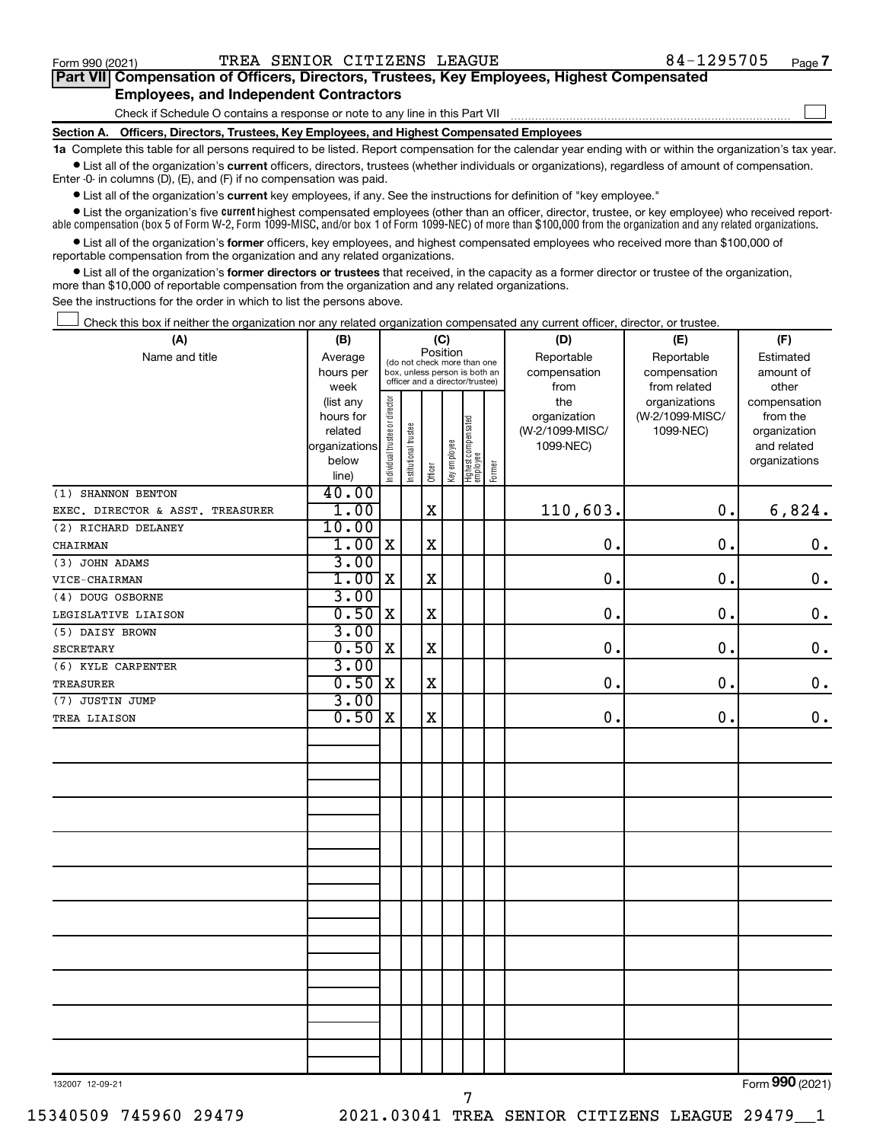$\Box$ 

| Part VII Compensation of Officers, Directors, Trustees, Key Employees, Highest Compensated |  |  |
|--------------------------------------------------------------------------------------------|--|--|
| <b>Employees, and Independent Contractors</b>                                              |  |  |

Check if Schedule O contains a response or note to any line in this Part VII

**Section A. Officers, Directors, Trustees, Key Employees, and Highest Compensated Employees**

**1a**  Complete this table for all persons required to be listed. Report compensation for the calendar year ending with or within the organization's tax year.  $\bullet$  List all of the organization's current officers, directors, trustees (whether individuals or organizations), regardless of amount of compensation.

Enter -0- in columns (D), (E), and (F) if no compensation was paid.

**•** List all of the organization's **current** key employees, if any. See the instructions for definition of "key employee."

• List the organization's five *current* highest compensated employees (other than an officer, director, trustee, or key employee) who received reportable compensation (box 5 of Form W-2, Form 1099-MISC, and/or box 1 of Form 1099-NEC) of more than \$100,000 from the organization and any related organizations.

 $\bullet$  List all of the organization's former officers, key employees, and highest compensated employees who received more than \$100,000 of reportable compensation from the organization and any related organizations.

**•** List all of the organization's former directors or trustees that received, in the capacity as a former director or trustee of the organization, more than \$10,000 of reportable compensation from the organization and any related organizations.

See the instructions for the order in which to list the persons above.

Check this box if neither the organization nor any related organization compensated any current officer, director, or trustee.  $\Box$ 

| (A)                              | (B)                    | (C)                            |                                                                  |             |              |                                 |        | (D)             | (E)             | (F)                          |  |  |
|----------------------------------|------------------------|--------------------------------|------------------------------------------------------------------|-------------|--------------|---------------------------------|--------|-----------------|-----------------|------------------------------|--|--|
| Name and title                   | Average                |                                | (do not check more than one                                      | Position    |              |                                 |        | Reportable      | Reportable      | Estimated                    |  |  |
|                                  | hours per              |                                | box, unless person is both an<br>officer and a director/trustee) |             |              |                                 |        | compensation    | compensation    | amount of                    |  |  |
|                                  | week                   |                                |                                                                  |             |              |                                 |        | from            | from related    | other                        |  |  |
|                                  | (list any              |                                |                                                                  |             |              |                                 |        | the             | organizations   | compensation                 |  |  |
|                                  | hours for              |                                |                                                                  |             |              |                                 |        | organization    | (W-2/1099-MISC/ | from the                     |  |  |
|                                  | related                |                                |                                                                  |             |              |                                 |        | (W-2/1099-MISC/ | 1099-NEC)       | organization                 |  |  |
|                                  | organizations<br>below |                                |                                                                  |             |              |                                 |        | 1099-NEC)       |                 | and related<br>organizations |  |  |
|                                  | line)                  | Individual trustee or director | Institutional trustee                                            | Officer     | Key employee | Highest compensated<br>employee | Former |                 |                 |                              |  |  |
| (1) SHANNON BENTON               | 40.00                  |                                |                                                                  |             |              |                                 |        |                 |                 |                              |  |  |
| EXEC. DIRECTOR & ASST. TREASURER | 1.00                   |                                |                                                                  | $\mathbf X$ |              |                                 |        | 110,603.        | 0.              | 6,824.                       |  |  |
| (2) RICHARD DELANEY              | 10.00                  |                                |                                                                  |             |              |                                 |        |                 |                 |                              |  |  |
| CHAIRMAN                         | 1.00                   | $\mathbf X$                    |                                                                  | $\mathbf X$ |              |                                 |        | 0.              | 0.              | $\mathbf 0$ .                |  |  |
| (3) JOHN ADAMS                   | 3.00                   |                                |                                                                  |             |              |                                 |        |                 |                 |                              |  |  |
| VICE-CHAIRMAN                    | 1.00                   | X                              |                                                                  | $\mathbf X$ |              |                                 |        | 0.              | 0.              | $\mathbf 0$ .                |  |  |
| (4) DOUG OSBORNE                 | 3.00                   |                                |                                                                  |             |              |                                 |        |                 |                 |                              |  |  |
| LEGISLATIVE LIAISON              | 0.50                   | X                              |                                                                  | $\mathbf X$ |              |                                 |        | 0.              | 0.              | $0$ .                        |  |  |
| (5) DAISY BROWN                  | 3.00                   |                                |                                                                  |             |              |                                 |        |                 |                 |                              |  |  |
| <b>SECRETARY</b>                 | 0.50                   | X                              |                                                                  | $\mathbf X$ |              |                                 |        | $\mathbf 0$ .   | 0.              | $\mathbf 0$ .                |  |  |
| (6) KYLE CARPENTER               | 3.00                   |                                |                                                                  |             |              |                                 |        |                 |                 |                              |  |  |
| TREASURER                        | 0.50                   | $\mathbf x$                    |                                                                  | $\mathbf X$ |              |                                 |        | $\mathbf 0$ .   | 0.              | $\mathbf 0$ .                |  |  |
| (7) JUSTIN JUMP                  | 3.00                   |                                |                                                                  |             |              |                                 |        |                 |                 |                              |  |  |
| TREA LIAISON                     | 0.50                   | $\mathbf x$                    |                                                                  | $\mathbf X$ |              |                                 |        | 0.              | 0.              | $\mathbf 0$ .                |  |  |
|                                  |                        |                                |                                                                  |             |              |                                 |        |                 |                 |                              |  |  |
|                                  |                        |                                |                                                                  |             |              |                                 |        |                 |                 |                              |  |  |
|                                  |                        |                                |                                                                  |             |              |                                 |        |                 |                 |                              |  |  |
|                                  |                        |                                |                                                                  |             |              |                                 |        |                 |                 |                              |  |  |
|                                  |                        |                                |                                                                  |             |              |                                 |        |                 |                 |                              |  |  |
|                                  |                        |                                |                                                                  |             |              |                                 |        |                 |                 |                              |  |  |
|                                  |                        |                                |                                                                  |             |              |                                 |        |                 |                 |                              |  |  |
|                                  |                        |                                |                                                                  |             |              |                                 |        |                 |                 |                              |  |  |
|                                  |                        |                                |                                                                  |             |              |                                 |        |                 |                 |                              |  |  |
|                                  |                        |                                |                                                                  |             |              |                                 |        |                 |                 |                              |  |  |
|                                  |                        |                                |                                                                  |             |              |                                 |        |                 |                 |                              |  |  |
|                                  |                        |                                |                                                                  |             |              |                                 |        |                 |                 |                              |  |  |
|                                  |                        |                                |                                                                  |             |              |                                 |        |                 |                 |                              |  |  |
|                                  |                        |                                |                                                                  |             |              |                                 |        |                 |                 |                              |  |  |
|                                  |                        |                                |                                                                  |             |              |                                 |        |                 |                 |                              |  |  |
|                                  |                        |                                |                                                                  |             |              |                                 |        |                 |                 |                              |  |  |
|                                  |                        |                                |                                                                  |             |              |                                 |        |                 |                 |                              |  |  |
|                                  |                        |                                |                                                                  |             |              |                                 |        |                 |                 |                              |  |  |
|                                  |                        |                                |                                                                  |             |              |                                 |        |                 |                 |                              |  |  |

7

132007 12-09-21

Form (2021) **990**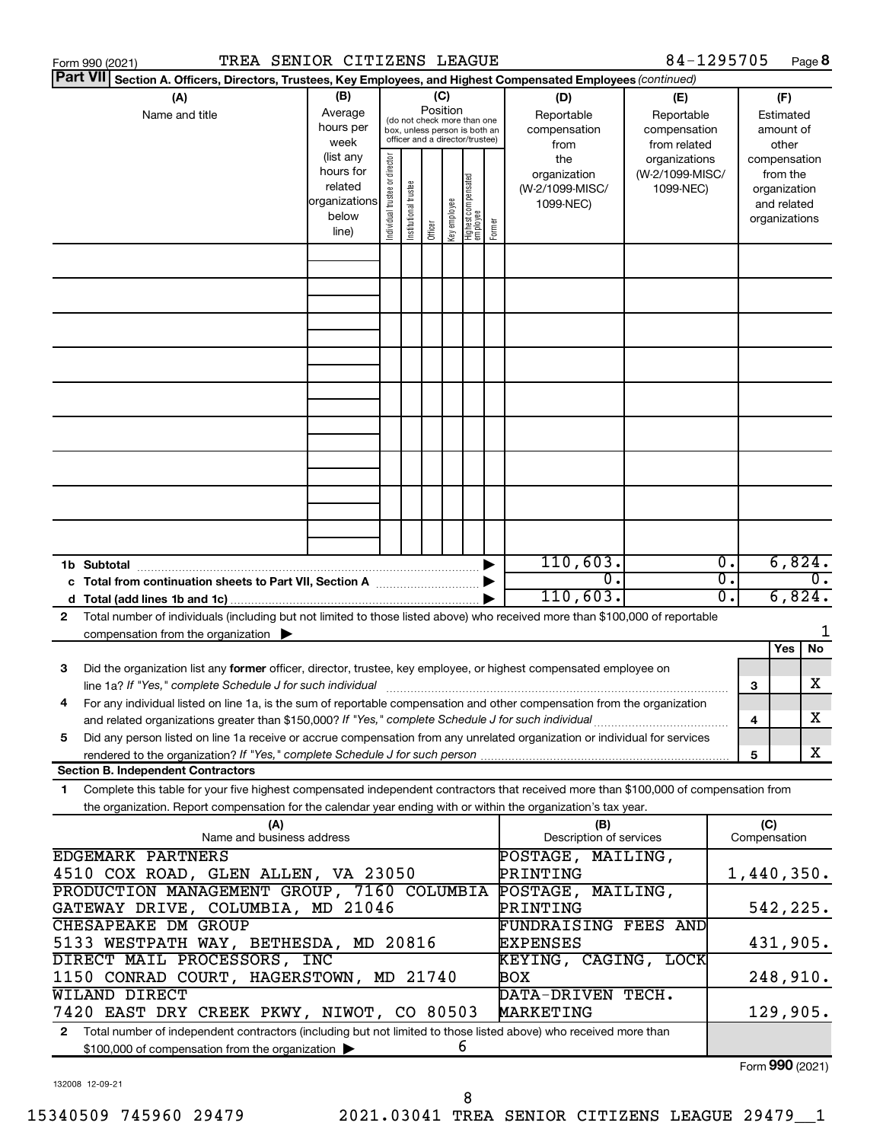| TREA SENIOR CITIZENS LEAGUE<br>Form 990 (2021)                                                                                             |               |                               |                       |          |              |                                                              |        |                                         | 84-1295705      |                  |     |                     | Page 8           |
|--------------------------------------------------------------------------------------------------------------------------------------------|---------------|-------------------------------|-----------------------|----------|--------------|--------------------------------------------------------------|--------|-----------------------------------------|-----------------|------------------|-----|---------------------|------------------|
| <b>Part VII</b><br>Section A. Officers, Directors, Trustees, Key Employees, and Highest Compensated Employees (continued)                  |               |                               |                       |          |              |                                                              |        |                                         |                 |                  |     |                     |                  |
| (A)                                                                                                                                        | (B)           |                               |                       |          | (C)          |                                                              |        | (D)                                     | (E)             |                  |     | (F)                 |                  |
| Name and title                                                                                                                             | Average       |                               |                       | Position |              |                                                              |        | Reportable                              | Reportable      |                  |     | Estimated           |                  |
|                                                                                                                                            | hours per     |                               |                       |          |              | (do not check more than one<br>box, unless person is both an |        | compensation                            | compensation    |                  |     | amount of           |                  |
|                                                                                                                                            | week          |                               |                       |          |              | officer and a director/trustee)                              |        | from                                    | from related    |                  |     | other               |                  |
|                                                                                                                                            | (list any     |                               |                       |          |              |                                                              |        | the                                     | organizations   |                  |     | compensation        |                  |
|                                                                                                                                            | hours for     |                               |                       |          |              |                                                              |        | organization                            | (W-2/1099-MISC/ |                  |     | from the            |                  |
|                                                                                                                                            | related       |                               |                       |          |              |                                                              |        | (W-2/1099-MISC/                         | 1099-NEC)       |                  |     | organization        |                  |
|                                                                                                                                            | organizations |                               |                       |          |              |                                                              |        | 1099-NEC)                               |                 |                  |     | and related         |                  |
|                                                                                                                                            | below         | ndividual trustee or director | Institutional trustee |          | Key employee | Highest compensated<br>  employee                            | Former |                                         |                 |                  |     | organizations       |                  |
|                                                                                                                                            | line)         |                               |                       | Officer  |              |                                                              |        |                                         |                 |                  |     |                     |                  |
|                                                                                                                                            |               |                               |                       |          |              |                                                              |        |                                         |                 |                  |     |                     |                  |
|                                                                                                                                            |               |                               |                       |          |              |                                                              |        |                                         |                 |                  |     |                     |                  |
|                                                                                                                                            |               |                               |                       |          |              |                                                              |        |                                         |                 |                  |     |                     |                  |
|                                                                                                                                            |               |                               |                       |          |              |                                                              |        |                                         |                 |                  |     |                     |                  |
|                                                                                                                                            |               |                               |                       |          |              |                                                              |        |                                         |                 |                  |     |                     |                  |
|                                                                                                                                            |               |                               |                       |          |              |                                                              |        |                                         |                 |                  |     |                     |                  |
|                                                                                                                                            |               |                               |                       |          |              |                                                              |        |                                         |                 |                  |     |                     |                  |
|                                                                                                                                            |               |                               |                       |          |              |                                                              |        |                                         |                 |                  |     |                     |                  |
|                                                                                                                                            |               |                               |                       |          |              |                                                              |        |                                         |                 |                  |     |                     |                  |
|                                                                                                                                            |               |                               |                       |          |              |                                                              |        |                                         |                 |                  |     |                     |                  |
|                                                                                                                                            |               |                               |                       |          |              |                                                              |        |                                         |                 |                  |     |                     |                  |
|                                                                                                                                            |               |                               |                       |          |              |                                                              |        |                                         |                 |                  |     |                     |                  |
|                                                                                                                                            |               |                               |                       |          |              |                                                              |        |                                         |                 |                  |     |                     |                  |
|                                                                                                                                            |               |                               |                       |          |              |                                                              |        |                                         |                 |                  |     |                     |                  |
|                                                                                                                                            |               |                               |                       |          |              |                                                              |        |                                         |                 |                  |     |                     |                  |
|                                                                                                                                            |               |                               |                       |          |              |                                                              |        | 110,603.                                |                 | $\overline{0}$ . |     | 6,824.              |                  |
|                                                                                                                                            |               |                               |                       |          |              |                                                              |        | σ.                                      |                 | σ.               |     |                     | $\overline{0}$ . |
|                                                                                                                                            |               |                               |                       |          |              |                                                              |        | 110,603.                                |                 | 0.               |     | 6,824.              |                  |
| Total number of individuals (including but not limited to those listed above) who received more than \$100,000 of reportable               |               |                               |                       |          |              |                                                              |        |                                         |                 |                  |     |                     |                  |
| 2<br>compensation from the organization $\blacktriangleright$                                                                              |               |                               |                       |          |              |                                                              |        |                                         |                 |                  |     |                     | 1                |
|                                                                                                                                            |               |                               |                       |          |              |                                                              |        |                                         |                 |                  |     | Yes                 | No               |
| Did the organization list any former officer, director, trustee, key employee, or highest compensated employee on<br>3                     |               |                               |                       |          |              |                                                              |        |                                         |                 |                  |     |                     |                  |
| line 1a? If "Yes," complete Schedule J for such individual manufactured contains and the set of the schedule J                             |               |                               |                       |          |              |                                                              |        |                                         |                 |                  | 3   |                     | х                |
| For any individual listed on line 1a, is the sum of reportable compensation and other compensation from the organization                   |               |                               |                       |          |              |                                                              |        |                                         |                 |                  |     |                     |                  |
| and related organizations greater than \$150,000? If "Yes," complete Schedule J for such individual                                        |               |                               |                       |          |              |                                                              |        |                                         |                 |                  | 4   |                     | х                |
| Did any person listed on line 1a receive or accrue compensation from any unrelated organization or individual for services<br>5            |               |                               |                       |          |              |                                                              |        |                                         |                 |                  |     |                     |                  |
|                                                                                                                                            |               |                               |                       |          |              |                                                              |        |                                         |                 |                  | 5   |                     | X                |
| <b>Section B. Independent Contractors</b>                                                                                                  |               |                               |                       |          |              |                                                              |        |                                         |                 |                  |     |                     |                  |
| Complete this table for your five highest compensated independent contractors that received more than \$100,000 of compensation from<br>1. |               |                               |                       |          |              |                                                              |        |                                         |                 |                  |     |                     |                  |
| the organization. Report compensation for the calendar year ending with or within the organization's tax year.                             |               |                               |                       |          |              |                                                              |        |                                         |                 |                  |     |                     |                  |
| (A)                                                                                                                                        |               |                               |                       |          |              |                                                              |        | (B)                                     |                 |                  | (C) |                     |                  |
| Name and business address                                                                                                                  |               |                               |                       |          |              |                                                              |        | Description of services                 |                 |                  |     | Compensation        |                  |
| <b>EDGEMARK PARTNERS</b>                                                                                                                   |               |                               |                       |          |              |                                                              |        | POSTAGE,                                | MAILING,        |                  |     |                     |                  |
| 4510 COX ROAD, GLEN ALLEN, VA 23050                                                                                                        |               |                               |                       |          |              |                                                              |        | PRINTING                                |                 |                  |     | 1,440,350.          |                  |
| PRODUCTION MANAGEMENT GROUP, 7160 COLUMBIA                                                                                                 |               |                               |                       |          | POSTAGE,     | MAILING,                                                     |        |                                         |                 |                  |     |                     |                  |
| GATEWAY DRIVE, COLUMBIA, MD 21046                                                                                                          |               |                               |                       |          |              |                                                              |        | PRINTING                                |                 |                  |     | 542,225.            |                  |
| CHESAPEAKE DM GROUP<br>5133 WESTPATH WAY, BETHESDA, MD 20816                                                                               |               |                               |                       |          |              |                                                              |        | <b>FUNDRAISING FEES AND</b><br>EXPENSES |                 |                  |     | 431,905.            |                  |
| DIRECT MAIL PROCESSORS, INC                                                                                                                |               |                               |                       |          |              |                                                              |        | KEYING, CAGING, LOCK                    |                 |                  |     |                     |                  |
| 1150 CONRAD COURT, HAGERSTOWN, MD 21740                                                                                                    |               |                               |                       |          |              |                                                              |        | BOX                                     |                 |                  |     | 248,910.            |                  |
| <b>WILAND DIRECT</b>                                                                                                                       |               |                               |                       |          |              |                                                              |        | DATA-DRIVEN TECH.                       |                 |                  |     |                     |                  |
| 7420 EAST DRY CREEK PKWY, NIWOT, CO 80503                                                                                                  |               |                               |                       |          |              |                                                              |        | MARKETING                               |                 |                  |     | 129,905.            |                  |
| Total number of independent contractors (including but not limited to those listed above) who received more than<br>$\mathbf{2}$           |               |                               |                       |          |              |                                                              |        |                                         |                 |                  |     |                     |                  |
| \$100,000 of compensation from the organization                                                                                            |               |                               |                       |          |              | 6                                                            |        |                                         |                 |                  |     |                     |                  |
|                                                                                                                                            |               |                               |                       |          |              |                                                              |        |                                         |                 |                  |     | $000 \text{ years}$ |                  |

132008 12-09-21

Form (2021) **990**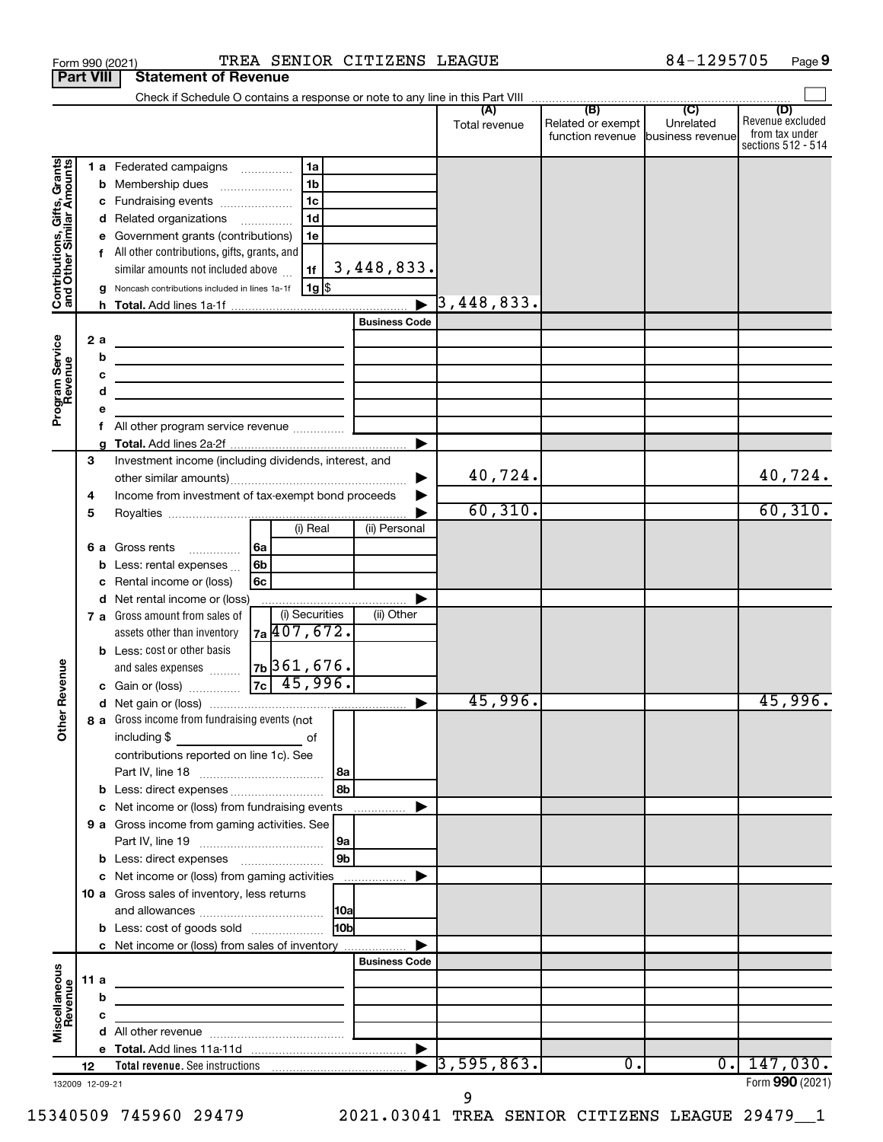|                                                           | <b>Part VIII</b> | <b>Statement of Revenue</b>                                                                                                                                                                                                          |                                                                                                        |                        |                          |                                                        |           |                                                                 |
|-----------------------------------------------------------|------------------|--------------------------------------------------------------------------------------------------------------------------------------------------------------------------------------------------------------------------------------|--------------------------------------------------------------------------------------------------------|------------------------|--------------------------|--------------------------------------------------------|-----------|-----------------------------------------------------------------|
|                                                           |                  |                                                                                                                                                                                                                                      |                                                                                                        |                        |                          |                                                        |           |                                                                 |
|                                                           |                  |                                                                                                                                                                                                                                      |                                                                                                        |                        | Total revenue            | Related or exempt<br>function revenue business revenue | Unrelated | (D)<br>Revenue excluded<br>from tax under<br>sections 512 - 514 |
| Contributions, Gifts, Grants<br>and Other Similar Amounts | b<br>f           | 1 a Federated campaigns<br>Membership dues<br>c Fundraising events<br>d Related organizations<br>Government grants (contributions)<br>All other contributions, gifts, grants, and                                                    | 1a<br>1 <sub>b</sub><br>$\ldots \ldots \ldots \ldots \ldots$<br>1 <sub>c</sub><br>1 <sub>d</sub><br>1e |                        |                          |                                                        |           |                                                                 |
|                                                           |                  | similar amounts not included above                                                                                                                                                                                                   | 1f                                                                                                     | 3,448,833.             |                          |                                                        |           |                                                                 |
|                                                           |                  | Noncash contributions included in lines 1a-1f                                                                                                                                                                                        | 1g  \$                                                                                                 |                        | $\overline{3}$ ,448,833. |                                                        |           |                                                                 |
|                                                           |                  |                                                                                                                                                                                                                                      |                                                                                                        | <b>Business Code</b>   |                          |                                                        |           |                                                                 |
|                                                           | 2a               | the control of the control of the control of the control of the control of                                                                                                                                                           |                                                                                                        |                        |                          |                                                        |           |                                                                 |
| Program Service<br>Revenue                                | b                | <u> 1989 - Johann Barbara, martin amerikan basar dan basar dan basar dalam basar dalam basar dalam basar dalam ba</u>                                                                                                                |                                                                                                        |                        |                          |                                                        |           |                                                                 |
|                                                           |                  | <u> 1989 - Johann Barbara, martxa alemaniar a</u>                                                                                                                                                                                    |                                                                                                        |                        |                          |                                                        |           |                                                                 |
|                                                           | d                |                                                                                                                                                                                                                                      |                                                                                                        |                        |                          |                                                        |           |                                                                 |
|                                                           |                  |                                                                                                                                                                                                                                      |                                                                                                        |                        |                          |                                                        |           |                                                                 |
|                                                           | f                |                                                                                                                                                                                                                                      |                                                                                                        |                        |                          |                                                        |           |                                                                 |
|                                                           |                  |                                                                                                                                                                                                                                      |                                                                                                        | ▶                      |                          |                                                        |           |                                                                 |
|                                                           | 3                | Investment income (including dividends, interest, and                                                                                                                                                                                |                                                                                                        |                        | 40,724.                  |                                                        |           | 40,724.                                                         |
|                                                           | 4                | Income from investment of tax-exempt bond proceeds                                                                                                                                                                                   |                                                                                                        |                        | 60, 310.                 |                                                        |           | 60, 310.                                                        |
|                                                           | 5                |                                                                                                                                                                                                                                      | (i) Real                                                                                               | (ii) Personal          |                          |                                                        |           |                                                                 |
|                                                           | 6а               | Gross rents                                                                                                                                                                                                                          | l6a                                                                                                    |                        |                          |                                                        |           |                                                                 |
|                                                           | b                | Less: rental expenses                                                                                                                                                                                                                | 6b                                                                                                     |                        |                          |                                                        |           |                                                                 |
|                                                           |                  | Rental income or (loss)                                                                                                                                                                                                              | 6с                                                                                                     |                        |                          |                                                        |           |                                                                 |
|                                                           |                  | d Net rental income or (loss)                                                                                                                                                                                                        |                                                                                                        |                        |                          |                                                        |           |                                                                 |
|                                                           |                  | 7 a Gross amount from sales of                                                                                                                                                                                                       | (i) Securities                                                                                         | (ii) Other             |                          |                                                        |           |                                                                 |
|                                                           |                  | assets other than inventory                                                                                                                                                                                                          | 7a 407, 672.                                                                                           |                        |                          |                                                        |           |                                                                 |
|                                                           |                  | <b>b</b> Less: cost or other basis                                                                                                                                                                                                   |                                                                                                        |                        |                          |                                                        |           |                                                                 |
|                                                           |                  | and sales expenses                                                                                                                                                                                                                   | $7b$ 361,676.                                                                                          |                        |                          |                                                        |           |                                                                 |
| Revenue                                                   |                  | c Gain or (loss)                                                                                                                                                                                                                     | $7c \mid 45,996.$                                                                                      |                        |                          |                                                        |           |                                                                 |
|                                                           |                  |                                                                                                                                                                                                                                      |                                                                                                        |                        | 45,996.                  |                                                        |           | 45,996.                                                         |
| ৯<br>Ĕ                                                    |                  | 8 a Gross income from fundraising events (not<br>including \$<br>contributions reported on line 1c). See                                                                                                                             | of                                                                                                     |                        |                          |                                                        |           |                                                                 |
|                                                           |                  |                                                                                                                                                                                                                                      |                                                                                                        | l 8a                   |                          |                                                        |           |                                                                 |
|                                                           |                  | <b>b</b> Less: direct expenses <b>constants b</b>                                                                                                                                                                                    |                                                                                                        | 8b                     |                          |                                                        |           |                                                                 |
|                                                           |                  | c Net income or (loss) from fundraising events                                                                                                                                                                                       |                                                                                                        | .                      |                          |                                                        |           |                                                                 |
|                                                           |                  | 9 a Gross income from gaming activities. See                                                                                                                                                                                         |                                                                                                        |                        |                          |                                                        |           |                                                                 |
|                                                           |                  | <b>b</b> Less: direct expenses <b>manually</b>                                                                                                                                                                                       |                                                                                                        | l 9a<br>9 <sub>b</sub> |                          |                                                        |           |                                                                 |
|                                                           |                  |                                                                                                                                                                                                                                      |                                                                                                        |                        |                          |                                                        |           |                                                                 |
|                                                           |                  | 10 a Gross sales of inventory, less returns                                                                                                                                                                                          |                                                                                                        |                        |                          |                                                        |           |                                                                 |
|                                                           |                  |                                                                                                                                                                                                                                      |                                                                                                        | 10a                    |                          |                                                        |           |                                                                 |
|                                                           |                  | <b>b</b> Less: cost of goods sold                                                                                                                                                                                                    |                                                                                                        | 10bl                   |                          |                                                        |           |                                                                 |
|                                                           |                  | c Net income or (loss) from sales of inventory                                                                                                                                                                                       |                                                                                                        |                        |                          |                                                        |           |                                                                 |
|                                                           |                  |                                                                                                                                                                                                                                      |                                                                                                        | <b>Business Code</b>   |                          |                                                        |           |                                                                 |
| Miscellaneous                                             | 11 a             | <u> 1989 - Johann Barbara, martin a bhann an t-Alban an t-Alban an t-Alban an t-Alban an t-Alban an t-Alban an t-Alban an t-Alban an t-Alban an t-Alban an t-Alban an t-Alban an t-Alban an t-Alban an t-Alban an t-Alban an t-A</u> |                                                                                                        |                        |                          |                                                        |           |                                                                 |
|                                                           | b                |                                                                                                                                                                                                                                      |                                                                                                        |                        |                          |                                                        |           |                                                                 |
| Revenue                                                   | с                |                                                                                                                                                                                                                                      | <u> 1989 - Johann Barbara, martin a</u>                                                                |                        |                          |                                                        |           |                                                                 |
|                                                           |                  |                                                                                                                                                                                                                                      |                                                                                                        |                        |                          |                                                        |           |                                                                 |
|                                                           |                  |                                                                                                                                                                                                                                      |                                                                                                        |                        |                          |                                                        |           |                                                                 |
|                                                           | 12               |                                                                                                                                                                                                                                      |                                                                                                        | $\blacktriangleright$  | 3,595,863.               | 0.                                                     |           | 0.147,030.                                                      |
|                                                           | 132009 12-09-21  |                                                                                                                                                                                                                                      |                                                                                                        |                        |                          |                                                        |           | Form 990 (2021)                                                 |

Form 990 (2021) **PREA SENIOR CITIZENS LEAGUE** 84-1295705 Page

84-1295705 Page 9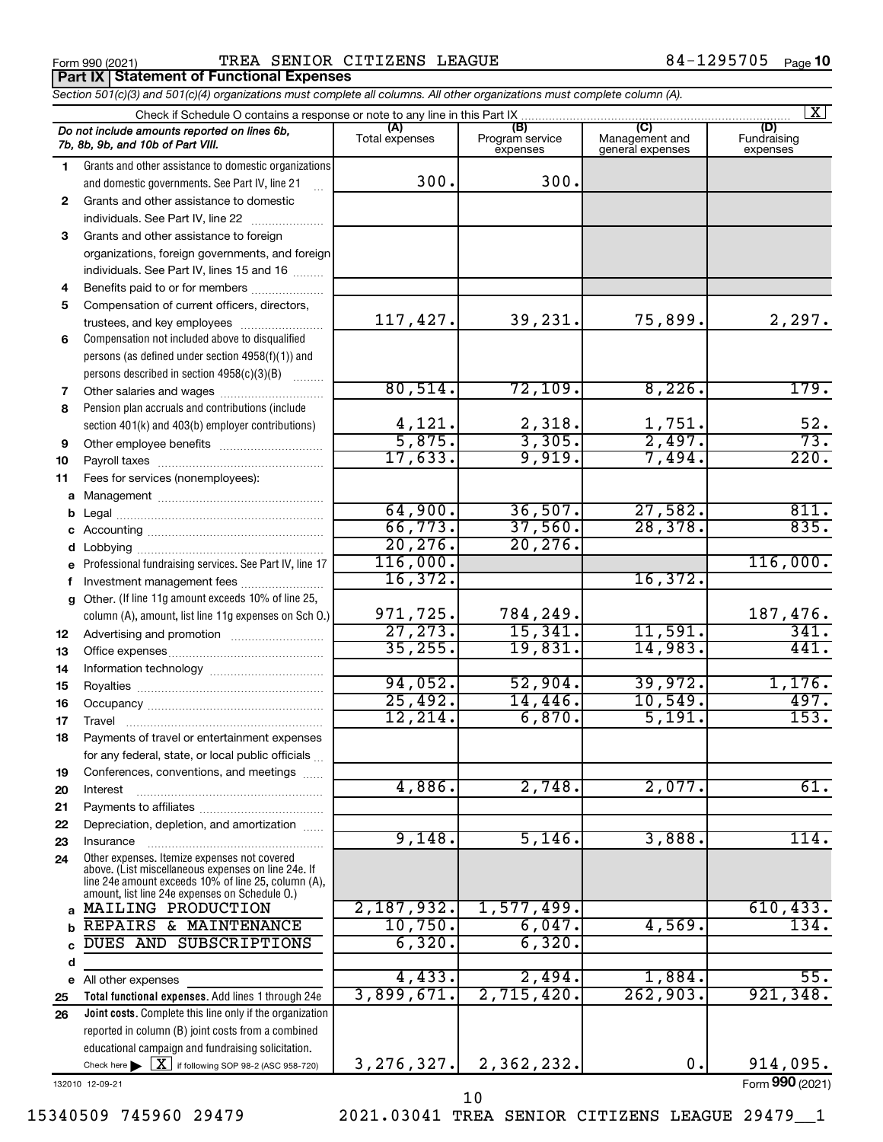Form 990 (2021) TREA SENIOR CITIZENS LEAGUE  $84-1295705$  Page **Part IX Statement of Functional Expenses**

*Section 501(c)(3) and 501(c)(4) organizations must complete all columns. All other organizations must complete column (A).*

| $\mathbf{X}$ |                                                                                                                                                                                                              |                       |                                    |                                           |                                |  |  |
|--------------|--------------------------------------------------------------------------------------------------------------------------------------------------------------------------------------------------------------|-----------------------|------------------------------------|-------------------------------------------|--------------------------------|--|--|
|              | Do not include amounts reported on lines 6b,<br>7b, 8b, 9b, and 10b of Part VIII.                                                                                                                            | (A)<br>Total expenses | (B)<br>Program service<br>expenses | (C)<br>Management and<br>general expenses | (D)<br>Fundraising<br>expenses |  |  |
| 1            | Grants and other assistance to domestic organizations                                                                                                                                                        |                       |                                    |                                           |                                |  |  |
|              | and domestic governments. See Part IV, line 21                                                                                                                                                               | 300.                  | 300.                               |                                           |                                |  |  |
| 2            | Grants and other assistance to domestic                                                                                                                                                                      |                       |                                    |                                           |                                |  |  |
|              | individuals. See Part IV, line 22                                                                                                                                                                            |                       |                                    |                                           |                                |  |  |
| 3            | Grants and other assistance to foreign                                                                                                                                                                       |                       |                                    |                                           |                                |  |  |
|              | organizations, foreign governments, and foreign                                                                                                                                                              |                       |                                    |                                           |                                |  |  |
|              | individuals. See Part IV, lines 15 and 16                                                                                                                                                                    |                       |                                    |                                           |                                |  |  |
| 4            | Benefits paid to or for members                                                                                                                                                                              |                       |                                    |                                           |                                |  |  |
| 5            | Compensation of current officers, directors,                                                                                                                                                                 |                       |                                    |                                           |                                |  |  |
|              | trustees, and key employees                                                                                                                                                                                  | 117,427.              | 39,231.                            | 75,899.                                   | 2,297.                         |  |  |
| 6            | Compensation not included above to disqualified                                                                                                                                                              |                       |                                    |                                           |                                |  |  |
|              | persons (as defined under section 4958(f)(1)) and                                                                                                                                                            |                       |                                    |                                           |                                |  |  |
|              | persons described in section 4958(c)(3)(B)                                                                                                                                                                   |                       |                                    |                                           |                                |  |  |
| 7            |                                                                                                                                                                                                              | 80,514.               | 72, 109.                           | 8,226.                                    | 179.                           |  |  |
| 8            | Pension plan accruals and contributions (include                                                                                                                                                             |                       |                                    |                                           |                                |  |  |
|              | section 401(k) and 403(b) employer contributions)                                                                                                                                                            | 4, 121.               | 2,318.                             | 1,751.                                    | 52.                            |  |  |
| 9            |                                                                                                                                                                                                              | 5,875.                | 3,305.                             | 2,497.                                    | 73.                            |  |  |
| 10           |                                                                                                                                                                                                              | 17,633.               | 9,919.                             | 7,494.                                    | 220.                           |  |  |
| 11           | Fees for services (nonemployees):                                                                                                                                                                            |                       |                                    |                                           |                                |  |  |
| a            |                                                                                                                                                                                                              |                       |                                    |                                           |                                |  |  |
|              |                                                                                                                                                                                                              | 64,900.               | 36,507.                            | 27,582.                                   | 811.                           |  |  |
|              |                                                                                                                                                                                                              | 66, 773.              | 37,560.                            | 28,378.                                   | 835.                           |  |  |
|              |                                                                                                                                                                                                              | 20, 276.              | 20, 276.                           |                                           |                                |  |  |
|              | e Professional fundraising services. See Part IV, line 17                                                                                                                                                    | 116,000.              |                                    | 16,372.                                   | 116,000.                       |  |  |
|              | f Investment management fees                                                                                                                                                                                 | 16,372.               |                                    |                                           |                                |  |  |
|              | g Other. (If line 11g amount exceeds 10% of line 25,                                                                                                                                                         | 971,725.              | 784,249.                           |                                           | 187,476.                       |  |  |
|              | column (A), amount, list line 11g expenses on Sch O.)                                                                                                                                                        | 27, 273.              | 15,341.                            | 11,591.                                   | 341.                           |  |  |
| 12           |                                                                                                                                                                                                              | 35, 255.              | 19,831.                            | 14,983.                                   | 441.                           |  |  |
| 13           |                                                                                                                                                                                                              |                       |                                    |                                           |                                |  |  |
| 14<br>15     |                                                                                                                                                                                                              | 94,052.               | 52,904.                            | 39,972.                                   | 1,176.                         |  |  |
| 16           |                                                                                                                                                                                                              | 25,492.               | 14,446.                            | 10,549.                                   | 497.                           |  |  |
| 17           | Travel                                                                                                                                                                                                       | 12, 214.              | 6,870.                             | 5,191.                                    | 153.                           |  |  |
| 18           | Payments of travel or entertainment expenses                                                                                                                                                                 |                       |                                    |                                           |                                |  |  |
|              | for any federal, state, or local public officials                                                                                                                                                            |                       |                                    |                                           |                                |  |  |
| 19           | Conferences, conventions, and meetings                                                                                                                                                                       |                       |                                    |                                           |                                |  |  |
| 20           | Interest                                                                                                                                                                                                     | 4,886.                | 2,748.                             | 2,077.                                    | 61.                            |  |  |
| 21           |                                                                                                                                                                                                              |                       |                                    |                                           |                                |  |  |
| 22           | Depreciation, depletion, and amortization                                                                                                                                                                    |                       |                                    |                                           |                                |  |  |
| 23           | Insurance                                                                                                                                                                                                    | 9,148.                | 5,146.                             | 3,888.                                    | 114.                           |  |  |
| 24           | Other expenses. Itemize expenses not covered<br>above. (List miscellaneous expenses on line 24e. If<br>line 24e amount exceeds 10% of line 25, column (A),<br>amount, list line 24e expenses on Schedule 0.) |                       |                                    |                                           |                                |  |  |
|              | a MAILING PRODUCTION                                                                                                                                                                                         | 2,187,932.            | 1,577,499.                         |                                           | 610, 433.                      |  |  |
| b            | REPAIRS & MAINTENANCE                                                                                                                                                                                        | 10,750.               | 6,047.                             | 4,569.                                    | 134.                           |  |  |
| C            | DUES AND SUBSCRIPTIONS                                                                                                                                                                                       | 6,320.                | 6,320.                             |                                           |                                |  |  |
| d            |                                                                                                                                                                                                              |                       |                                    |                                           |                                |  |  |
|              | e All other expenses                                                                                                                                                                                         | 4,433.                | 2,494.                             | 1,884.                                    | 55.                            |  |  |
| 25           | Total functional expenses. Add lines 1 through 24e                                                                                                                                                           | 3,899,671.            | 2,715,420.                         | 262,903.                                  | 921, 348.                      |  |  |
| 26           | Joint costs. Complete this line only if the organization                                                                                                                                                     |                       |                                    |                                           |                                |  |  |
|              | reported in column (B) joint costs from a combined                                                                                                                                                           |                       |                                    |                                           |                                |  |  |
|              | educational campaign and fundraising solicitation.                                                                                                                                                           |                       |                                    |                                           |                                |  |  |
|              | Check here $\triangleright \lfloor \underline{X} \rfloor$ if following SOP 98-2 (ASC 958-720)                                                                                                                | 3, 276, 327.          | 2,362,232.                         | 0.                                        | 914,095.                       |  |  |

132010 12-09-21

Form (2021) **990**

15340509 745960 29479 2021.03041 TREA SENIOR CITIZENS LEAGUE 29479\_\_1

10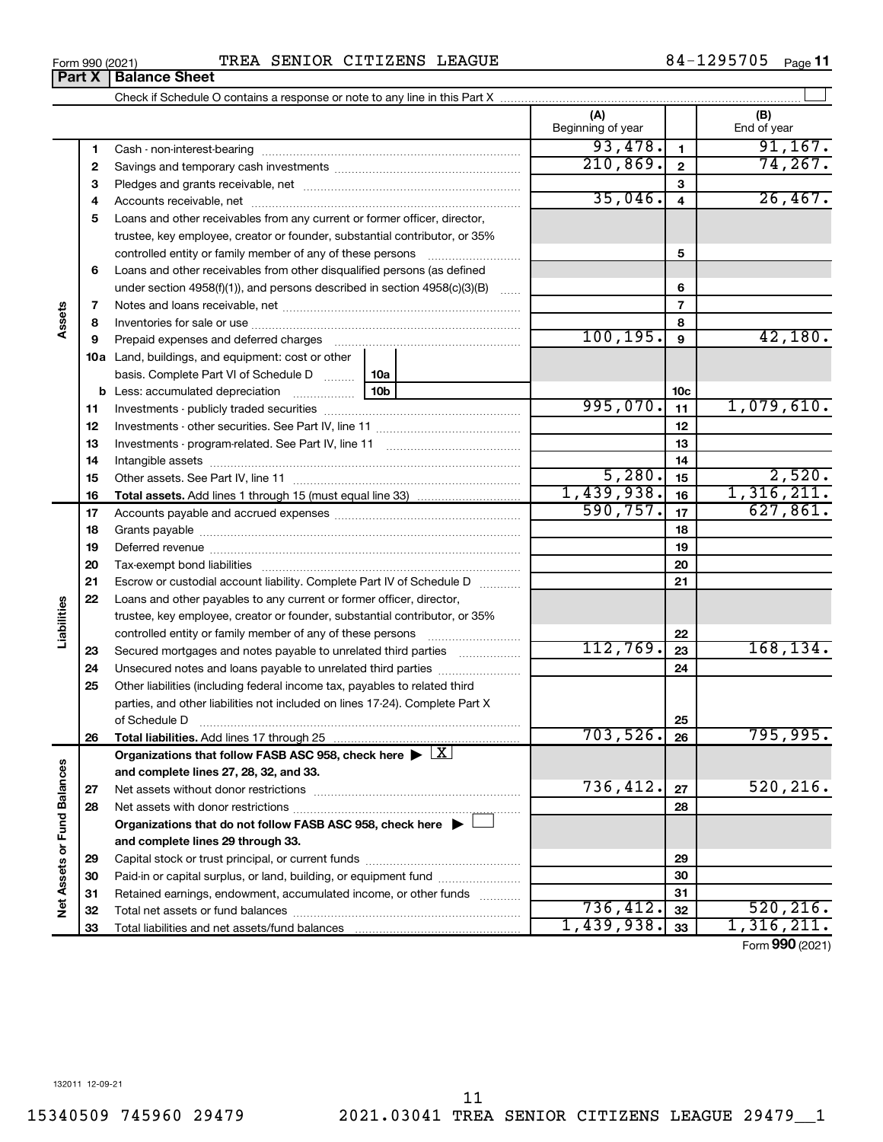|                      | 4  |                                                                                            |           | 35,046.    | 4              | 26,467.         |
|----------------------|----|--------------------------------------------------------------------------------------------|-----------|------------|----------------|-----------------|
|                      | 5  | Loans and other receivables from any current or former officer, director,                  |           |            |                |                 |
|                      |    | trustee, key employee, creator or founder, substantial contributor, or 35%                 |           |            |                |                 |
|                      |    | controlled entity or family member of any of these persons                                 |           |            | 5              |                 |
|                      | 6  | Loans and other receivables from other disqualified persons (as defined                    |           |            |                |                 |
|                      |    | under section $4958(f)(1)$ , and persons described in section $4958(c)(3)(B)$              | $\ldots$  |            | 6              |                 |
|                      | 7  |                                                                                            |           |            | $\overline{7}$ |                 |
| Assets               | 8  |                                                                                            |           |            | 8              |                 |
|                      | 9  | Prepaid expenses and deferred charges                                                      | 100, 195. | 9          | 42,180.        |                 |
|                      |    | <b>10a</b> Land, buildings, and equipment: cost or other                                   |           |            |                |                 |
|                      |    | basis. Complete Part VI of Schedule D  10a                                                 |           |            |                |                 |
|                      |    | <b>b</b> Less: accumulated depreciation<br>10b                                             |           |            | 10c            |                 |
|                      | 11 |                                                                                            |           | 995,070.   | 11             | 1,079,610.      |
|                      | 12 |                                                                                            |           |            | 12             |                 |
|                      | 13 |                                                                                            |           |            | 13             |                 |
|                      | 14 |                                                                                            |           |            | 14             |                 |
|                      | 15 |                                                                                            |           | 5,280.     | 15             | 2,520.          |
|                      | 16 | <b>Total assets.</b> Add lines 1 through 15 (must equal line 33) <i></i>                   |           | 1,439,938. | 16             | 1,316,211.      |
|                      | 17 |                                                                                            |           | 590, 757.  | 17             | 627,861.        |
|                      | 18 |                                                                                            |           |            | 18             |                 |
|                      | 19 |                                                                                            |           | 19         |                |                 |
|                      | 20 |                                                                                            |           |            | 20             |                 |
|                      | 21 | Escrow or custodial account liability. Complete Part IV of Schedule D                      |           | 21         |                |                 |
|                      | 22 | Loans and other payables to any current or former officer, director,                       |           |            |                |                 |
|                      |    | trustee, key employee, creator or founder, substantial contributor, or 35%                 |           |            |                |                 |
| Liabilities          |    |                                                                                            |           |            | 22             |                 |
|                      | 23 | Secured mortgages and notes payable to unrelated third parties                             |           | 112,769.   | 23             | 168, 134.       |
|                      | 24 |                                                                                            |           |            | 24             |                 |
|                      | 25 | Other liabilities (including federal income tax, payables to related third                 |           |            |                |                 |
|                      |    | parties, and other liabilities not included on lines 17-24). Complete Part X               |           |            |                |                 |
|                      |    | of Schedule D                                                                              |           |            | 25             |                 |
|                      | 26 |                                                                                            |           | 703,526.   | 26             | 795,995.        |
|                      |    | Organizations that follow FASB ASC 958, check here $\blacktriangleright \lfloor X \rfloor$ |           |            |                |                 |
|                      |    | and complete lines 27, 28, 32, and 33.                                                     |           |            |                |                 |
|                      | 27 |                                                                                            |           | 736,412.   | 27             | 520, 216.       |
| <b>Fund Balances</b> | 28 |                                                                                            |           |            | 28             |                 |
|                      |    | Organizations that do not follow FASB ASC 958, check here ▶ □                              |           |            |                |                 |
|                      |    | and complete lines 29 through 33.                                                          |           |            |                |                 |
|                      | 29 |                                                                                            |           |            | 29             |                 |
| Net Assets or        | 30 | Paid-in or capital surplus, or land, building, or equipment fund                           |           |            | 30             |                 |
|                      | 31 | Retained earnings, endowment, accumulated income, or other funds                           |           |            | 31             |                 |
|                      | 32 |                                                                                            |           | 736,412.   | 32             | 520, 216.       |
|                      | 33 | Total liabilities and net assets/fund balances                                             |           | 1,439,938. | 33             | 1,316,211.      |
|                      |    |                                                                                            |           |            |                | Form 990 (2021) |

Form 990 (2021) TREA SENIOR CITIZENS LEAGUE  $84-1295705$  Page

Check if Schedule O contains a response or note to any line in this Part X

Cash - non-interest-bearing ~~~~~~~~~~~~~~~~~~~~~~~~~ Savings and temporary cash investments ~~~~~~~~~~~~~~~~~~ Pledges and grants receivable, net ~~~~~~~~~~~~~~~~~~~~~ 84-1295705 Page 11

 $\perp$ 

**(A) (B)**

Beginning of year  $\vert$  | End of year

**1 2 3**

93,478. 1 91,167. 210,869. 74,267.

**Part X** | Balance Sheet

**1 2 3**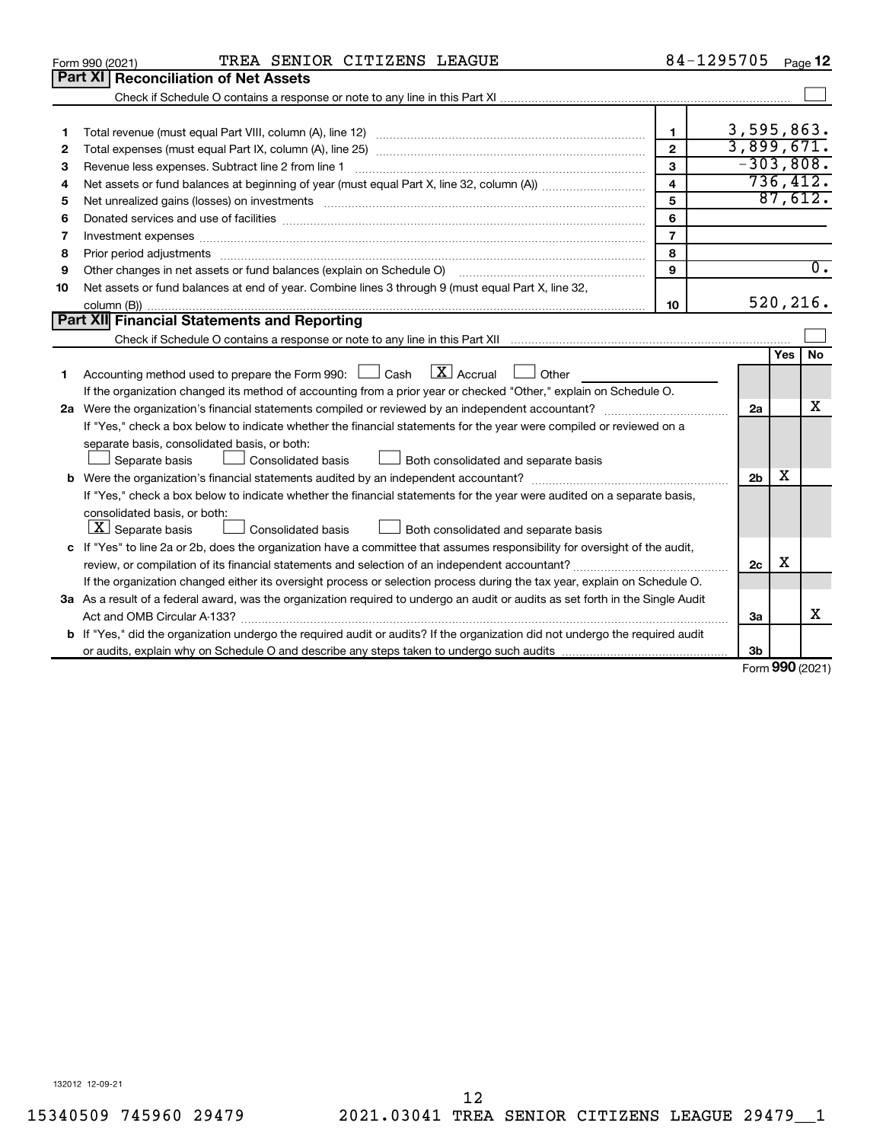|                                                                                                                             | TREA SENIOR CITIZENS LEAGUE<br>Form 990 (2021)                                                                                                                                                                                 |                | 84-1295705               |                   | Page 12          |  |  |  |
|-----------------------------------------------------------------------------------------------------------------------------|--------------------------------------------------------------------------------------------------------------------------------------------------------------------------------------------------------------------------------|----------------|--------------------------|-------------------|------------------|--|--|--|
|                                                                                                                             | <b>Part XI Reconciliation of Net Assets</b>                                                                                                                                                                                    |                |                          |                   |                  |  |  |  |
|                                                                                                                             |                                                                                                                                                                                                                                |                |                          |                   |                  |  |  |  |
|                                                                                                                             |                                                                                                                                                                                                                                |                |                          |                   |                  |  |  |  |
| 1                                                                                                                           |                                                                                                                                                                                                                                | 1              | 3,595,863.<br>3,899,671. |                   |                  |  |  |  |
| $\overline{2}$<br>2                                                                                                         |                                                                                                                                                                                                                                |                |                          |                   |                  |  |  |  |
| з                                                                                                                           | 3                                                                                                                                                                                                                              |                |                          |                   |                  |  |  |  |
| 4                                                                                                                           | $\overline{\mathbf{4}}$                                                                                                                                                                                                        |                |                          |                   |                  |  |  |  |
| 5                                                                                                                           | Net unrealized gains (losses) on investments [11] matter than the control of the state of the state of the state of the state of the state of the state of the state of the state of the state of the state of the state of th | 5              |                          |                   | 87,612.          |  |  |  |
| 6                                                                                                                           |                                                                                                                                                                                                                                | 6              |                          |                   |                  |  |  |  |
| 7                                                                                                                           |                                                                                                                                                                                                                                | $\overline{7}$ |                          |                   |                  |  |  |  |
| 8                                                                                                                           |                                                                                                                                                                                                                                | 8              |                          |                   |                  |  |  |  |
| 9                                                                                                                           | Other changes in net assets or fund balances (explain on Schedule O)                                                                                                                                                           | 9              |                          |                   | $\overline{0}$ . |  |  |  |
| 10                                                                                                                          | Net assets or fund balances at end of year. Combine lines 3 through 9 (must equal Part X, line 32,                                                                                                                             |                |                          |                   |                  |  |  |  |
|                                                                                                                             |                                                                                                                                                                                                                                | 10             |                          |                   | 520, 216.        |  |  |  |
|                                                                                                                             | Part XII Financial Statements and Reporting                                                                                                                                                                                    |                |                          |                   |                  |  |  |  |
|                                                                                                                             |                                                                                                                                                                                                                                |                |                          |                   |                  |  |  |  |
|                                                                                                                             |                                                                                                                                                                                                                                |                |                          | Yes               | <b>No</b>        |  |  |  |
| 1                                                                                                                           | Accounting method used to prepare the Form 990: $\Box$ Cash $\Box X$ Accrual<br><b>Other</b>                                                                                                                                   |                |                          |                   |                  |  |  |  |
|                                                                                                                             | If the organization changed its method of accounting from a prior year or checked "Other," explain on Schedule O.                                                                                                              |                |                          |                   |                  |  |  |  |
|                                                                                                                             |                                                                                                                                                                                                                                |                | 2a                       |                   | x                |  |  |  |
|                                                                                                                             | If "Yes," check a box below to indicate whether the financial statements for the year were compiled or reviewed on a                                                                                                           |                |                          |                   |                  |  |  |  |
|                                                                                                                             | separate basis, consolidated basis, or both:                                                                                                                                                                                   |                |                          |                   |                  |  |  |  |
|                                                                                                                             | Both consolidated and separate basis<br>Separate basis<br>Consolidated basis                                                                                                                                                   |                |                          |                   |                  |  |  |  |
|                                                                                                                             |                                                                                                                                                                                                                                |                | 2 <sub>b</sub>           | x                 |                  |  |  |  |
|                                                                                                                             | If "Yes," check a box below to indicate whether the financial statements for the year were audited on a separate basis,                                                                                                        |                |                          |                   |                  |  |  |  |
|                                                                                                                             | consolidated basis, or both:                                                                                                                                                                                                   |                |                          |                   |                  |  |  |  |
|                                                                                                                             | $ \mathbf{X} $ Separate basis<br>Consolidated basis<br>Both consolidated and separate basis                                                                                                                                    |                |                          |                   |                  |  |  |  |
| c If "Yes" to line 2a or 2b, does the organization have a committee that assumes responsibility for oversight of the audit, |                                                                                                                                                                                                                                |                |                          |                   |                  |  |  |  |
|                                                                                                                             |                                                                                                                                                                                                                                |                | 2c                       | х                 |                  |  |  |  |
|                                                                                                                             | If the organization changed either its oversight process or selection process during the tax year, explain on Schedule O.                                                                                                      |                |                          |                   |                  |  |  |  |
|                                                                                                                             | 3a As a result of a federal award, was the organization required to undergo an audit or audits as set forth in the Single Audit                                                                                                |                |                          |                   |                  |  |  |  |
|                                                                                                                             | Act and OMB Circular A-133?                                                                                                                                                                                                    |                | За                       |                   | x                |  |  |  |
|                                                                                                                             | <b>b</b> If "Yes," did the organization undergo the required audit or audits? If the organization did not undergo the required audit                                                                                           |                |                          |                   |                  |  |  |  |
|                                                                                                                             |                                                                                                                                                                                                                                |                | 3b                       | $000 \text{ mas}$ |                  |  |  |  |

Form (2021) **990**

132012 12-09-21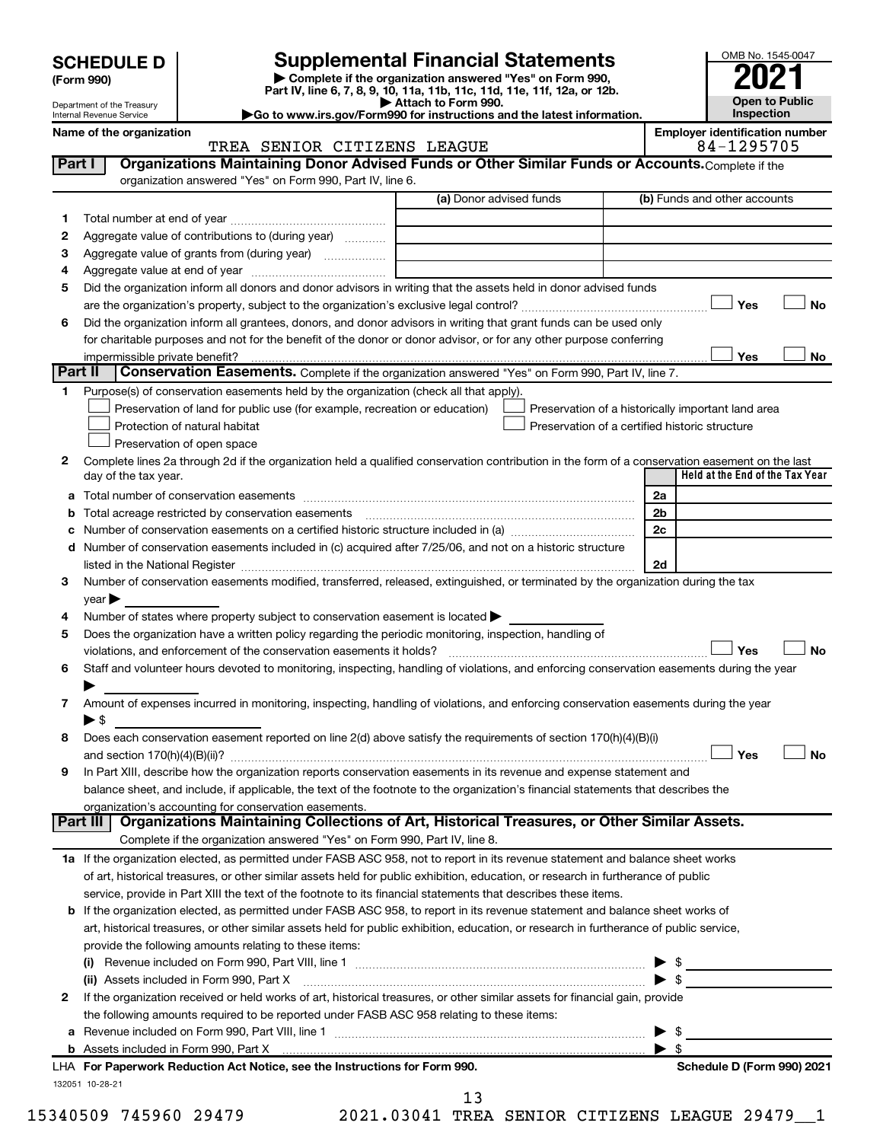| <b>SCHEDULE D</b> |  |
|-------------------|--|
|-------------------|--|

**| Complete if the organization answered "Yes" on Form 990, Part IV, line 6, 7, 8, 9, 10, 11a, 11b, 11c, 11d, 11e, 11f, 12a, or 12b. SCHEDULE D Supplemental Financial Statements**<br> **Form 990 Example 5 2021**<br>
Part IV. line 6, 7, 8, 9, 10, 11a, 11b, 11c, 11d, 11e, 11f, 12a, or 12b.

**| Attach to Form 990. |Go to www.irs.gov/Form990 for instructions and the latest information.**



Department of the Treasury Internal Revenue Service

## Name of the organization<br>
TREA SENIOR CITIZENS LEAGUE **Employer identification number**<br>
84-1295705 TREA SENIOR CITIZENS LEAGUE

|             |                                                                                                                                                                                                                               | (a) Donor advised funds | (b) Funds and other accounts                       |
|-------------|-------------------------------------------------------------------------------------------------------------------------------------------------------------------------------------------------------------------------------|-------------------------|----------------------------------------------------|
| 1           |                                                                                                                                                                                                                               |                         |                                                    |
| 2           | Aggregate value of contributions to (during year)                                                                                                                                                                             |                         |                                                    |
| З           |                                                                                                                                                                                                                               |                         |                                                    |
| 4           |                                                                                                                                                                                                                               |                         |                                                    |
| 5           | Did the organization inform all donors and donor advisors in writing that the assets held in donor advised funds                                                                                                              |                         |                                                    |
|             |                                                                                                                                                                                                                               |                         | Yes                                                |
| 6           | Did the organization inform all grantees, donors, and donor advisors in writing that grant funds can be used only                                                                                                             |                         |                                                    |
|             | for charitable purposes and not for the benefit of the donor or donor advisor, or for any other purpose conferring                                                                                                            |                         |                                                    |
|             |                                                                                                                                                                                                                               |                         | Yes                                                |
|             | Part II<br>Conservation Easements. Complete if the organization answered "Yes" on Form 990, Part IV, line 7.                                                                                                                  |                         |                                                    |
| 1.          | Purpose(s) of conservation easements held by the organization (check all that apply).                                                                                                                                         |                         |                                                    |
|             | Preservation of land for public use (for example, recreation or education)                                                                                                                                                    |                         | Preservation of a historically important land area |
|             | Protection of natural habitat                                                                                                                                                                                                 |                         | Preservation of a certified historic structure     |
|             | Preservation of open space                                                                                                                                                                                                    |                         |                                                    |
| 2           | Complete lines 2a through 2d if the organization held a qualified conservation contribution in the form of a conservation easement on the last                                                                                |                         |                                                    |
|             | day of the tax year.                                                                                                                                                                                                          |                         | Held at the End of the Tax Year                    |
| а           |                                                                                                                                                                                                                               |                         | 2a                                                 |
|             |                                                                                                                                                                                                                               |                         | 2 <sub>b</sub>                                     |
|             |                                                                                                                                                                                                                               |                         | 2c                                                 |
| d           | Number of conservation easements included in (c) acquired after 7/25/06, and not on a historic structure                                                                                                                      |                         |                                                    |
|             | listed in the National Register [11, 1200] and the National Register [11, 1200] and the Mational Register [11, 1200] and the Mational Register [11, 1200] and the Mational Register [11, 1200] and the Mational Register [11, |                         | 2d                                                 |
| 3           | Number of conservation easements modified, transferred, released, extinguished, or terminated by the organization during the tax                                                                                              |                         |                                                    |
|             | $year \blacktriangleright$                                                                                                                                                                                                    |                         |                                                    |
| 4           | Number of states where property subject to conservation easement is located >                                                                                                                                                 |                         |                                                    |
| 5           | Does the organization have a written policy regarding the periodic monitoring, inspection, handling of                                                                                                                        |                         |                                                    |
|             |                                                                                                                                                                                                                               |                         |                                                    |
|             |                                                                                                                                                                                                                               |                         | Yes                                                |
|             | Staff and volunteer hours devoted to monitoring, inspecting, handling of violations, and enforcing conservation easements during the year                                                                                     |                         |                                                    |
|             |                                                                                                                                                                                                                               |                         |                                                    |
|             | Amount of expenses incurred in monitoring, inspecting, handling of violations, and enforcing conservation easements during the year                                                                                           |                         |                                                    |
|             | $\blacktriangleright$ s                                                                                                                                                                                                       |                         |                                                    |
| 6<br>7<br>8 | Does each conservation easement reported on line 2(d) above satisfy the requirements of section 170(h)(4)(B)(i)                                                                                                               |                         |                                                    |
|             |                                                                                                                                                                                                                               |                         | Yes                                                |
|             | In Part XIII, describe how the organization reports conservation easements in its revenue and expense statement and                                                                                                           |                         |                                                    |
|             | balance sheet, and include, if applicable, the text of the footnote to the organization's financial statements that describes the                                                                                             |                         |                                                    |
| 9           | organization's accounting for conservation easements.                                                                                                                                                                         |                         |                                                    |
|             | Organizations Maintaining Collections of Art, Historical Treasures, or Other Similar Assets.<br>Part III                                                                                                                      |                         |                                                    |
|             | Complete if the organization answered "Yes" on Form 990, Part IV, line 8.                                                                                                                                                     |                         |                                                    |
|             | 1a If the organization elected, as permitted under FASB ASC 958, not to report in its revenue statement and balance sheet works                                                                                               |                         |                                                    |
|             | of art, historical treasures, or other similar assets held for public exhibition, education, or research in furtherance of public                                                                                             |                         |                                                    |
|             | service, provide in Part XIII the text of the footnote to its financial statements that describes these items.                                                                                                                |                         |                                                    |
|             | b If the organization elected, as permitted under FASB ASC 958, to report in its revenue statement and balance sheet works of                                                                                                 |                         |                                                    |
|             | art, historical treasures, or other similar assets held for public exhibition, education, or research in furtherance of public service,                                                                                       |                         |                                                    |
|             | provide the following amounts relating to these items:                                                                                                                                                                        |                         |                                                    |
|             |                                                                                                                                                                                                                               |                         |                                                    |
|             | (ii) Assets included in Form 990, Part X                                                                                                                                                                                      | $\bullet$               |                                                    |
| 2           | If the organization received or held works of art, historical treasures, or other similar assets for financial gain, provide                                                                                                  |                         |                                                    |
|             | the following amounts required to be reported under FASB ASC 958 relating to these items:                                                                                                                                     |                         |                                                    |
| а           |                                                                                                                                                                                                                               |                         | - \$                                               |
|             |                                                                                                                                                                                                                               |                         | $\blacktriangleright$ s                            |
|             | LHA For Paperwork Reduction Act Notice, see the Instructions for Form 990.                                                                                                                                                    |                         | Schedule D (Form 990) 2021                         |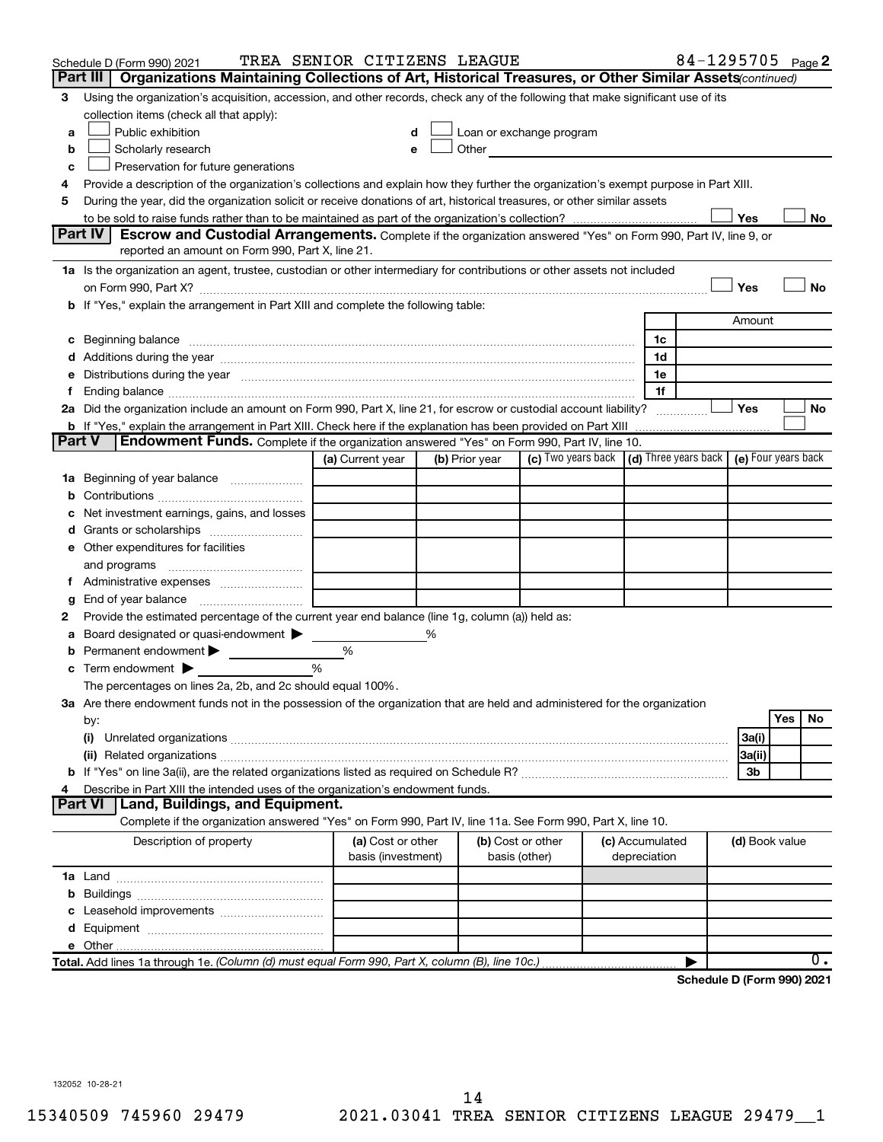|               | Schedule D (Form 990) 2021                                                                                                                                                                                                     | TREA SENIOR CITIZENS LEAGUE             |   |                |                                                                                                                                                                                                                                |                 |              | 84-1295705 Page 2          |                |     |           |
|---------------|--------------------------------------------------------------------------------------------------------------------------------------------------------------------------------------------------------------------------------|-----------------------------------------|---|----------------|--------------------------------------------------------------------------------------------------------------------------------------------------------------------------------------------------------------------------------|-----------------|--------------|----------------------------|----------------|-----|-----------|
|               | Organizations Maintaining Collections of Art, Historical Treasures, or Other Similar Assets (continued)<br>Part III                                                                                                            |                                         |   |                |                                                                                                                                                                                                                                |                 |              |                            |                |     |           |
| З             | Using the organization's acquisition, accession, and other records, check any of the following that make significant use of its                                                                                                |                                         |   |                |                                                                                                                                                                                                                                |                 |              |                            |                |     |           |
|               | collection items (check all that apply):                                                                                                                                                                                       |                                         |   |                |                                                                                                                                                                                                                                |                 |              |                            |                |     |           |
| a             | Public exhibition                                                                                                                                                                                                              | d                                       |   |                | Loan or exchange program                                                                                                                                                                                                       |                 |              |                            |                |     |           |
| b             | Scholarly research                                                                                                                                                                                                             | e                                       |   |                | Other and the control of the control of the control of the control of the control of the control of the control of the control of the control of the control of the control of the control of the control of the control of th |                 |              |                            |                |     |           |
| с             | Preservation for future generations                                                                                                                                                                                            |                                         |   |                |                                                                                                                                                                                                                                |                 |              |                            |                |     |           |
| 4             | Provide a description of the organization's collections and explain how they further the organization's exempt purpose in Part XIII.                                                                                           |                                         |   |                |                                                                                                                                                                                                                                |                 |              |                            |                |     |           |
| 5             | During the year, did the organization solicit or receive donations of art, historical treasures, or other similar assets                                                                                                       |                                         |   |                |                                                                                                                                                                                                                                |                 |              |                            |                |     |           |
|               |                                                                                                                                                                                                                                |                                         |   |                |                                                                                                                                                                                                                                |                 |              |                            | Yes            |     | No        |
|               | Part IV I<br>Escrow and Custodial Arrangements. Complete if the organization answered "Yes" on Form 990, Part IV, line 9, or                                                                                                   |                                         |   |                |                                                                                                                                                                                                                                |                 |              |                            |                |     |           |
|               | reported an amount on Form 990, Part X, line 21.                                                                                                                                                                               |                                         |   |                |                                                                                                                                                                                                                                |                 |              |                            |                |     |           |
|               | 1a Is the organization an agent, trustee, custodian or other intermediary for contributions or other assets not included                                                                                                       |                                         |   |                |                                                                                                                                                                                                                                |                 |              |                            |                |     |           |
|               |                                                                                                                                                                                                                                |                                         |   |                |                                                                                                                                                                                                                                |                 |              |                            | Yes            |     | <b>No</b> |
|               | b If "Yes," explain the arrangement in Part XIII and complete the following table:                                                                                                                                             |                                         |   |                |                                                                                                                                                                                                                                |                 |              |                            | Amount         |     |           |
|               |                                                                                                                                                                                                                                |                                         |   |                |                                                                                                                                                                                                                                |                 |              |                            |                |     |           |
|               |                                                                                                                                                                                                                                |                                         |   |                |                                                                                                                                                                                                                                |                 | 1c           |                            |                |     |           |
|               |                                                                                                                                                                                                                                |                                         |   |                |                                                                                                                                                                                                                                |                 | 1d           |                            |                |     |           |
|               | e Distributions during the year manufactured and continuum control of the control of the control of the state of the state of the control of the control of the control of the control of the control of the control of the co |                                         |   |                |                                                                                                                                                                                                                                |                 | 1e           |                            |                |     |           |
|               | 2a Did the organization include an amount on Form 990, Part X, line 21, for escrow or custodial account liability?                                                                                                             |                                         |   |                |                                                                                                                                                                                                                                |                 | 1f           |                            | Yes            |     | No        |
|               | <b>b</b> If "Yes," explain the arrangement in Part XIII. Check here if the explanation has been provided on Part XIII                                                                                                          |                                         |   |                |                                                                                                                                                                                                                                |                 |              |                            |                |     |           |
| <b>Part V</b> | <b>Endowment Funds.</b> Complete if the organization answered "Yes" on Form 990, Part IV, line 10.                                                                                                                             |                                         |   |                |                                                                                                                                                                                                                                |                 |              |                            |                |     |           |
|               |                                                                                                                                                                                                                                | (a) Current year                        |   | (b) Prior year | (c) Two years back $\vert$ (d) Three years back $\vert$ (e) Four years back                                                                                                                                                    |                 |              |                            |                |     |           |
|               | 1a Beginning of year balance                                                                                                                                                                                                   |                                         |   |                |                                                                                                                                                                                                                                |                 |              |                            |                |     |           |
| b             |                                                                                                                                                                                                                                |                                         |   |                |                                                                                                                                                                                                                                |                 |              |                            |                |     |           |
|               | Net investment earnings, gains, and losses                                                                                                                                                                                     |                                         |   |                |                                                                                                                                                                                                                                |                 |              |                            |                |     |           |
|               |                                                                                                                                                                                                                                |                                         |   |                |                                                                                                                                                                                                                                |                 |              |                            |                |     |           |
|               | e Other expenditures for facilities                                                                                                                                                                                            |                                         |   |                |                                                                                                                                                                                                                                |                 |              |                            |                |     |           |
|               | and programs                                                                                                                                                                                                                   |                                         |   |                |                                                                                                                                                                                                                                |                 |              |                            |                |     |           |
|               |                                                                                                                                                                                                                                |                                         |   |                |                                                                                                                                                                                                                                |                 |              |                            |                |     |           |
| g             | End of year balance <i>manually contained</i>                                                                                                                                                                                  |                                         |   |                |                                                                                                                                                                                                                                |                 |              |                            |                |     |           |
| 2             | Provide the estimated percentage of the current year end balance (line 1g, column (a)) held as:                                                                                                                                |                                         |   |                |                                                                                                                                                                                                                                |                 |              |                            |                |     |           |
| а             | Board designated or quasi-endowment                                                                                                                                                                                            |                                         | % |                |                                                                                                                                                                                                                                |                 |              |                            |                |     |           |
|               | Permanent endowment                                                                                                                                                                                                            | %                                       |   |                |                                                                                                                                                                                                                                |                 |              |                            |                |     |           |
| с             | Term endowment $\blacktriangleright$                                                                                                                                                                                           | $\frac{0}{0}$                           |   |                |                                                                                                                                                                                                                                |                 |              |                            |                |     |           |
|               | The percentages on lines 2a, 2b, and 2c should equal 100%.                                                                                                                                                                     |                                         |   |                |                                                                                                                                                                                                                                |                 |              |                            |                |     |           |
|               | 3a Are there endowment funds not in the possession of the organization that are held and administered for the organization                                                                                                     |                                         |   |                |                                                                                                                                                                                                                                |                 |              |                            |                |     |           |
|               | by:                                                                                                                                                                                                                            |                                         |   |                |                                                                                                                                                                                                                                |                 |              |                            |                | Yes | No        |
|               | (i)                                                                                                                                                                                                                            |                                         |   |                |                                                                                                                                                                                                                                |                 |              |                            | 3a(i)          |     |           |
|               |                                                                                                                                                                                                                                |                                         |   |                |                                                                                                                                                                                                                                |                 |              |                            | 3a(ii)         |     |           |
|               |                                                                                                                                                                                                                                |                                         |   |                |                                                                                                                                                                                                                                |                 |              |                            | 3b             |     |           |
| 4             | Describe in Part XIII the intended uses of the organization's endowment funds.                                                                                                                                                 |                                         |   |                |                                                                                                                                                                                                                                |                 |              |                            |                |     |           |
|               | Land, Buildings, and Equipment.<br><b>Part VI</b>                                                                                                                                                                              |                                         |   |                |                                                                                                                                                                                                                                |                 |              |                            |                |     |           |
|               | Complete if the organization answered "Yes" on Form 990, Part IV, line 11a. See Form 990, Part X, line 10.                                                                                                                     |                                         |   |                |                                                                                                                                                                                                                                |                 |              |                            |                |     |           |
|               | Description of property                                                                                                                                                                                                        | (a) Cost or other<br>basis (investment) |   |                | (b) Cost or other<br>basis (other)                                                                                                                                                                                             | (c) Accumulated | depreciation |                            | (d) Book value |     |           |
|               |                                                                                                                                                                                                                                |                                         |   |                |                                                                                                                                                                                                                                |                 |              |                            |                |     |           |
| b             |                                                                                                                                                                                                                                |                                         |   |                |                                                                                                                                                                                                                                |                 |              |                            |                |     |           |
|               |                                                                                                                                                                                                                                |                                         |   |                |                                                                                                                                                                                                                                |                 |              |                            |                |     |           |
|               |                                                                                                                                                                                                                                |                                         |   |                |                                                                                                                                                                                                                                |                 |              |                            |                |     |           |
|               |                                                                                                                                                                                                                                |                                         |   |                |                                                                                                                                                                                                                                |                 |              |                            |                |     |           |
|               | Total. Add lines 1a through 1e. (Column (d) must equal Form 990, Part X, column (B), line 10c.)                                                                                                                                |                                         |   |                |                                                                                                                                                                                                                                |                 |              |                            |                |     | 0.        |
|               |                                                                                                                                                                                                                                |                                         |   |                |                                                                                                                                                                                                                                |                 |              | Schodule D (Form 000) 2021 |                |     |           |

**Schedule D (Form 990) 2021**

132052 10-28-21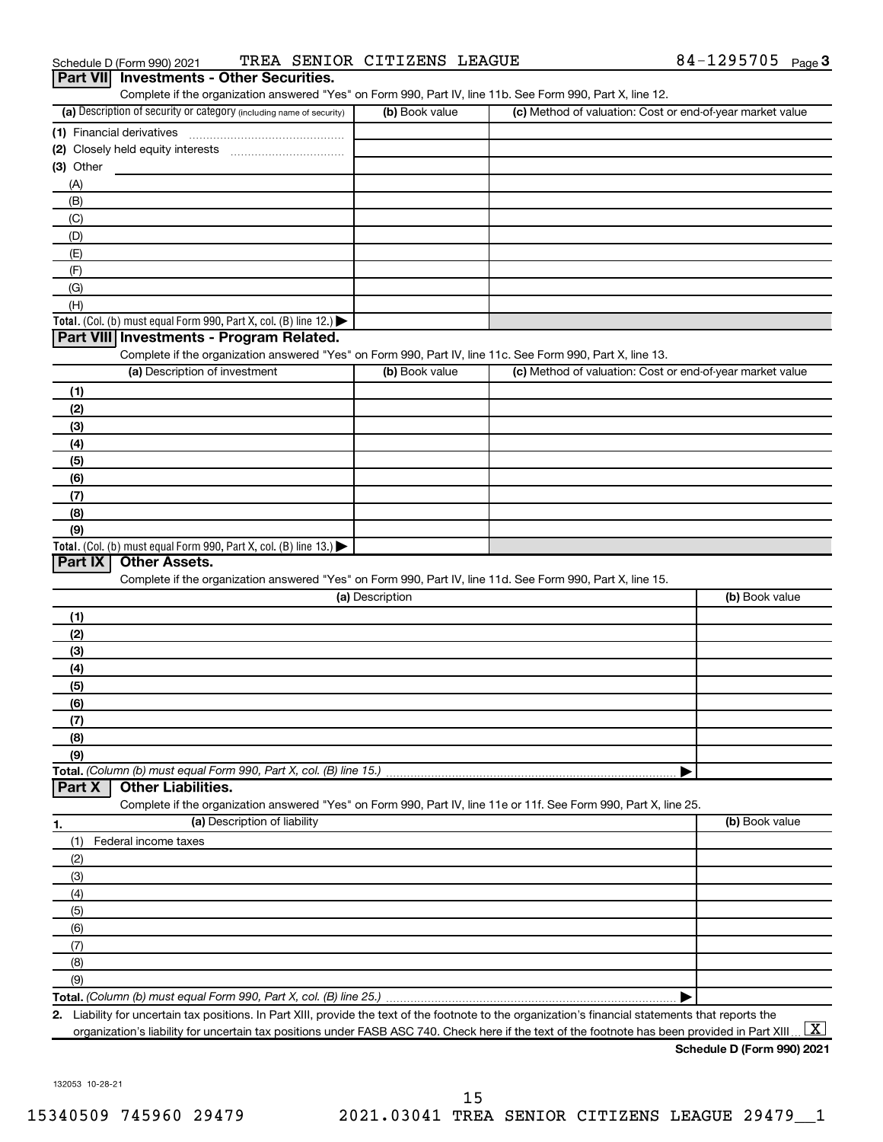| $\Box$                     |                             |                      |
|----------------------------|-----------------------------|----------------------|
| Schedule D (Form 990) 2021 | TREA SENIOR CITIZENS LEAGUE | 84-1295705<br>Page 3 |

| (a) Description of security or category (including name of security)                                              | Complete if the organization answered "Yes" on Form 990, Part IV, line 11b. See Form 990, Part X, line 12.<br>(b) Book value | (c) Method of valuation: Cost or end-of-year market value |                |
|-------------------------------------------------------------------------------------------------------------------|------------------------------------------------------------------------------------------------------------------------------|-----------------------------------------------------------|----------------|
|                                                                                                                   |                                                                                                                              |                                                           |                |
| (1) Financial derivatives                                                                                         |                                                                                                                              |                                                           |                |
| (3) Other                                                                                                         |                                                                                                                              |                                                           |                |
|                                                                                                                   |                                                                                                                              |                                                           |                |
| (A)                                                                                                               |                                                                                                                              |                                                           |                |
| (B)                                                                                                               |                                                                                                                              |                                                           |                |
| (C)                                                                                                               |                                                                                                                              |                                                           |                |
| (D)                                                                                                               |                                                                                                                              |                                                           |                |
| (E)                                                                                                               |                                                                                                                              |                                                           |                |
| (F)                                                                                                               |                                                                                                                              |                                                           |                |
| (G)                                                                                                               |                                                                                                                              |                                                           |                |
| (H)                                                                                                               |                                                                                                                              |                                                           |                |
| Total. (Col. (b) must equal Form 990, Part X, col. (B) line 12.) $\blacktriangleright$                            |                                                                                                                              |                                                           |                |
| Part VIII Investments - Program Related.                                                                          |                                                                                                                              |                                                           |                |
| Complete if the organization answered "Yes" on Form 990, Part IV, line 11c. See Form 990, Part X, line 13.        |                                                                                                                              |                                                           |                |
| (a) Description of investment                                                                                     | (b) Book value                                                                                                               | (c) Method of valuation: Cost or end-of-year market value |                |
| (1)                                                                                                               |                                                                                                                              |                                                           |                |
| (2)                                                                                                               |                                                                                                                              |                                                           |                |
| (3)                                                                                                               |                                                                                                                              |                                                           |                |
| (4)                                                                                                               |                                                                                                                              |                                                           |                |
| (5)                                                                                                               |                                                                                                                              |                                                           |                |
| (6)                                                                                                               |                                                                                                                              |                                                           |                |
| (7)                                                                                                               |                                                                                                                              |                                                           |                |
|                                                                                                                   |                                                                                                                              |                                                           |                |
|                                                                                                                   |                                                                                                                              |                                                           |                |
| (8)                                                                                                               |                                                                                                                              |                                                           |                |
| (9)                                                                                                               |                                                                                                                              |                                                           |                |
| Total. (Col. (b) must equal Form 990, Part X, col. (B) line 13.) $\blacktriangleright$                            |                                                                                                                              |                                                           |                |
| <b>Other Assets.</b><br>Part IX                                                                                   |                                                                                                                              |                                                           |                |
| Complete if the organization answered "Yes" on Form 990, Part IV, line 11d. See Form 990, Part X, line 15.        |                                                                                                                              |                                                           |                |
|                                                                                                                   | (a) Description                                                                                                              |                                                           | (b) Book value |
| (1)                                                                                                               |                                                                                                                              |                                                           |                |
| (2)                                                                                                               |                                                                                                                              |                                                           |                |
| (3)                                                                                                               |                                                                                                                              |                                                           |                |
| (4)                                                                                                               |                                                                                                                              |                                                           |                |
| (5)                                                                                                               |                                                                                                                              |                                                           |                |
| (6)                                                                                                               |                                                                                                                              |                                                           |                |
| (7)                                                                                                               |                                                                                                                              |                                                           |                |
| (8)                                                                                                               |                                                                                                                              |                                                           |                |
| (9)                                                                                                               |                                                                                                                              |                                                           |                |
|                                                                                                                   |                                                                                                                              |                                                           |                |
| <b>Other Liabilities.</b>                                                                                         |                                                                                                                              |                                                           |                |
| Complete if the organization answered "Yes" on Form 990, Part IV, line 11e or 11f. See Form 990, Part X, line 25. |                                                                                                                              |                                                           |                |
| (a) Description of liability                                                                                      |                                                                                                                              |                                                           | (b) Book value |
| (1)                                                                                                               |                                                                                                                              |                                                           |                |
| Federal income taxes                                                                                              |                                                                                                                              |                                                           |                |
| (2)                                                                                                               |                                                                                                                              |                                                           |                |
| (3)                                                                                                               |                                                                                                                              |                                                           |                |
| Total. (Column (b) must equal Form 990, Part X, col. (B) line 15.)<br>Part X<br>1.<br>(4)                         |                                                                                                                              |                                                           |                |
| (5)                                                                                                               |                                                                                                                              |                                                           |                |
| (6)                                                                                                               |                                                                                                                              |                                                           |                |
| (7)                                                                                                               |                                                                                                                              |                                                           |                |
| (8)<br>(9)                                                                                                        |                                                                                                                              |                                                           |                |

organization's liability for uncertain tax positions under FASB ASC 740. Check here if the text of the footnote has been provided in Part XIII ...  $\fbox{\bf X}$ 

**Schedule D (Form 990) 2021**

132053 10-28-21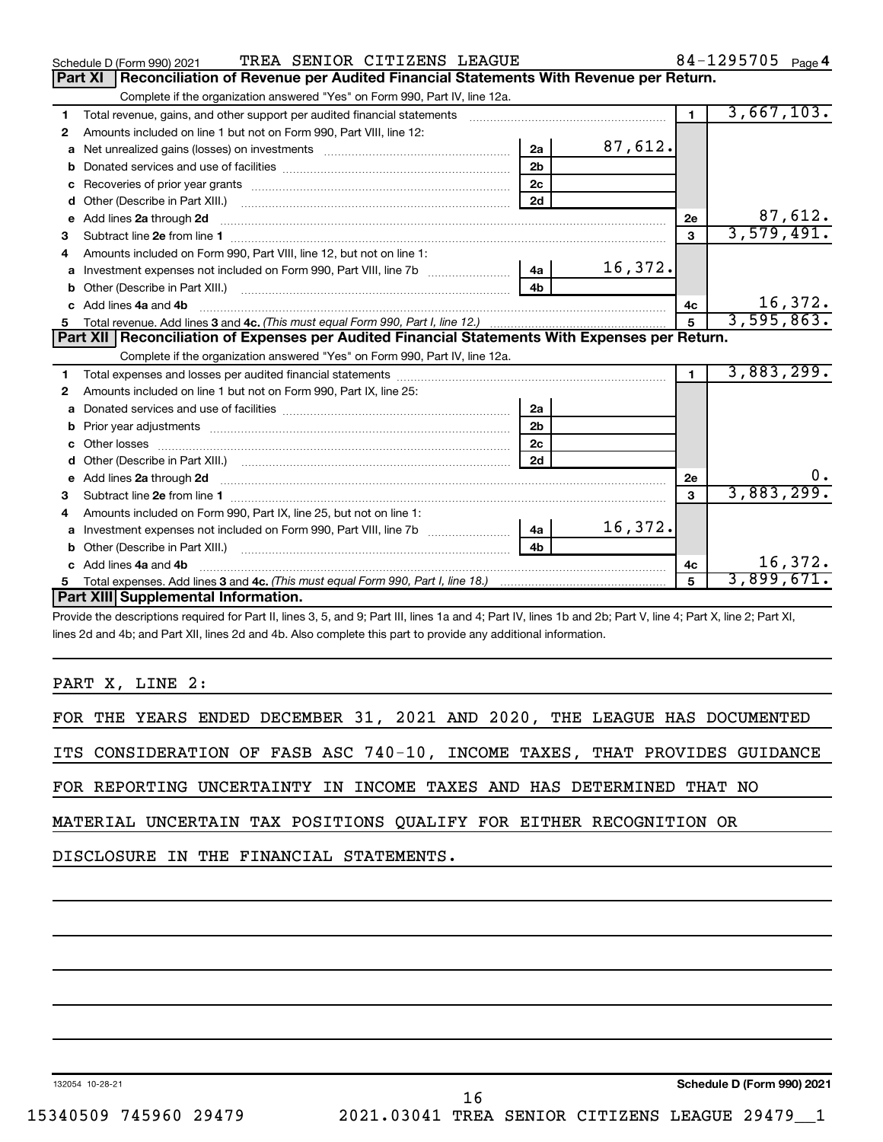|    | TREA SENIOR CITIZENS LEAGUE<br>Schedule D (Form 990) 2021                                                                                                                                                                          |                |         |              | $84 - 1295705$ Page 4 |
|----|------------------------------------------------------------------------------------------------------------------------------------------------------------------------------------------------------------------------------------|----------------|---------|--------------|-----------------------|
|    | Reconciliation of Revenue per Audited Financial Statements With Revenue per Return.<br>Part XI                                                                                                                                     |                |         |              |                       |
|    | Complete if the organization answered "Yes" on Form 990, Part IV, line 12a.                                                                                                                                                        |                |         |              |                       |
| 1  | Total revenue, gains, and other support per audited financial statements                                                                                                                                                           |                |         | $\mathbf{1}$ | 3,667,103.            |
| 2  | Amounts included on line 1 but not on Form 990, Part VIII, line 12:                                                                                                                                                                |                |         |              |                       |
| a  |                                                                                                                                                                                                                                    | 2a             | 87,612. |              |                       |
| b  |                                                                                                                                                                                                                                    | 2 <sub>b</sub> |         |              |                       |
| c  |                                                                                                                                                                                                                                    | 2 <sub>c</sub> |         |              |                       |
| d  |                                                                                                                                                                                                                                    | 2d             |         |              |                       |
| е  | Add lines 2a through 2d                                                                                                                                                                                                            |                |         | 2e           | 87,612.               |
| 3  |                                                                                                                                                                                                                                    |                |         | 3            | 3,579,491.            |
| 4  | Amounts included on Form 990, Part VIII, line 12, but not on line 1:                                                                                                                                                               |                |         |              |                       |
|    |                                                                                                                                                                                                                                    |                | 16,372. |              |                       |
| b  | Other (Describe in Part XIII.) (2000) (2000) (2000) (2010) (2010) (2010) (2010) (2010) (2010) (2010) (2010) (20                                                                                                                    | 4 <sub>b</sub> |         |              |                       |
| c. | Add lines 4a and 4b                                                                                                                                                                                                                |                |         | 4c           | 16,372.               |
|    |                                                                                                                                                                                                                                    |                |         | 5            | 3,595,863.            |
|    |                                                                                                                                                                                                                                    |                |         |              |                       |
|    | Part XII   Reconciliation of Expenses per Audited Financial Statements With Expenses per Return.                                                                                                                                   |                |         |              |                       |
|    | Complete if the organization answered "Yes" on Form 990, Part IV, line 12a.                                                                                                                                                        |                |         |              |                       |
| 1  |                                                                                                                                                                                                                                    |                |         | $\mathbf{1}$ | 3,883,299.            |
| 2  | Amounts included on line 1 but not on Form 990, Part IX, line 25:                                                                                                                                                                  |                |         |              |                       |
| a  |                                                                                                                                                                                                                                    | 2a             |         |              |                       |
| b  |                                                                                                                                                                                                                                    | 2 <sub>b</sub> |         |              |                       |
| c  |                                                                                                                                                                                                                                    | 2 <sub>c</sub> |         |              |                       |
| d  |                                                                                                                                                                                                                                    | 2d             |         |              |                       |
| е  | Add lines 2a through 2d <b>contained a contained a contained a contained a</b> contained a contained a contained a contained a contact a contact a contact a contact a contact a contact a contact a contact a contact a contact a |                |         | 2e           | 0.                    |
| З  |                                                                                                                                                                                                                                    |                |         | 3            | 3,883,299.            |
| 4  | Amounts included on Form 990, Part IX, line 25, but not on line 1:                                                                                                                                                                 |                |         |              |                       |
| a  |                                                                                                                                                                                                                                    | -4a l          | 16,372. |              |                       |
| b  |                                                                                                                                                                                                                                    | 4 <sub>b</sub> |         |              |                       |
| c. | Add lines 4a and 4b                                                                                                                                                                                                                |                |         | 4с           | 16,372.               |
|    | Part XIII Supplemental Information.                                                                                                                                                                                                |                |         | 5            | 3,899,671.            |

Provide the descriptions required for Part II, lines 3, 5, and 9; Part III, lines 1a and 4; Part IV, lines 1b and 2b; Part V, line 4; Part X, line 2; Part XI, lines 2d and 4b; and Part XII, lines 2d and 4b. Also complete this part to provide any additional information.

PART X, LINE 2:

| FOR THE |  | : YEARS ENDED DECEMBER 31, 2021 AND 2020, |  |  |  | THE LEAGUE HAS DOCUMENTED |  |
|---------|--|-------------------------------------------|--|--|--|---------------------------|--|
|         |  |                                           |  |  |  |                           |  |

ITS CONSIDERATION OF FASB ASC 740-10, INCOME TAXES, THAT PROVIDES GUIDANCE

FOR REPORTING UNCERTAINTY IN INCOME TAXES AND HAS DETERMINED THAT NO

MATERIAL UNCERTAIN TAX POSITIONS QUALIFY FOR EITHER RECOGNITION OR

DISCLOSURE IN THE FINANCIAL STATEMENTS.

132054 10-28-21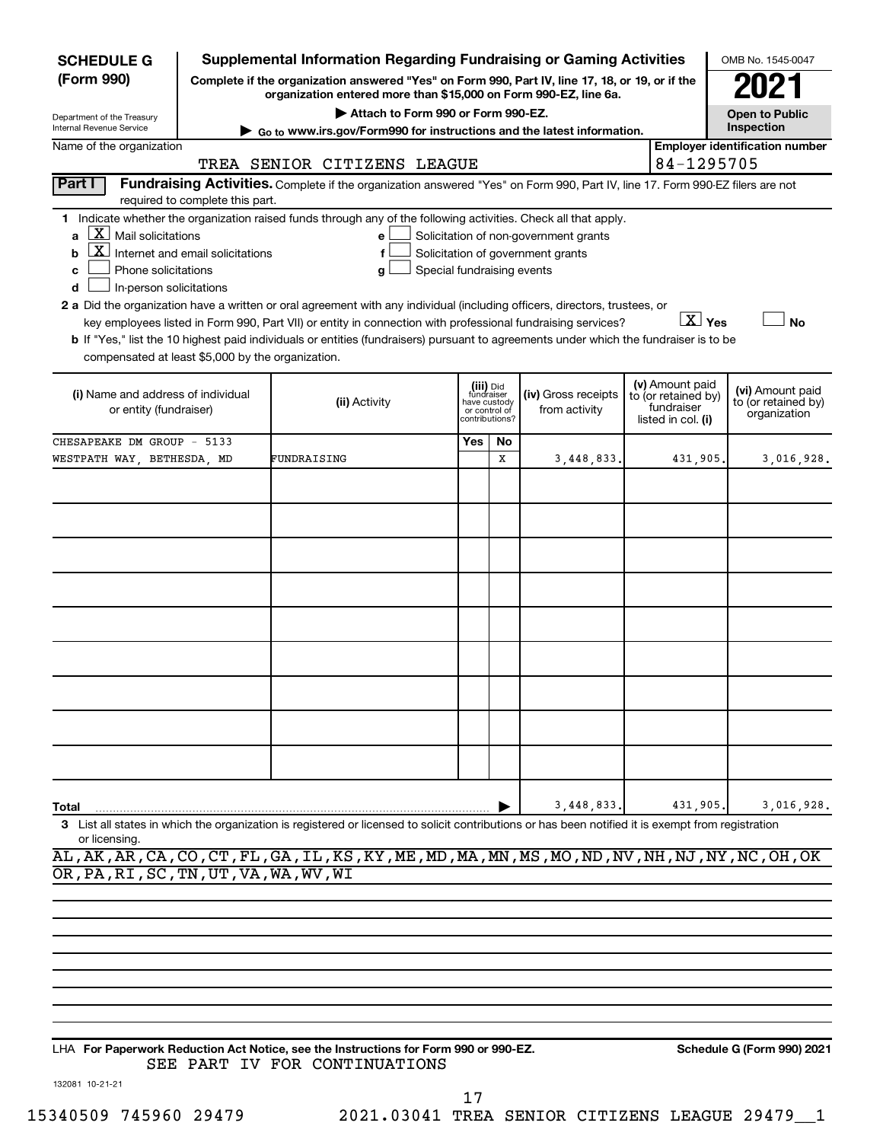| <b>SCHEDULE G</b>                                                                                                                                             |                                  | <b>Supplemental Information Regarding Fundraising or Gaming Activities</b>                                                                                                                                                                                                                                                                                                                                                                                                                                                                         |                                                                            |         |                                                                            |                                                                            | OMB No. 1545-0047                                       |
|---------------------------------------------------------------------------------------------------------------------------------------------------------------|----------------------------------|----------------------------------------------------------------------------------------------------------------------------------------------------------------------------------------------------------------------------------------------------------------------------------------------------------------------------------------------------------------------------------------------------------------------------------------------------------------------------------------------------------------------------------------------------|----------------------------------------------------------------------------|---------|----------------------------------------------------------------------------|----------------------------------------------------------------------------|---------------------------------------------------------|
| (Form 990)                                                                                                                                                    |                                  | Complete if the organization answered "Yes" on Form 990, Part IV, line 17, 18, or 19, or if the<br>organization entered more than \$15,000 on Form 990-EZ, line 6a.                                                                                                                                                                                                                                                                                                                                                                                |                                                                            |         |                                                                            |                                                                            |                                                         |
| Department of the Treasury<br>Internal Revenue Service                                                                                                        |                                  | Attach to Form 990 or Form 990-EZ.                                                                                                                                                                                                                                                                                                                                                                                                                                                                                                                 |                                                                            |         |                                                                            |                                                                            | <b>Open to Public</b><br>Inspection                     |
| Name of the organization                                                                                                                                      |                                  | Go to www.irs.gov/Form990 for instructions and the latest information.                                                                                                                                                                                                                                                                                                                                                                                                                                                                             |                                                                            |         |                                                                            |                                                                            | <b>Employer identification number</b>                   |
|                                                                                                                                                               |                                  | TREA SENIOR CITIZENS LEAGUE                                                                                                                                                                                                                                                                                                                                                                                                                                                                                                                        |                                                                            |         |                                                                            | 84-1295705                                                                 |                                                         |
| Part I                                                                                                                                                        | required to complete this part.  | Fundraising Activities. Complete if the organization answered "Yes" on Form 990, Part IV, line 17. Form 990-EZ filers are not                                                                                                                                                                                                                                                                                                                                                                                                                      |                                                                            |         |                                                                            |                                                                            |                                                         |
| $\underline{X}$ Mail solicitations<br>a<br>b<br>Phone solicitations<br>c<br>In-person solicitations<br>d<br>compensated at least \$5,000 by the organization. | Internet and email solicitations | 1 Indicate whether the organization raised funds through any of the following activities. Check all that apply.<br>e<br>f<br>Special fundraising events<br>g<br>2 a Did the organization have a written or oral agreement with any individual (including officers, directors, trustees, or<br>key employees listed in Form 990, Part VII) or entity in connection with professional fundraising services?<br>b If "Yes," list the 10 highest paid individuals or entities (fundraisers) pursuant to agreements under which the fundraiser is to be |                                                                            |         | Solicitation of non-government grants<br>Solicitation of government grants | $\boxed{\text{X}}$ Yes                                                     | <b>No</b>                                               |
| (i) Name and address of individual<br>or entity (fundraiser)                                                                                                  |                                  | (ii) Activity                                                                                                                                                                                                                                                                                                                                                                                                                                                                                                                                      | (iii) Did<br>fundraiser<br>have custody<br>or control of<br>contributions? |         | (iv) Gross receipts<br>from activity                                       | (v) Amount paid<br>to (or retained by)<br>fundraiser<br>listed in col. (i) | (vi) Amount paid<br>to (or retained by)<br>organization |
| CHESAPEAKE DM GROUP - 5133<br>WESTPATH WAY, BETHESDA, MD                                                                                                      |                                  | FUNDRAISING                                                                                                                                                                                                                                                                                                                                                                                                                                                                                                                                        | Yes                                                                        | No<br>x | 3,448,833                                                                  | 431,905.                                                                   | 3,016,928.                                              |
|                                                                                                                                                               |                                  |                                                                                                                                                                                                                                                                                                                                                                                                                                                                                                                                                    |                                                                            |         |                                                                            |                                                                            |                                                         |
| Total<br>or licensing                                                                                                                                         |                                  | 3 List all states in which the organization is registered or licensed to solicit contributions or has been notified it is exempt from registration<br>AL, AK, AR, CA, CO, CT, FL, GA, IL, KS, KY, ME, MD, MA, MN, MS, MO, ND, NV, NH, NJ, NY, NC, OH, OK                                                                                                                                                                                                                                                                                           |                                                                            |         | 3,448,833                                                                  | 431,905.                                                                   | 3,016,928.                                              |
| OR, PA, RI, SC, TN, UT, VA, WA, WV, WI                                                                                                                        |                                  |                                                                                                                                                                                                                                                                                                                                                                                                                                                                                                                                                    |                                                                            |         |                                                                            |                                                                            |                                                         |

LHA For Paperwork Reduction Act Notice, see the Instructions for Form 990 or 990-EZ. Schedule G (Form 990) 2021 SEE PART IV FOR CONTINUATIONS

132081 10-21-21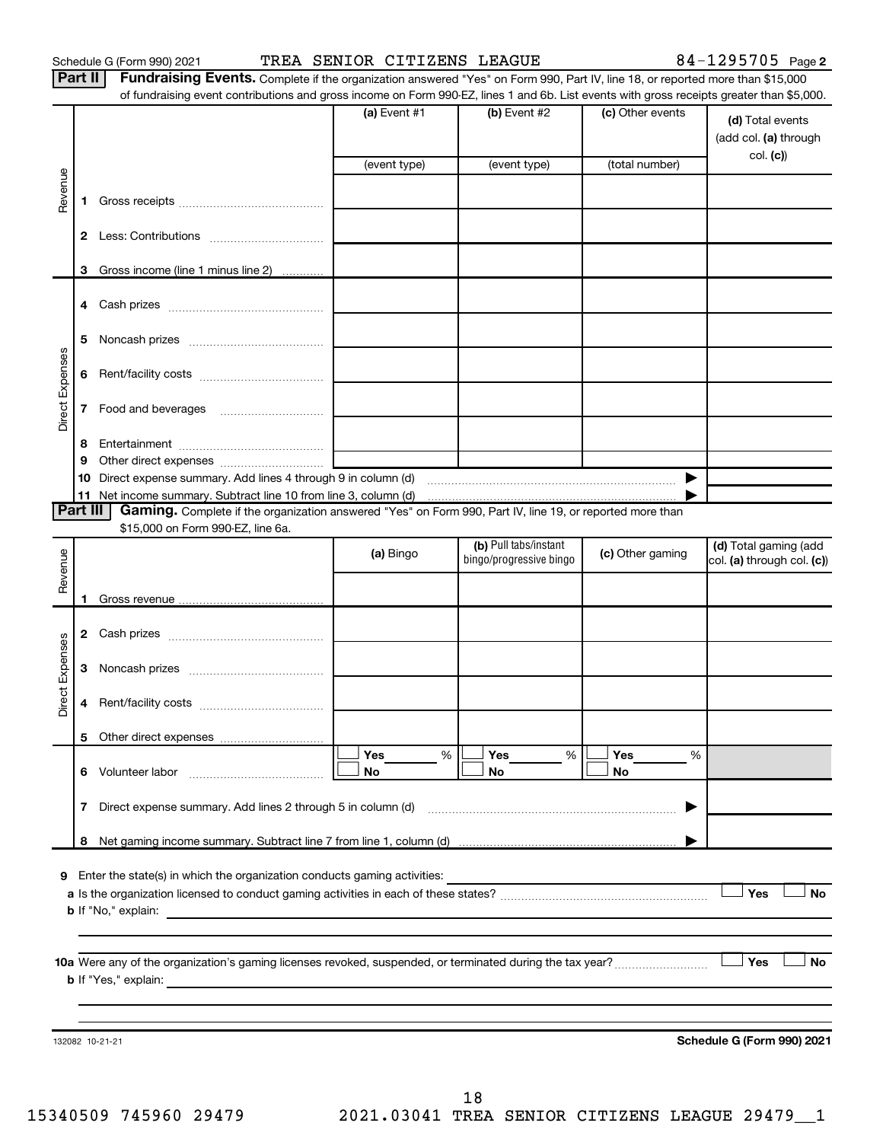Schedule G (Form 990) 2021 TREA SENIOR CITIZENS LEAGUE 84-1295705 Page

| <b>Part II</b> Fundraising Events. Complete if the organization answered "Yes" on Form 990, Part IV, line 18, or reported more than \$15,000 |
|----------------------------------------------------------------------------------------------------------------------------------------------|
| of fundraising event contributions and gross income on Form 990-EZ, lines 1 and 6b. List events with gross receipts greater than \$5,000.    |

|                 |              |                                                                                                          | (a) Event $#1$                                                                            | (b) Event #2                                     | (c) Other events | (d) Total events<br>(add col. (a) through<br>col. (c)) |
|-----------------|--------------|----------------------------------------------------------------------------------------------------------|-------------------------------------------------------------------------------------------|--------------------------------------------------|------------------|--------------------------------------------------------|
|                 |              |                                                                                                          | (event type)                                                                              | (event type)                                     | (total number)   |                                                        |
| Revenue         | 1.           |                                                                                                          |                                                                                           |                                                  |                  |                                                        |
|                 | $\mathbf{2}$ |                                                                                                          |                                                                                           |                                                  |                  |                                                        |
|                 |              | 3 Gross income (line 1 minus line 2)                                                                     |                                                                                           |                                                  |                  |                                                        |
|                 |              |                                                                                                          |                                                                                           |                                                  |                  |                                                        |
|                 | 4            |                                                                                                          |                                                                                           |                                                  |                  |                                                        |
|                 | 5            |                                                                                                          |                                                                                           |                                                  |                  |                                                        |
| Direct Expenses | 6            |                                                                                                          |                                                                                           |                                                  |                  |                                                        |
|                 | 7            |                                                                                                          |                                                                                           |                                                  |                  |                                                        |
|                 | 8            |                                                                                                          |                                                                                           |                                                  |                  |                                                        |
|                 | 9            |                                                                                                          |                                                                                           |                                                  |                  |                                                        |
|                 | 10           | Direct expense summary. Add lines 4 through 9 in column (d)                                              |                                                                                           |                                                  |                  |                                                        |
|                 |              | 11 Net income summary. Subtract line 10 from line 3, column (d) manufactured contains and non-           |                                                                                           |                                                  |                  |                                                        |
| <b>Part III</b> |              | Gaming. Complete if the organization answered "Yes" on Form 990, Part IV, line 19, or reported more than |                                                                                           |                                                  |                  |                                                        |
|                 |              | \$15,000 on Form 990-EZ, line 6a.                                                                        |                                                                                           |                                                  |                  |                                                        |
| Revenue         |              |                                                                                                          | (a) Bingo                                                                                 | (b) Pull tabs/instant<br>bingo/progressive bingo | (c) Other gaming | (d) Total gaming (add<br>col. (a) through col. (c))    |
|                 |              |                                                                                                          |                                                                                           |                                                  |                  |                                                        |
|                 |              |                                                                                                          |                                                                                           |                                                  |                  |                                                        |
|                 | 2            |                                                                                                          |                                                                                           |                                                  |                  |                                                        |
| Direct Expenses | З            |                                                                                                          |                                                                                           |                                                  |                  |                                                        |
|                 | 4            |                                                                                                          |                                                                                           |                                                  |                  |                                                        |
|                 | 5.           |                                                                                                          |                                                                                           |                                                  |                  |                                                        |
|                 |              |                                                                                                          | Yes<br>%                                                                                  | Yes<br>%                                         | Yes<br>%         |                                                        |
|                 | 6            | Volunteer labor                                                                                          | No                                                                                        | No                                               | No               |                                                        |
|                 | 7            | Direct expense summary. Add lines 2 through 5 in column (d)                                              |                                                                                           |                                                  | ▶                |                                                        |
|                 | 8            |                                                                                                          |                                                                                           |                                                  |                  |                                                        |
|                 |              |                                                                                                          |                                                                                           |                                                  |                  |                                                        |
| 9               |              | Enter the state(s) in which the organization conducts gaming activities:                                 |                                                                                           |                                                  |                  |                                                        |
|                 |              |                                                                                                          |                                                                                           |                                                  |                  | Yes<br>No                                              |
|                 |              | <b>b</b> If "No," explain:                                                                               |                                                                                           |                                                  |                  |                                                        |
|                 |              |                                                                                                          |                                                                                           |                                                  |                  |                                                        |
|                 |              | <b>b</b> If "Yes," explain:                                                                              |                                                                                           |                                                  |                  | Yes<br>No                                              |
|                 |              |                                                                                                          | the control of the control of the control of the control of the control of the control of |                                                  |                  |                                                        |
|                 |              |                                                                                                          |                                                                                           |                                                  |                  |                                                        |
|                 |              |                                                                                                          |                                                                                           |                                                  |                  |                                                        |
|                 |              |                                                                                                          |                                                                                           |                                                  |                  |                                                        |
|                 |              | 132082 10-21-21                                                                                          |                                                                                           |                                                  |                  | Schedule G (Form 990) 2021                             |

18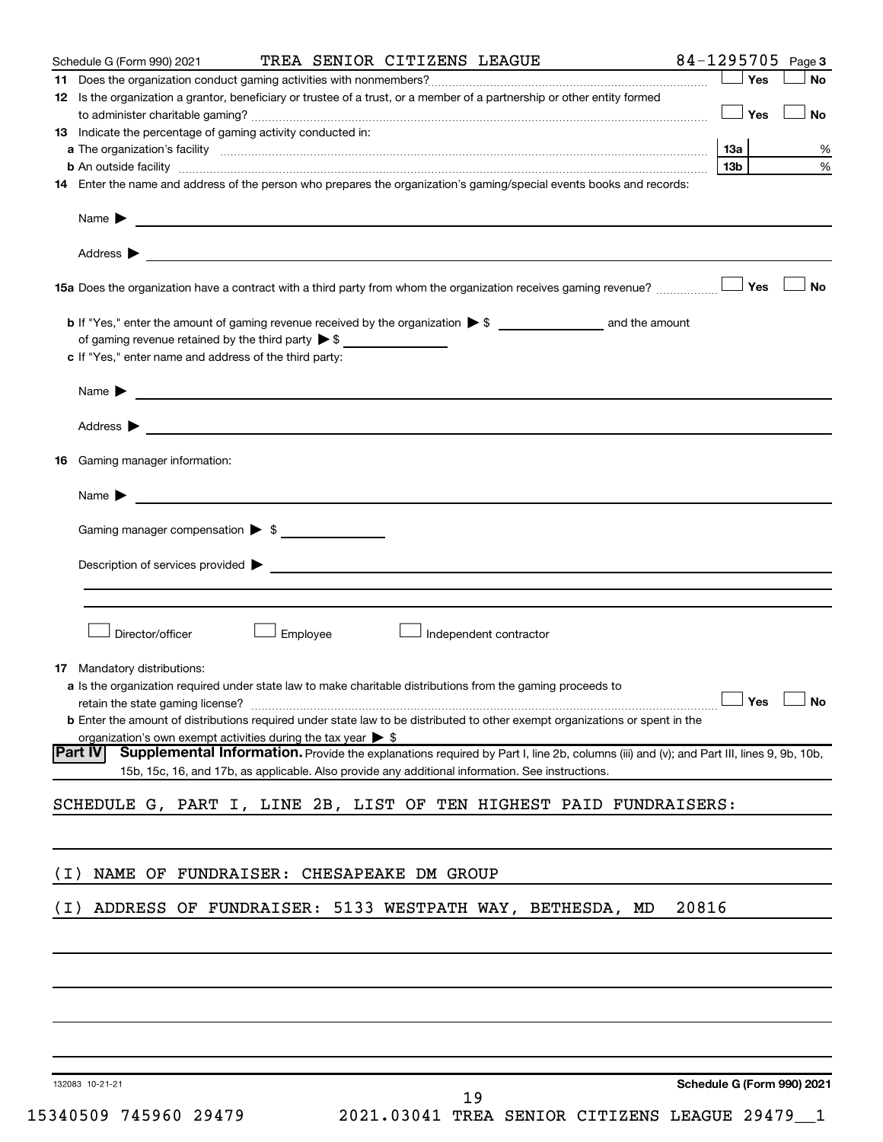|       | Schedule G (Form 990) 2021                                                                                                                                                                                                    |          | TREA SENIOR CITIZENS LEAGUE |                        |       |            |     | 84-1295705 Page 3 |
|-------|-------------------------------------------------------------------------------------------------------------------------------------------------------------------------------------------------------------------------------|----------|-----------------------------|------------------------|-------|------------|-----|-------------------|
|       |                                                                                                                                                                                                                               |          |                             |                        |       |            | Yes | No                |
|       | 12 Is the organization a grantor, beneficiary or trustee of a trust, or a member of a partnership or other entity formed                                                                                                      |          |                             |                        |       |            |     |                   |
|       |                                                                                                                                                                                                                               |          |                             |                        |       | $\Box$ Yes |     | No                |
|       | 13 Indicate the percentage of gaming activity conducted in:                                                                                                                                                                   |          |                             |                        |       |            |     |                   |
|       |                                                                                                                                                                                                                               |          |                             |                        |       | 1За        |     | %                 |
|       | b An outside facility www.communications.com/news/communications.com/news/communications.com/news/communication                                                                                                               |          |                             |                        |       | 13b        |     | %                 |
|       | 14 Enter the name and address of the person who prepares the organization's gaming/special events books and records:                                                                                                          |          |                             |                        |       |            |     |                   |
|       |                                                                                                                                                                                                                               |          |                             |                        |       |            |     |                   |
|       |                                                                                                                                                                                                                               |          |                             |                        |       |            |     |                   |
|       | 15a Does the organization have a contract with a third party from whom the organization receives gaming revenue?                                                                                                              |          |                             |                        |       |            | Yes | <b>No</b>         |
|       |                                                                                                                                                                                                                               |          |                             |                        |       |            |     |                   |
|       | of gaming revenue retained by the third party $\triangleright$ \$                                                                                                                                                             |          |                             |                        |       |            |     |                   |
|       | c If "Yes," enter name and address of the third party:                                                                                                                                                                        |          |                             |                        |       |            |     |                   |
|       |                                                                                                                                                                                                                               |          |                             |                        |       |            |     |                   |
|       | Name > 2008 - 2008 - 2009 - 2009 - 2009 - 2009 - 2009 - 2009 - 2009 - 2009 - 2009 - 2009 - 2009 - 2009 - 2009 - 2009 - 2009 - 2009 - 2009 - 2009 - 2009 - 2009 - 2009 - 2009 - 2009 - 2009 - 2009 - 2009 - 2009 - 2009 - 2009 |          |                             |                        |       |            |     |                   |
|       | Address $\blacktriangleright$                                                                                                                                                                                                 |          |                             |                        |       |            |     |                   |
|       | 16 Gaming manager information:                                                                                                                                                                                                |          |                             |                        |       |            |     |                   |
|       | <u> 1989 - John Barn Barn, amerikansk politiker (</u><br>Name $\blacktriangleright$                                                                                                                                           |          |                             |                        |       |            |     |                   |
|       | Gaming manager compensation > \$                                                                                                                                                                                              |          |                             |                        |       |            |     |                   |
|       | Description of services provided > example and the contract of the contract of the contract of the contract of                                                                                                                |          |                             |                        |       |            |     |                   |
|       |                                                                                                                                                                                                                               |          |                             |                        |       |            |     |                   |
|       |                                                                                                                                                                                                                               |          |                             |                        |       |            |     |                   |
|       | Director/officer                                                                                                                                                                                                              | Employee |                             | Independent contractor |       |            |     |                   |
|       | 17 Mandatory distributions:                                                                                                                                                                                                   |          |                             |                        |       |            |     |                   |
|       | a Is the organization required under state law to make charitable distributions from the gaming proceeds to                                                                                                                   |          |                             |                        |       |            |     |                   |
|       | retain the state gaming license? $\Box$ No                                                                                                                                                                                    |          |                             |                        |       |            |     |                   |
|       | <b>b</b> Enter the amount of distributions required under state law to be distributed to other exempt organizations or spent in the                                                                                           |          |                             |                        |       |            |     |                   |
|       | organization's own exempt activities during the tax year $\triangleright$ \$                                                                                                                                                  |          |                             |                        |       |            |     |                   |
|       | Supplemental Information. Provide the explanations required by Part I, line 2b, columns (iii) and (v); and Part III, lines 9, 9b, 10b,<br> Part IV                                                                            |          |                             |                        |       |            |     |                   |
|       | 15b, 15c, 16, and 17b, as applicable. Also provide any additional information. See instructions.                                                                                                                              |          |                             |                        |       |            |     |                   |
|       | SCHEDULE G, PART I, LINE 2B, LIST OF TEN HIGHEST PAID FUNDRAISERS:                                                                                                                                                            |          |                             |                        |       |            |     |                   |
|       |                                                                                                                                                                                                                               |          |                             |                        |       |            |     |                   |
|       |                                                                                                                                                                                                                               |          |                             |                        |       |            |     |                   |
| ( I ) | NAME OF FUNDRAISER: CHESAPEAKE DM GROUP                                                                                                                                                                                       |          |                             |                        |       |            |     |                   |
| ( I ) | ADDRESS OF FUNDRAISER: 5133 WESTPATH WAY, BETHESDA, MD                                                                                                                                                                        |          |                             |                        | 20816 |            |     |                   |
|       |                                                                                                                                                                                                                               |          |                             |                        |       |            |     |                   |
|       |                                                                                                                                                                                                                               |          |                             |                        |       |            |     |                   |
|       |                                                                                                                                                                                                                               |          |                             |                        |       |            |     |                   |
|       |                                                                                                                                                                                                                               |          |                             |                        |       |            |     |                   |
|       |                                                                                                                                                                                                                               |          |                             |                        |       |            |     |                   |

132083 10-21-21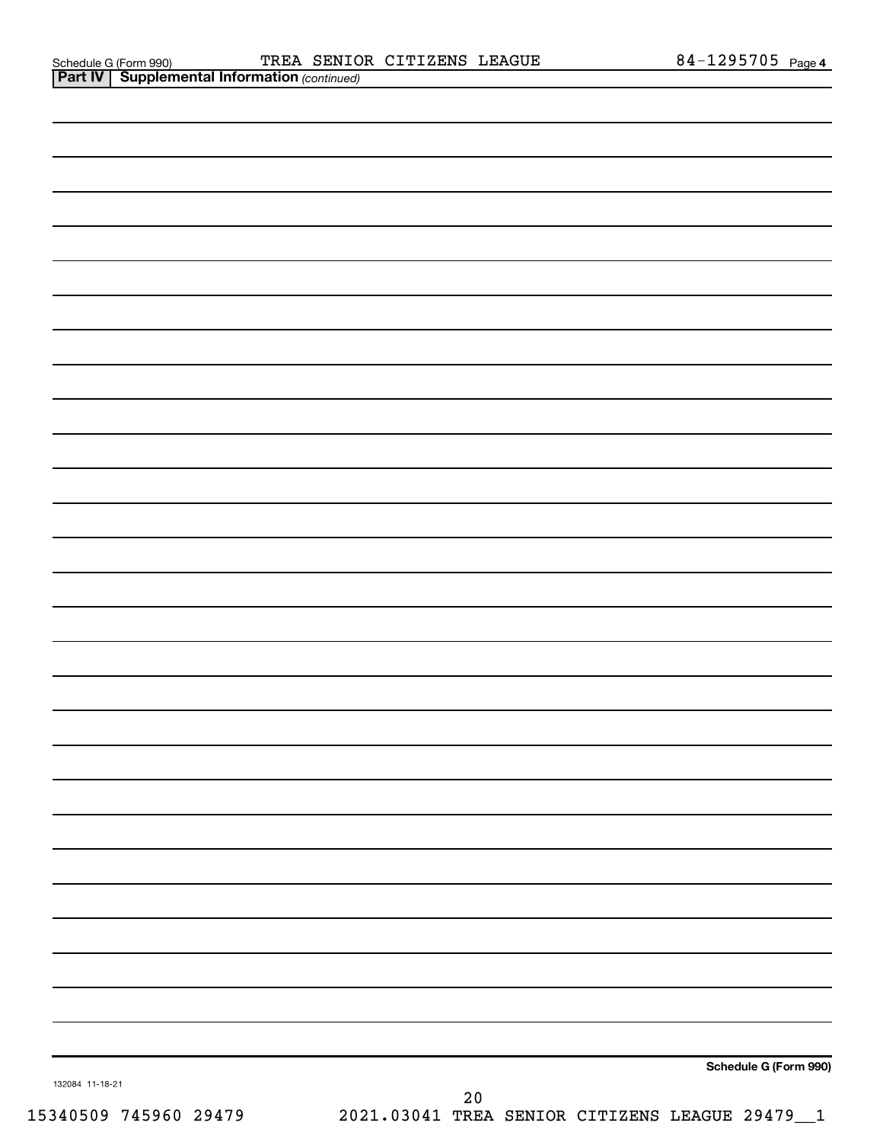**Part IV** | Supplemental Information (continued)

| 132084 11-18-21 |          | Schedule G (Form 990) |
|-----------------|----------|-----------------------|
|                 | $\Omega$ |                       |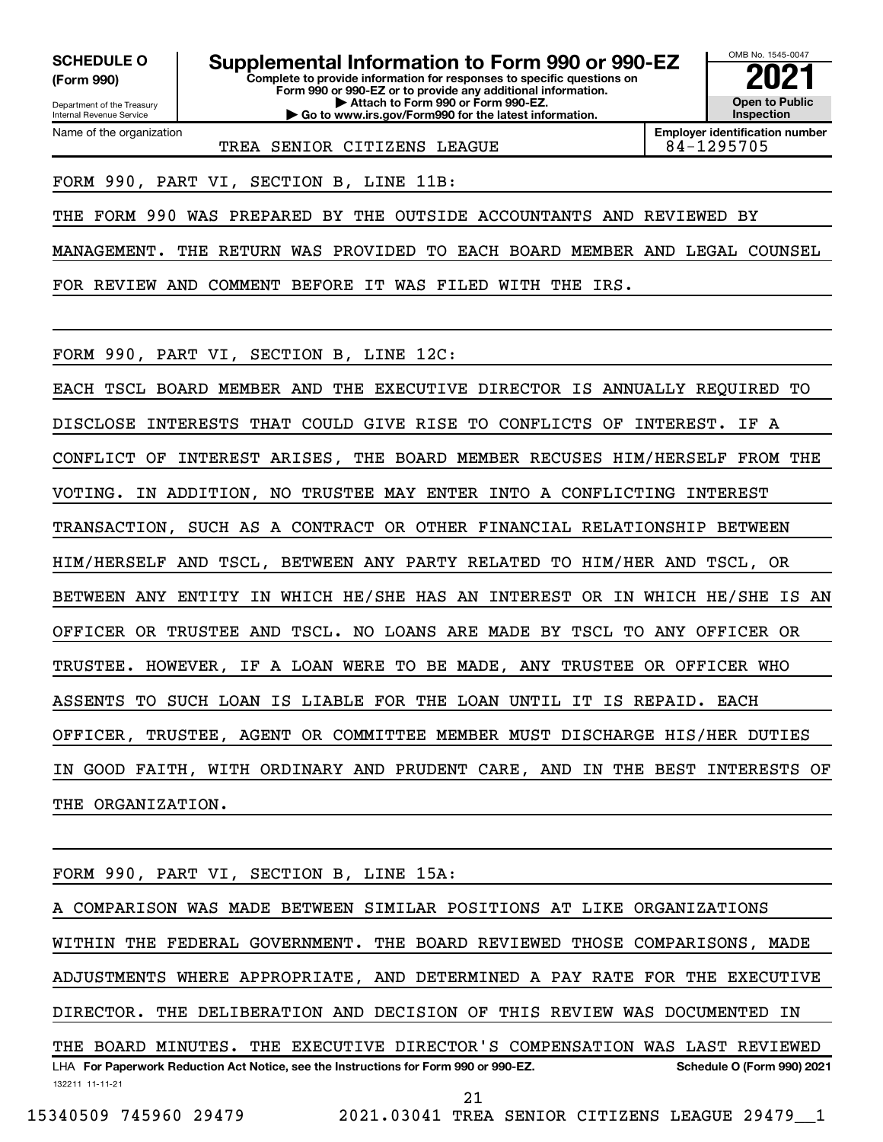**(Form 990)**

Department of the Treasury Internal Revenue Service Name of the organization

**Complete to provide information for responses to specific questions on Form 990 or 990-EZ or to provide any additional information. | Attach to Form 990 or Form 990-EZ. | Go to www.irs.gov/Form990 for the latest information. SCHEDULE O Supplemental Information to Form 990 or 990-EZ**  $\frac{1000000}{202}$ 



**Employer identification number** TREA SENIOR CITIZENS LEAGUE 84-1295705

FORM 990, PART VI, SECTION B, LINE 11B:

THE FORM 990 WAS PREPARED BY THE OUTSIDE ACCOUNTANTS AND REVIEWED BY

MANAGEMENT. THE RETURN WAS PROVIDED TO EACH BOARD MEMBER AND LEGAL COUNSEL

FOR REVIEW AND COMMENT BEFORE IT WAS FILED WITH THE IRS.

FORM 990, PART VI, SECTION B, LINE 12C:

EACH TSCL BOARD MEMBER AND THE EXECUTIVE DIRECTOR IS ANNUALLY REQUIRED TO DISCLOSE INTERESTS THAT COULD GIVE RISE TO CONFLICTS OF INTEREST. IF A CONFLICT OF INTEREST ARISES, THE BOARD MEMBER RECUSES HIM/HERSELF FROM THE VOTING. IN ADDITION, NO TRUSTEE MAY ENTER INTO A CONFLICTING INTEREST TRANSACTION, SUCH AS A CONTRACT OR OTHER FINANCIAL RELATIONSHIP BETWEEN HIM/HERSELF AND TSCL, BETWEEN ANY PARTY RELATED TO HIM/HER AND TSCL, OR BETWEEN ANY ENTITY IN WHICH HE/SHE HAS AN INTEREST OR IN WHICH HE/SHE IS AN OFFICER OR TRUSTEE AND TSCL. NO LOANS ARE MADE BY TSCL TO ANY OFFICER OR TRUSTEE. HOWEVER, IF A LOAN WERE TO BE MADE, ANY TRUSTEE OR OFFICER WHO ASSENTS TO SUCH LOAN IS LIABLE FOR THE LOAN UNTIL IT IS REPAID. EACH OFFICER, TRUSTEE, AGENT OR COMMITTEE MEMBER MUST DISCHARGE HIS/HER DUTIES IN GOOD FAITH, WITH ORDINARY AND PRUDENT CARE, AND IN THE BEST INTERESTS OF THE ORGANIZATION.

FORM 990, PART VI, SECTION B, LINE 15A:

132211 11-11-21 LHA For Paperwork Reduction Act Notice, see the Instructions for Form 990 or 990-EZ. Schedule O (Form 990) 2021 COMPARISON WAS MADE BETWEEN SIMILAR POSITIONS AT LIKE ORGANIZATIONS WITHIN THE FEDERAL GOVERNMENT. THE BOARD REVIEWED THOSE COMPARISONS, MADE ADJUSTMENTS WHERE APPROPRIATE, AND DETERMINED A PAY RATE FOR THE EXECUTIVE DIRECTOR. THE DELIBERATION AND DECISION OF THIS REVIEW WAS DOCUMENTED IN THE BOARD MINUTES. THE EXECUTIVE DIRECTOR'S COMPENSATION WAS LAST REVIEWED

21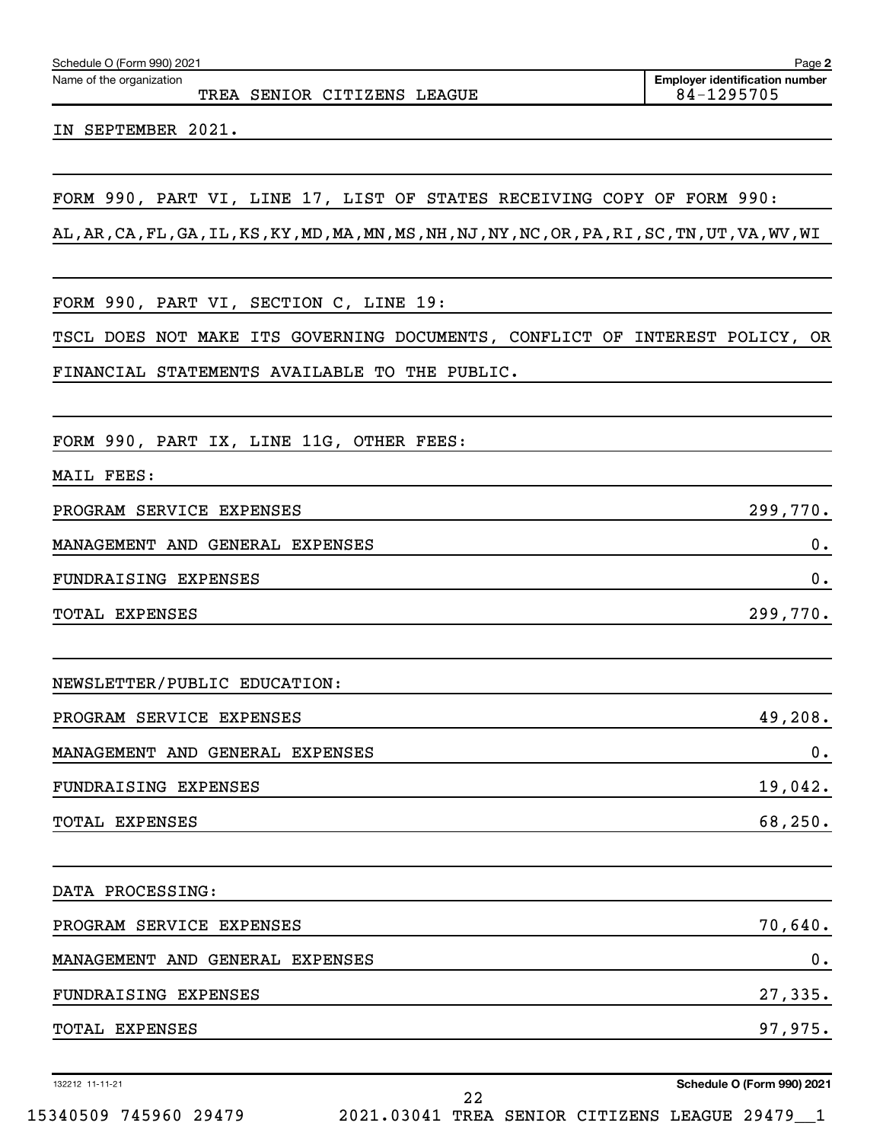| Schedule O (Form 990) 2021 | Page |  |
|----------------------------|------|--|
|----------------------------|------|--|

Name of the organization

TREA SENIOR CITIZENS LEAGUE 84-1295705

IN SEPTEMBER 2021.

FORM 990, PART VI, LINE 17, LIST OF STATES RECEIVING COPY OF FORM 990:

AL,AR,CA,FL,GA,IL,KS,KY,MD,MA,MN,MS,NH,NJ,NY,NC,OR,PA,RI,SC,TN,UT,VA,WV,WI

FORM 990, PART VI, SECTION C, LINE 19:

TSCL DOES NOT MAKE ITS GOVERNING DOCUMENTS, CONFLICT OF INTEREST POLICY, OR FINANCIAL STATEMENTS AVAILABLE TO THE PUBLIC.

FORM 990, PART IX, LINE 11G, OTHER FEES:

MAIL FEES:

PROGRAM SERVICE EXPENSES 299,770. MANAGEMENT AND GENERAL EXPENSES 0. FUNDRAISING EXPENSES 0.

TOTAL EXPENSES 299,770.

NEWSLETTER/PUBLIC EDUCATION:

| PROGRAM SERVICE EXPENSES        | 49,208. |
|---------------------------------|---------|
| MANAGEMENT AND GENERAL EXPENSES |         |
| FUNDRAISING EXPENSES            | 19,042. |

TOTAL EXPENSES 68,250.

DATA PROCESSING: PROGRAM SERVICE EXPENSES 70,640. MANAGEMENT AND GENERAL EXPENSES 0. FUNDRAISING EXPENSES 27,335. TOTAL EXPENSES 97,975.

132212 11-11-21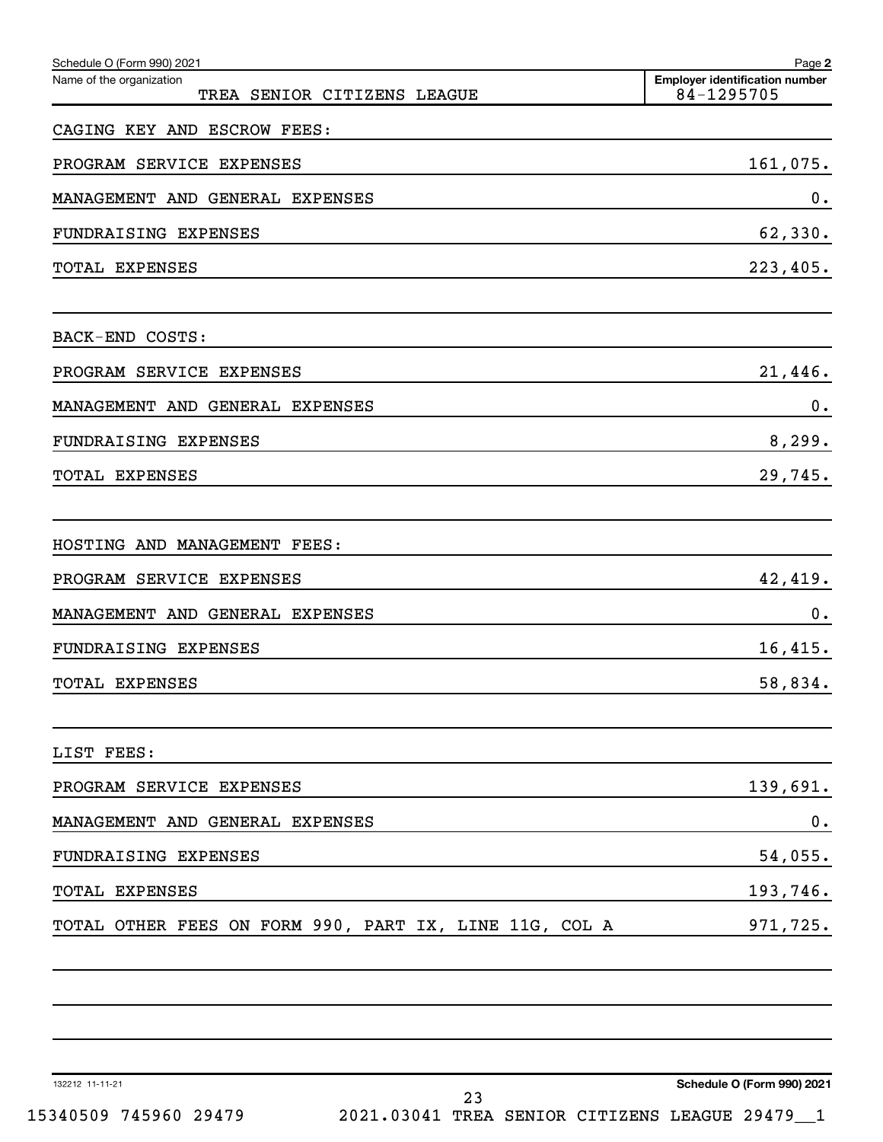| Schedule O (Form 990) 2021<br>Name of the organization | Page 2<br><b>Employer identification number</b> |
|--------------------------------------------------------|-------------------------------------------------|
| TREA SENIOR CITIZENS LEAGUE                            | 84-1295705                                      |
| CAGING KEY AND ESCROW FEES:                            |                                                 |
| PROGRAM SERVICE EXPENSES                               | 161,075.                                        |
| MANAGEMENT AND GENERAL EXPENSES                        | 0.                                              |
| FUNDRAISING EXPENSES                                   | 62,330.                                         |
| TOTAL EXPENSES                                         | 223,405.                                        |
| BACK-END COSTS:                                        |                                                 |
| PROGRAM SERVICE EXPENSES                               | 21,446.                                         |
| MANAGEMENT AND GENERAL EXPENSES                        | 0.                                              |
| FUNDRAISING EXPENSES                                   | 8, 299.                                         |
| TOTAL EXPENSES                                         | 29,745.                                         |
| HOSTING AND MANAGEMENT FEES:                           |                                                 |
| PROGRAM SERVICE EXPENSES                               | 42,419.                                         |
| MANAGEMENT AND GENERAL EXPENSES                        | 0.                                              |
| FUNDRAISING EXPENSES                                   | 16,415.                                         |
| TOTAL EXPENSES                                         | 58,834.                                         |
| LIST FEES:                                             |                                                 |
| PROGRAM SERVICE EXPENSES                               | 139,691.                                        |
| MANAGEMENT AND GENERAL EXPENSES                        | $\mathbf 0$ .                                   |
| FUNDRAISING EXPENSES                                   | 54,055.                                         |
| TOTAL EXPENSES                                         | 193,746.                                        |
| TOTAL OTHER FEES ON FORM 990, PART IX, LINE 11G, COL A | 971,725.                                        |
|                                                        |                                                 |
|                                                        |                                                 |

132212 11-11-21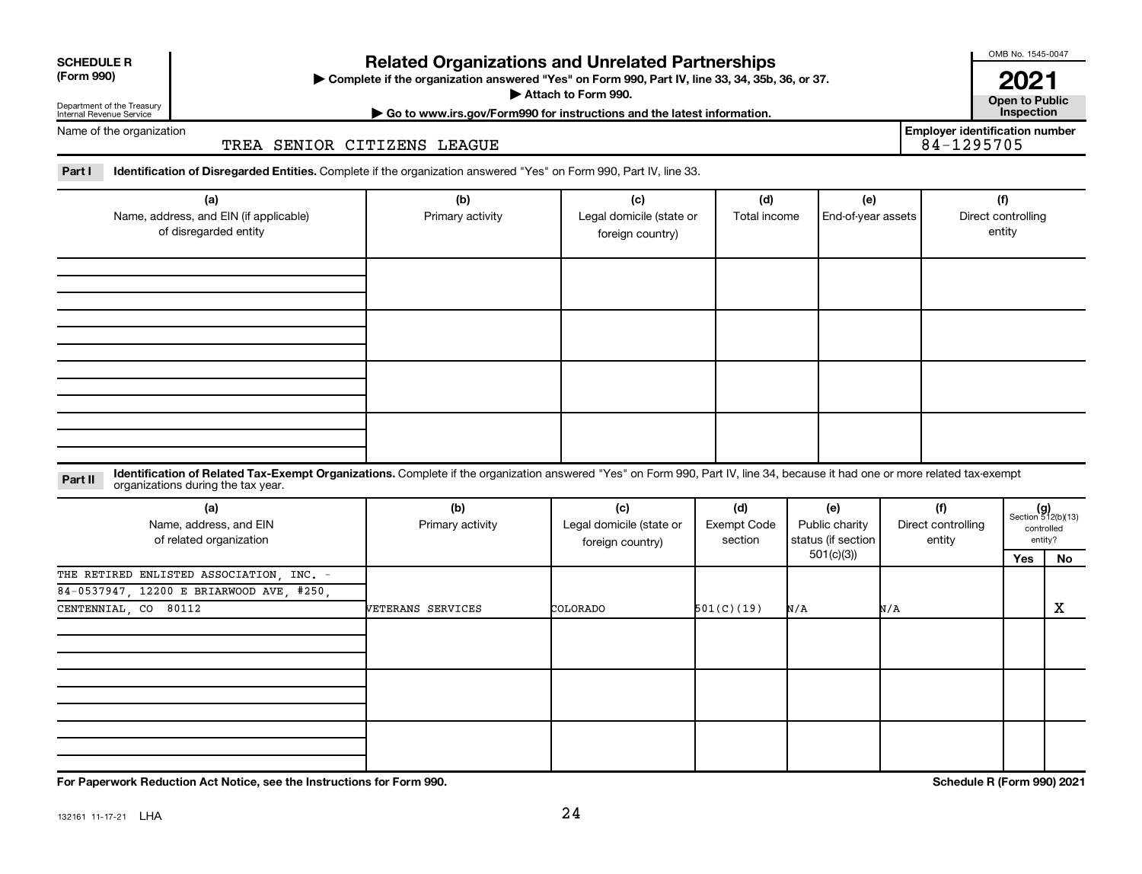| <b>SCHEDULE R</b> |  |
|-------------------|--|
|                   |  |

# Department of the Treasury Internal Revenue Service

# **Related Organizations and Unrelated Partnerships**

**(Form 990) Complete if the organization answered "Yes" on Form 990, Part IV, line 33, 34, 35b, 36, or 37.** |

▶ Attach to Form 990. **Open to Public** 

OMB No. 1545-0047

**| Go to www.irs.gov/Form990 for instructions and the latest information. Inspection 2021**<br>Open to Public

**Employer identification number**

Name of the organization

# TREA SENIOR CITIZENS LEAGUE

Part I ldentification of Disregarded Entities. Complete if the organization answered "Yes" on Form 990, Part IV, line 33.

| (a)<br>Name, address, and EIN (if applicable)<br>of disregarded entity | (b)<br>Primary activity | (c)<br>Legal domicile (state or<br>foreign country) | (d)<br>Total income | (e)<br>End-of-year assets | (f)<br>Direct controlling<br>entity |
|------------------------------------------------------------------------|-------------------------|-----------------------------------------------------|---------------------|---------------------------|-------------------------------------|
|                                                                        |                         |                                                     |                     |                           |                                     |
|                                                                        |                         |                                                     |                     |                           |                                     |
|                                                                        |                         |                                                     |                     |                           |                                     |
|                                                                        |                         |                                                     |                     |                           |                                     |

### **Part II** Identification of Related Tax-Exempt Organizations. Complete if the organization answered "Yes" on Form 990, Part IV, line 34, because it had one or more related tax-exempt<br>Part II acconizations during the tax ye organizations during the tax year.

| (a)<br>Name, address, and EIN<br>of related organization | (b)<br>Primary activity | (c)<br>Legal domicile (state or<br>foreign country) | (d)<br><b>Exempt Code</b><br>section | (e)<br>Public charity<br>status (if section | (f)<br>Direct controlling<br>entity |     | $(g)$<br>Section 512(b)(13)<br>controlled<br>entity? |
|----------------------------------------------------------|-------------------------|-----------------------------------------------------|--------------------------------------|---------------------------------------------|-------------------------------------|-----|------------------------------------------------------|
|                                                          |                         |                                                     |                                      | 501(c)(3))                                  |                                     | Yes | No                                                   |
| THE RETIRED ENLISTED ASSOCIATION, INC. -                 |                         |                                                     |                                      |                                             |                                     |     |                                                      |
| 84-0537947, 12200 E BRIARWOOD AVE, #250,                 |                         |                                                     |                                      |                                             |                                     |     |                                                      |
| CENTENNIAL, CO 80112                                     | VETERANS SERVICES       | COLORADO                                            | 501(C)(19)                           | N/A                                         | N/A                                 |     | X                                                    |
|                                                          |                         |                                                     |                                      |                                             |                                     |     |                                                      |
|                                                          |                         |                                                     |                                      |                                             |                                     |     |                                                      |
|                                                          |                         |                                                     |                                      |                                             |                                     |     |                                                      |

**For Paperwork Reduction Act Notice, see the Instructions for Form 990. Schedule R (Form 990) 2021**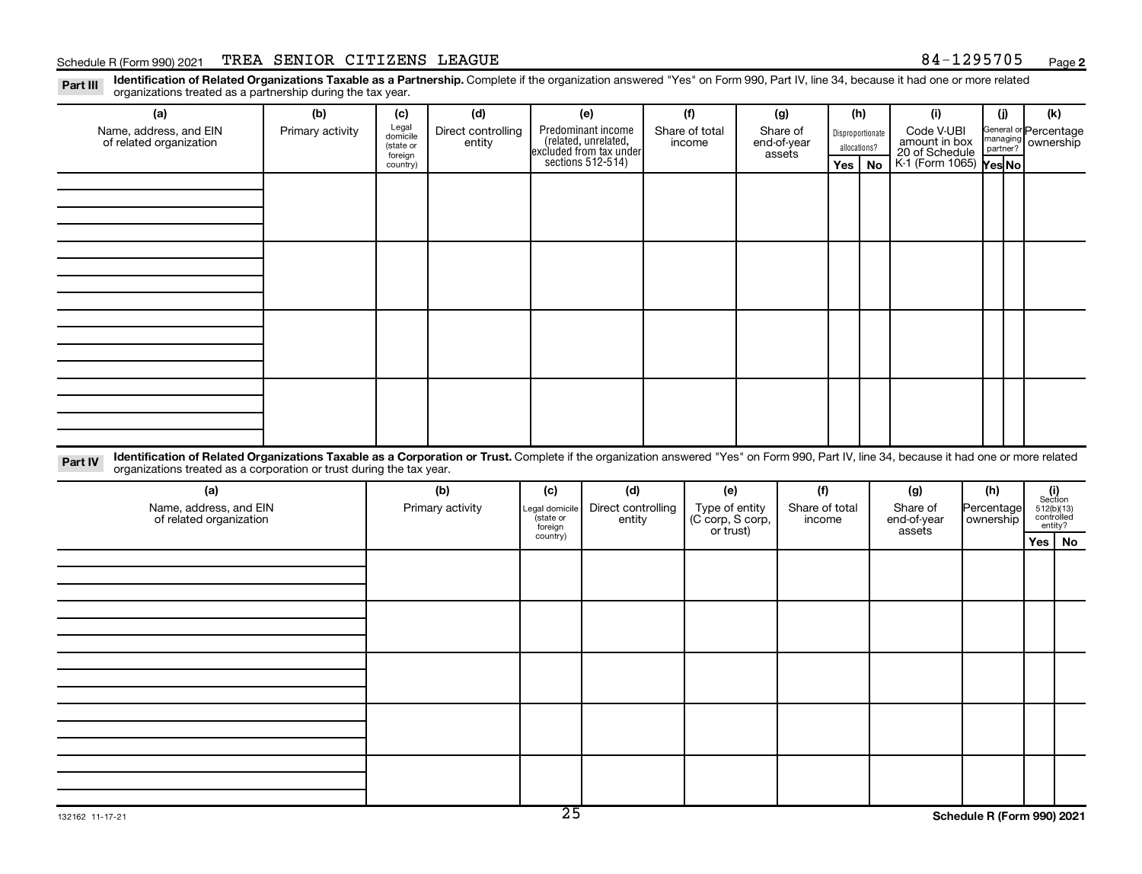**2**

Disproportionate allocations? Legal domicile (state or foreign country) General or Percentage managing partner? Legal domicile (state or foreign country) Part III Identification of Related Organizations Taxable as a Partnership. Complete if the organization answered "Yes" on Form 990, Part IV, line 34, because it had one or more related<br>Read to the organizations tracted as **(a) (b) (c) (d) (e) (f) (g) (h) (i) (j) (k) Yes No Yes No** K-1 (Form 1065) Part IV Identification of Related Organizations Taxable as a Corporation or Trust. Complete if the organization answered "Yes" on Form 990, Part IV, line 34, because it had one or more related Predominant income<br>(related, unrelated, excluded from tax under sections 512-514) Schedule R (Form 990) 2021 TREA SENIOR CITIZENS LEAGUE 84-1295705 <sub>Page</sub> organizations treated as a partnership during the tax year. Name, address, and EIN of related organization Primary activity  $\left| \begin{array}{c} \text{Legal} \\ \text{diamial} \end{array} \right|$  Direct controlling entity Share of total income Share of end-of-year assets Code V-UBI<br>amount in box 20 of Schedule ownership organizations treated as a corporation or trust during the tax year. Name, address, and EIN of related organization Primary activity |Legal domicile | Direct controlling entity Type of entity (C corp, S corp, or trust) Share of total income Share of end-of-year assets Percentage ownership

Section 512(b)(13) controlled entity? **(a) (b) (c) (d) (e) (f) (g) (h) (i) Yes No**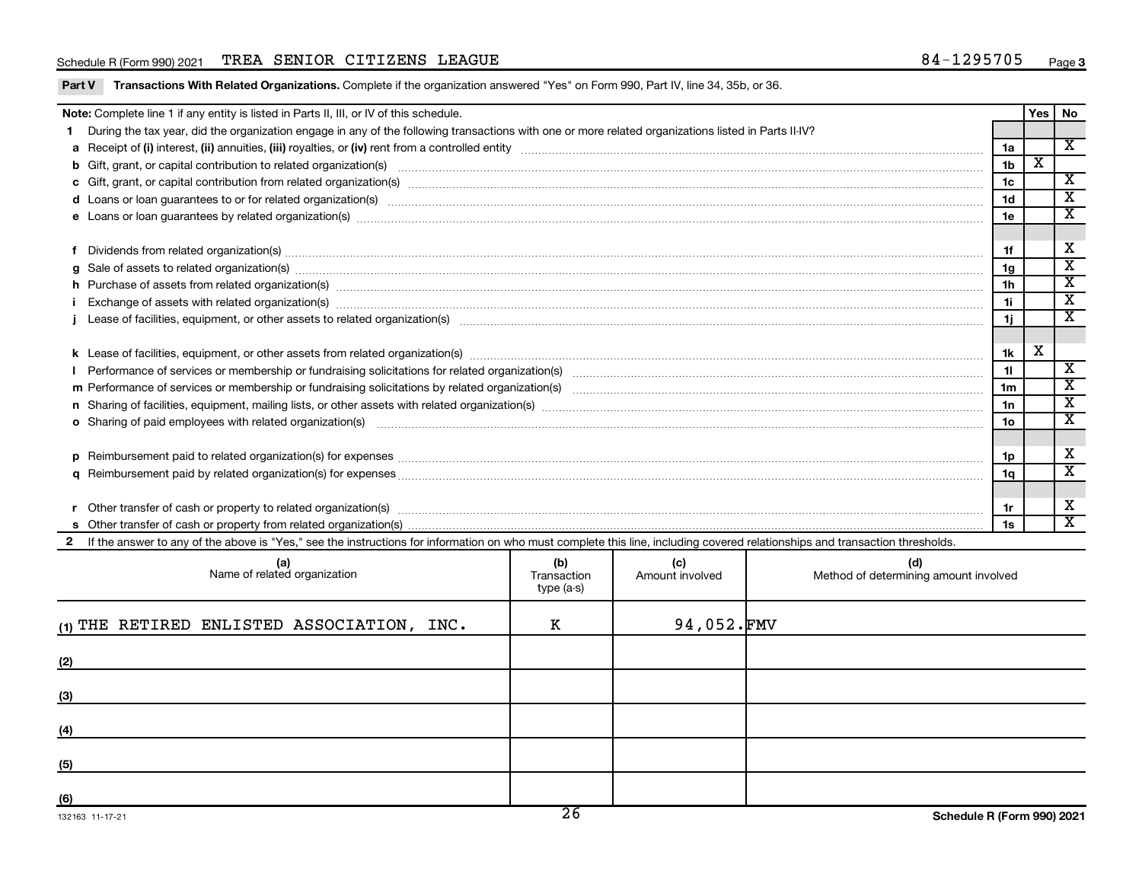# Schedule R (Form 990) 2021 TREA SENIOR CITIZENS LEAGUE 84-1295705 <sub>Page</sub>

|                                                                                                                                                                                                                                                                                                                                                                                                                                                                                                                                                                                                                                                                                                                                                                                                                                | Note: Complete line 1 if any entity is listed in Parts II, III, or IV of this schedule.                                                                                                                                        |  |  |  |                |                         | Yes   No                |
|--------------------------------------------------------------------------------------------------------------------------------------------------------------------------------------------------------------------------------------------------------------------------------------------------------------------------------------------------------------------------------------------------------------------------------------------------------------------------------------------------------------------------------------------------------------------------------------------------------------------------------------------------------------------------------------------------------------------------------------------------------------------------------------------------------------------------------|--------------------------------------------------------------------------------------------------------------------------------------------------------------------------------------------------------------------------------|--|--|--|----------------|-------------------------|-------------------------|
|                                                                                                                                                                                                                                                                                                                                                                                                                                                                                                                                                                                                                                                                                                                                                                                                                                | During the tax year, did the organization engage in any of the following transactions with one or more related organizations listed in Parts II-IV?                                                                            |  |  |  |                |                         |                         |
|                                                                                                                                                                                                                                                                                                                                                                                                                                                                                                                                                                                                                                                                                                                                                                                                                                |                                                                                                                                                                                                                                |  |  |  | 1a             |                         | $\overline{\mathbf{x}}$ |
|                                                                                                                                                                                                                                                                                                                                                                                                                                                                                                                                                                                                                                                                                                                                                                                                                                |                                                                                                                                                                                                                                |  |  |  | 1 <sub>b</sub> | $\overline{\texttt{x}}$ |                         |
|                                                                                                                                                                                                                                                                                                                                                                                                                                                                                                                                                                                                                                                                                                                                                                                                                                |                                                                                                                                                                                                                                |  |  |  | 1 <sub>c</sub> |                         | X                       |
|                                                                                                                                                                                                                                                                                                                                                                                                                                                                                                                                                                                                                                                                                                                                                                                                                                |                                                                                                                                                                                                                                |  |  |  | 1 <sub>d</sub> |                         | $\overline{\texttt{x}}$ |
|                                                                                                                                                                                                                                                                                                                                                                                                                                                                                                                                                                                                                                                                                                                                                                                                                                |                                                                                                                                                                                                                                |  |  |  | 1e             |                         | $\overline{\mathbf{x}}$ |
|                                                                                                                                                                                                                                                                                                                                                                                                                                                                                                                                                                                                                                                                                                                                                                                                                                |                                                                                                                                                                                                                                |  |  |  |                |                         |                         |
|                                                                                                                                                                                                                                                                                                                                                                                                                                                                                                                                                                                                                                                                                                                                                                                                                                | Dividends from related organization(s) machinesis and contract and contract and contract and contract and contract and contract and contract and contract and contract and contract and contract and contract and contract and |  |  |  | 1f             |                         | X                       |
| a                                                                                                                                                                                                                                                                                                                                                                                                                                                                                                                                                                                                                                                                                                                                                                                                                              | Sale of assets to related organization(s) www.assettion.com/www.assettion.com/www.assettion.com/www.assettion.com/www.assettion.com/www.assettion.com/www.assettion.com/www.assettion.com/www.assettion.com/www.assettion.com/ |  |  |  | 1 <sub>q</sub> |                         | $\overline{\texttt{x}}$ |
|                                                                                                                                                                                                                                                                                                                                                                                                                                                                                                                                                                                                                                                                                                                                                                                                                                | h Purchase of assets from related organization(s) manufactured content to content the content of assets from related organization(s) manufactured content to content the content of the content of the content of the content  |  |  |  | 1 <sub>h</sub> |                         | $\overline{\textbf{x}}$ |
|                                                                                                                                                                                                                                                                                                                                                                                                                                                                                                                                                                                                                                                                                                                                                                                                                                |                                                                                                                                                                                                                                |  |  |  | 1i.            |                         | $\overline{\mathbf{x}}$ |
|                                                                                                                                                                                                                                                                                                                                                                                                                                                                                                                                                                                                                                                                                                                                                                                                                                |                                                                                                                                                                                                                                |  |  |  | 1j.            |                         | $\overline{\mathbf{x}}$ |
|                                                                                                                                                                                                                                                                                                                                                                                                                                                                                                                                                                                                                                                                                                                                                                                                                                |                                                                                                                                                                                                                                |  |  |  |                |                         |                         |
|                                                                                                                                                                                                                                                                                                                                                                                                                                                                                                                                                                                                                                                                                                                                                                                                                                |                                                                                                                                                                                                                                |  |  |  | 1k             | X                       |                         |
|                                                                                                                                                                                                                                                                                                                                                                                                                                                                                                                                                                                                                                                                                                                                                                                                                                |                                                                                                                                                                                                                                |  |  |  | 11             |                         | $\overline{\mathbf{x}}$ |
|                                                                                                                                                                                                                                                                                                                                                                                                                                                                                                                                                                                                                                                                                                                                                                                                                                |                                                                                                                                                                                                                                |  |  |  | 1 <sub>m</sub> |                         | $\mathbf{x}$            |
|                                                                                                                                                                                                                                                                                                                                                                                                                                                                                                                                                                                                                                                                                                                                                                                                                                |                                                                                                                                                                                                                                |  |  |  | 1n             |                         | $\overline{\texttt{x}}$ |
|                                                                                                                                                                                                                                                                                                                                                                                                                                                                                                                                                                                                                                                                                                                                                                                                                                |                                                                                                                                                                                                                                |  |  |  | 1 <sub>o</sub> |                         | $\overline{\texttt{x}}$ |
|                                                                                                                                                                                                                                                                                                                                                                                                                                                                                                                                                                                                                                                                                                                                                                                                                                |                                                                                                                                                                                                                                |  |  |  |                |                         |                         |
|                                                                                                                                                                                                                                                                                                                                                                                                                                                                                                                                                                                                                                                                                                                                                                                                                                |                                                                                                                                                                                                                                |  |  |  | 1p             |                         | $\mathbf x$             |
|                                                                                                                                                                                                                                                                                                                                                                                                                                                                                                                                                                                                                                                                                                                                                                                                                                |                                                                                                                                                                                                                                |  |  |  | 1q             |                         | $\overline{\mathbf{x}}$ |
|                                                                                                                                                                                                                                                                                                                                                                                                                                                                                                                                                                                                                                                                                                                                                                                                                                |                                                                                                                                                                                                                                |  |  |  |                |                         |                         |
|                                                                                                                                                                                                                                                                                                                                                                                                                                                                                                                                                                                                                                                                                                                                                                                                                                |                                                                                                                                                                                                                                |  |  |  |                |                         | X                       |
|                                                                                                                                                                                                                                                                                                                                                                                                                                                                                                                                                                                                                                                                                                                                                                                                                                |                                                                                                                                                                                                                                |  |  |  | 1s             |                         | $\overline{\mathbf{x}}$ |
|                                                                                                                                                                                                                                                                                                                                                                                                                                                                                                                                                                                                                                                                                                                                                                                                                                |                                                                                                                                                                                                                                |  |  |  |                |                         |                         |
| o Sharing of paid employees with related organization(s) manufactured and content to the content of the content of the content of the content of the content of the content of the content of the content of the content of th<br>Reimbursement paid to related organization(s) for expenses [11111] Research Manuscritics Reimbursement paid to related organization(s) for expenses [11111] [1111] Reimbursem manuscritics Reimbursement paid to related organ<br><b>D</b><br>q<br>1r<br>If the answer to any of the above is "Yes," see the instructions for information on who must complete this line, including covered relationships and transaction thresholds.<br>(b)<br>(c)<br>(d)<br>(a)<br>Name of related organization<br>Amount involved<br>Method of determining amount involved<br>Transaction<br>tyne $(a-s)$ |                                                                                                                                                                                                                                |  |  |  |                |                         |                         |

| Name of related organization               | Transaction<br>type (a-s) | Amount involved | Method of determining amount involved |
|--------------------------------------------|---------------------------|-----------------|---------------------------------------|
| (1) THE RETIRED ENLISTED ASSOCIATION, INC. | К                         | 94,052.FMV      |                                       |
| (2)                                        |                           |                 |                                       |
| (3)                                        |                           |                 |                                       |
| (4)                                        |                           |                 |                                       |
| (5)                                        |                           |                 |                                       |
| (6)                                        |                           |                 |                                       |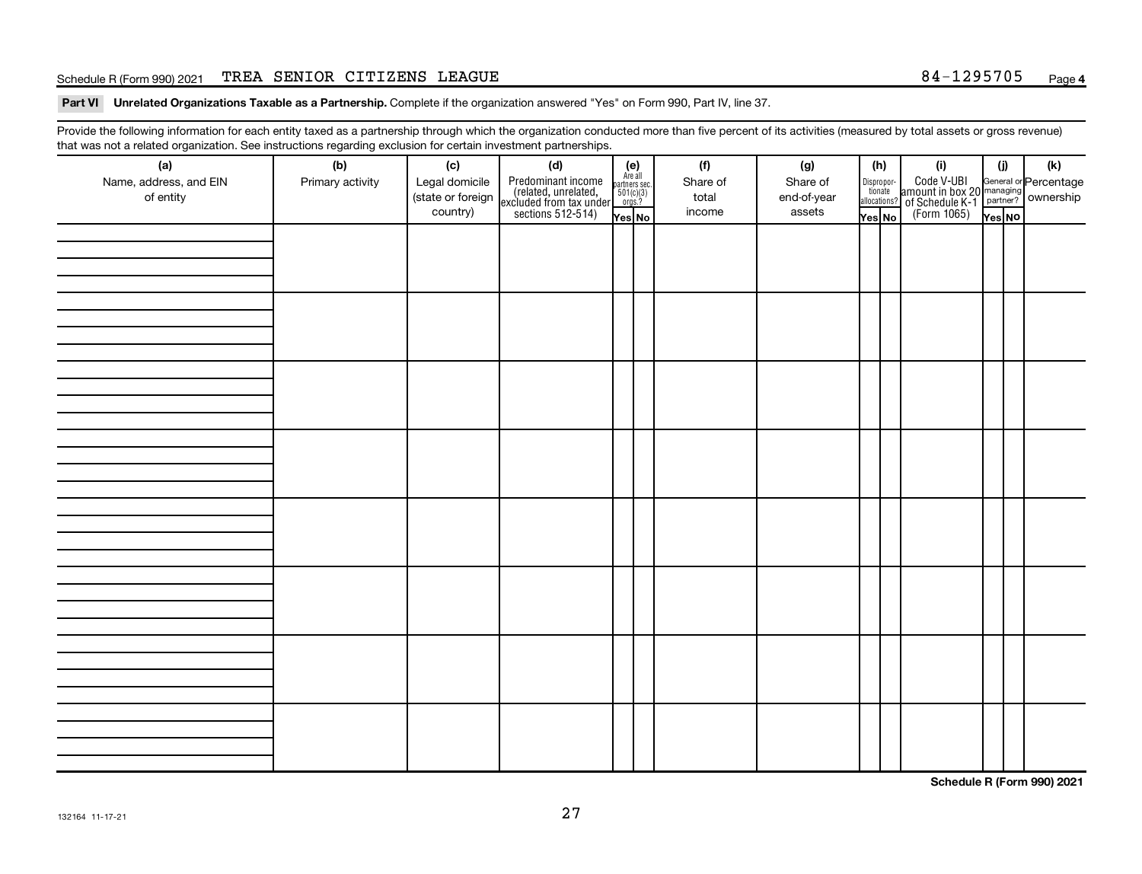# Schedule R (Form 990) 2021 TREA SENIOR CITIZENS LEAGUE 84-1295705 <sub>Page</sub>

Part VI Unrelated Organizations Taxable as a Partnership. Complete if the organization answered "Yes" on Form 990, Part IV, line 37.

Provide the following information for each entity taxed as a partnership through which the organization conducted more than five percent of its activities (measured by total assets or gross revenue) that was not a related organization. See instructions regarding exclusion for certain investment partnerships.

| (a)                    | (b)              | (c)               | . <b>. .</b><br><br>(d)                                                                    |                                                              | (f)      | (g)         | (h)                   | (i)                                                                                              | (i)    | (k) |
|------------------------|------------------|-------------------|--------------------------------------------------------------------------------------------|--------------------------------------------------------------|----------|-------------|-----------------------|--------------------------------------------------------------------------------------------------|--------|-----|
| Name, address, and EIN | Primary activity | Legal domicile    |                                                                                            | (e)<br>Are all<br>partners sec.<br>$\frac{501(c)(3)}{0rgs?}$ | Share of | Share of    |                       |                                                                                                  |        |     |
| of entity              |                  | (state or foreign |                                                                                            |                                                              | total    | end-of-year | Dispropor-<br>tionate |                                                                                                  |        |     |
|                        |                  | country)          | Predominant income<br>(related, unrelated,<br>excluded from tax under<br>sections 512-514) |                                                              | income   | assets      | allocations?          | Code V-UBI<br>amount in box 20 managing<br>of Schedule K-1<br>(Form 1065)<br>$\overline{Yes}$ No |        |     |
|                        |                  |                   |                                                                                            | Yes No                                                       |          |             | Yes No                |                                                                                                  | Yes NO |     |
|                        |                  |                   |                                                                                            |                                                              |          |             |                       |                                                                                                  |        |     |
|                        |                  |                   |                                                                                            |                                                              |          |             |                       |                                                                                                  |        |     |
|                        |                  |                   |                                                                                            |                                                              |          |             |                       |                                                                                                  |        |     |
|                        |                  |                   |                                                                                            |                                                              |          |             |                       |                                                                                                  |        |     |
|                        |                  |                   |                                                                                            |                                                              |          |             |                       |                                                                                                  |        |     |
|                        |                  |                   |                                                                                            |                                                              |          |             |                       |                                                                                                  |        |     |
|                        |                  |                   |                                                                                            |                                                              |          |             |                       |                                                                                                  |        |     |
|                        |                  |                   |                                                                                            |                                                              |          |             |                       |                                                                                                  |        |     |
|                        |                  |                   |                                                                                            |                                                              |          |             |                       |                                                                                                  |        |     |
|                        |                  |                   |                                                                                            |                                                              |          |             |                       |                                                                                                  |        |     |
|                        |                  |                   |                                                                                            |                                                              |          |             |                       |                                                                                                  |        |     |
|                        |                  |                   |                                                                                            |                                                              |          |             |                       |                                                                                                  |        |     |
|                        |                  |                   |                                                                                            |                                                              |          |             |                       |                                                                                                  |        |     |
|                        |                  |                   |                                                                                            |                                                              |          |             |                       |                                                                                                  |        |     |
|                        |                  |                   |                                                                                            |                                                              |          |             |                       |                                                                                                  |        |     |
|                        |                  |                   |                                                                                            |                                                              |          |             |                       |                                                                                                  |        |     |
|                        |                  |                   |                                                                                            |                                                              |          |             |                       |                                                                                                  |        |     |
|                        |                  |                   |                                                                                            |                                                              |          |             |                       |                                                                                                  |        |     |
|                        |                  |                   |                                                                                            |                                                              |          |             |                       |                                                                                                  |        |     |
|                        |                  |                   |                                                                                            |                                                              |          |             |                       |                                                                                                  |        |     |
|                        |                  |                   |                                                                                            |                                                              |          |             |                       |                                                                                                  |        |     |
|                        |                  |                   |                                                                                            |                                                              |          |             |                       |                                                                                                  |        |     |
|                        |                  |                   |                                                                                            |                                                              |          |             |                       |                                                                                                  |        |     |
|                        |                  |                   |                                                                                            |                                                              |          |             |                       |                                                                                                  |        |     |
|                        |                  |                   |                                                                                            |                                                              |          |             |                       |                                                                                                  |        |     |
|                        |                  |                   |                                                                                            |                                                              |          |             |                       |                                                                                                  |        |     |
|                        |                  |                   |                                                                                            |                                                              |          |             |                       |                                                                                                  |        |     |
|                        |                  |                   |                                                                                            |                                                              |          |             |                       |                                                                                                  |        |     |
|                        |                  |                   |                                                                                            |                                                              |          |             |                       |                                                                                                  |        |     |
|                        |                  |                   |                                                                                            |                                                              |          |             |                       |                                                                                                  |        |     |
|                        |                  |                   |                                                                                            |                                                              |          |             |                       |                                                                                                  |        |     |
|                        |                  |                   |                                                                                            |                                                              |          |             |                       |                                                                                                  |        |     |
|                        |                  |                   |                                                                                            |                                                              |          |             |                       |                                                                                                  |        |     |
|                        |                  |                   |                                                                                            |                                                              |          |             |                       |                                                                                                  |        |     |
|                        |                  |                   |                                                                                            |                                                              |          |             |                       |                                                                                                  |        |     |

**Schedule R (Form 990) 2021**